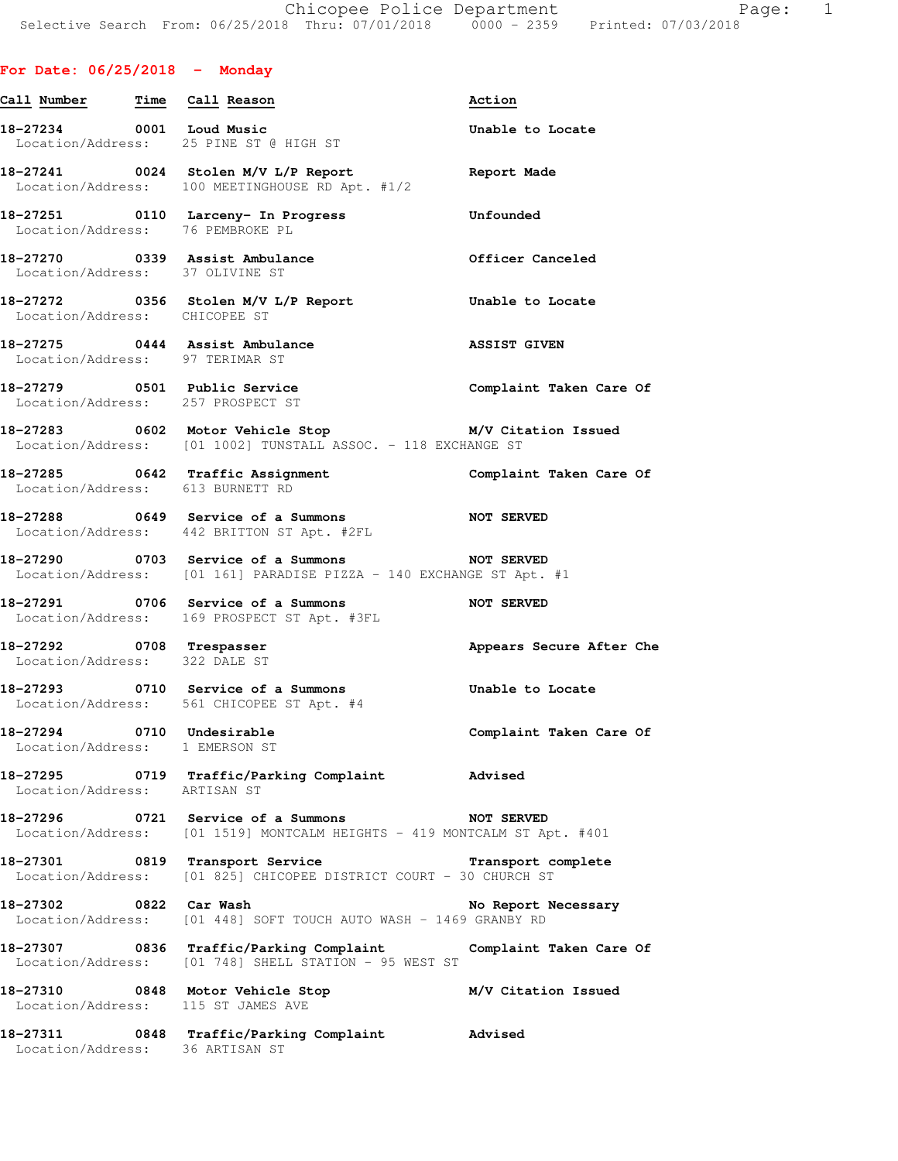## **For Date: 06/25/2018 - Monday**

|                                 | Call Number Time Call Reason                                                                                             | Action                   |
|---------------------------------|--------------------------------------------------------------------------------------------------------------------------|--------------------------|
|                                 | 18-27234 0001 Loud Music<br>Location/Address: 25 PINE ST @ HIGH ST                                                       | Unable to Locate         |
|                                 | 18-27241 0024 Stolen M/V L/P Report<br>Location/Address: 100 MEETINGHOUSE RD Apt. #1/2                                   | Report Made              |
|                                 | 18-27251 0110 Larceny- In Progress 6 Unfounded<br>Location/Address: 76 PEMBROKE PL                                       |                          |
| Location/Address: 37 OLIVINE ST | 18-27270 0339 Assist Ambulance                                                                                           | Officer Canceled         |
| Location/Address: CHICOPEE ST   | 18-27272 0356 Stolen M/V L/P Report Unable to Locate                                                                     |                          |
| Location/Address: 97 TERIMAR ST | 18-27275 0444 Assist Ambulance                                                                                           | <b>ASSIST GIVEN</b>      |
|                                 | 18-27279 0501 Public Service<br>Location/Address: 257 PROSPECT ST                                                        | Complaint Taken Care Of  |
|                                 | 18-27283 0602 Motor Vehicle Stop M/V Citation Issued<br>Location/Address: [01 1002] TUNSTALL ASSOC. - 118 EXCHANGE ST    |                          |
|                                 | 18-27285 0642 Traffic Assignment Complaint Taken Care Of Location/Address: 613 BURNETT RD                                |                          |
|                                 | 18-27288 0649 Service of a Summons NOT SERVED<br>Location/Address: 442 BRITTON ST Apt. #2FL                              |                          |
|                                 | 18-27290 0703 Service of a Summons NOT SERVED<br>Location/Address: [01 161] PARADISE PIZZA - 140 EXCHANGE ST Apt. #1     |                          |
|                                 | 18-27291 0706 Service of a Summons<br>Location/Address: 169 PROSPECT ST Apt. #3FL                                        | NOT SERVED               |
|                                 | 18-27292 0708 Trespasser<br>Location/Address: 322 DALE ST                                                                | Appears Secure After Che |
|                                 | 18-27293 0710 Service of a Summons 5 Unable to Locate<br>Location/Address: 561 CHICOPEE ST Apt. #4                       |                          |
| 18-27294 0710 Undesirable       | Location/Address: 1 EMERSON ST                                                                                           | Complaint Taken Care Of  |
| Location/Address: ARTISAN ST    | 18-27295 0719 Traffic/Parking Complaint Advised                                                                          |                          |
|                                 | 18-27296 0721 Service of a Summons<br>Location/Address: [01 1519] MONTCALM HEIGHTS - 419 MONTCALM ST Apt. #401           | <b>NOT SERVED</b>        |
|                                 | 18-27301 0819 Transport Service<br>Location/Address: [01 825] CHICOPEE DISTRICT COURT - 30 CHURCH ST                     | Transport complete       |
| 18-27302 0822 Car-Wash          | Location/Address: [01 448] SOFT TOUCH AUTO WASH - 1469 GRANBY RD                                                         | No Report Necessary      |
|                                 | 18-27307 0836 Traffic/Parking Complaint Complaint Taken Care Of<br>Location/Address: [01 748] SHELL STATION - 95 WEST ST |                          |
|                                 | 18-27310 0848 Motor Vehicle Stop<br>Location/Address: 115 ST JAMES AVE                                                   | M/V Citation Issued      |
|                                 | 18-27311 0848 Traffic/Parking Complaint<br>Location/Address: 36 ARTISAN ST                                               | Advised                  |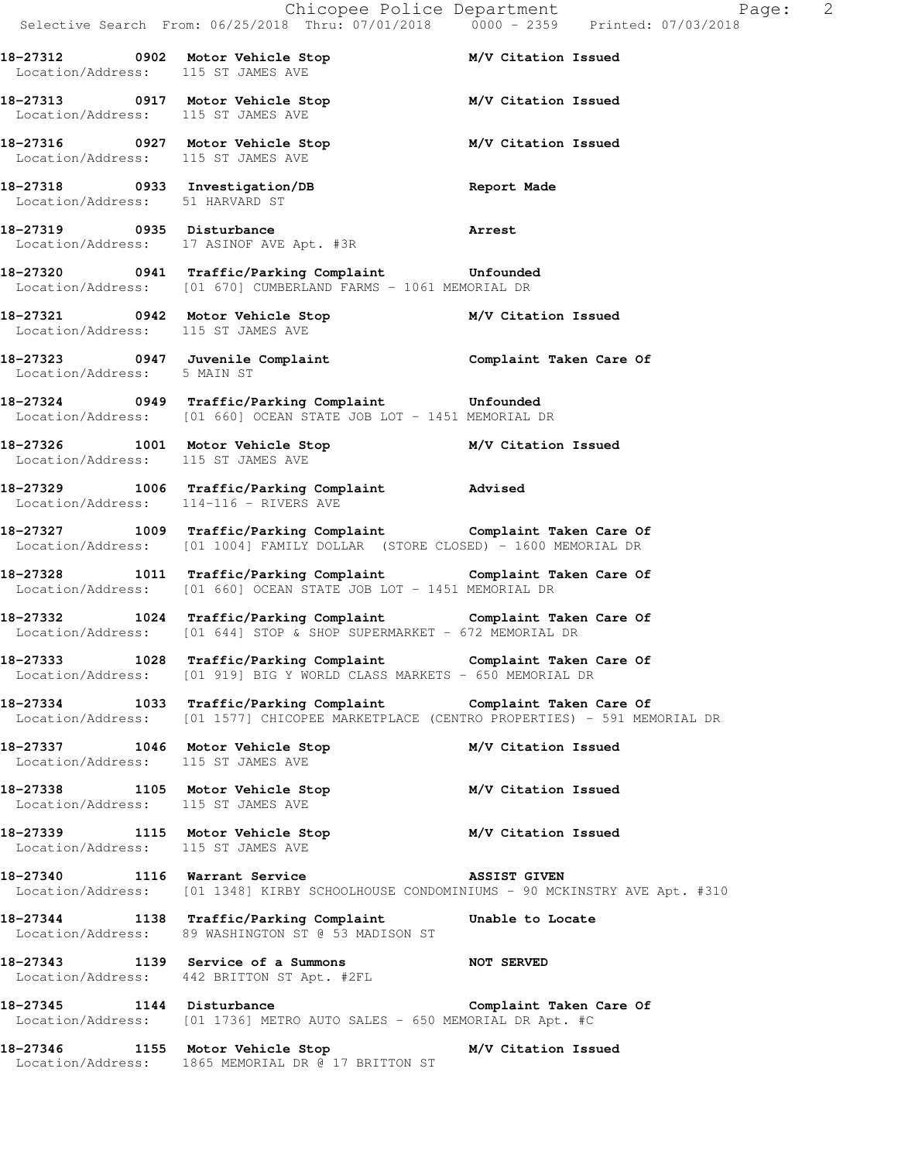|                             | E Chicopee Police Department<br>Selective Search From: 06/25/2018 Thru: 07/01/2018 0000 - 2359 Printed: 07/03/2018                                        | Page: 2                 |
|-----------------------------|-----------------------------------------------------------------------------------------------------------------------------------------------------------|-------------------------|
|                             | 18-27312 0902 Motor Vehicle Stop M/V Citation Issued<br>Location/Address: 115 ST JAMES AVE                                                                |                         |
|                             | 18-27313 0917 Motor Vehicle Stop M/V Citation Issued<br>Location/Address: 115 ST JAMES AVE                                                                |                         |
|                             | 18-27316 0927 Motor Vehicle Stop<br>Location/Address: 115 ST JAMES AVE                                                                                    | M/V Citation Issued     |
|                             | 18-27318 0933 Investigation/DB Report Made<br>Location/Address: 51 HARVARD ST                                                                             |                         |
|                             | 18-27319 0935 Disturbance<br>Location/Address: 17 ASINOF AVE Apt. #3R                                                                                     | Arrest                  |
|                             | 18-27320 0941 Traffic/Parking Complaint Unfounded<br>Location/Address: [01 670] CUMBERLAND FARMS - 1061 MEMORIAL DR                                       |                         |
|                             | 18-27321 0942 Motor Vehicle Stop M/V Citation Issued<br>Location/Address: 115 ST JAMES AVE                                                                |                         |
| Location/Address: 5 MAIN ST | 18-27323 0947 Juvenile Complaint 18-27323                                                                                                                 |                         |
|                             | 18-27324 0949 Traffic/Parking Complaint Unfounded<br>Location/Address: [01 660] OCEAN STATE JOB LOT - 1451 MEMORIAL DR                                    |                         |
|                             | 18-27326 1001 Motor Vehicle Stop M/V Citation Issued<br>Location/Address: 115 ST JAMES AVE                                                                |                         |
|                             | 18-27329 1006 Traffic/Parking Complaint Advised<br>Location/Address: 114-116 - RIVERS AVE                                                                 |                         |
|                             | 18-27327 1009 Traffic/Parking Complaint Complaint Taken Care Of<br>Location/Address: [01 1004] FAMILY DOLLAR (STORE CLOSED) - 1600 MEMORIAL DR            |                         |
|                             | 18-27328 1011 Traffic/Parking Complaint Complaint Taken Care Of<br>Location/Address: [01 660] OCEAN STATE JOB LOT - 1451 MEMORIAL DR                      |                         |
|                             | 18-27332 1024 Traffic/Parking Complaint Complaint Taken Care Of Location/Address: [01 644] STOP & SHOP SUPERMARKET - 672 MEMORIAL DR                      |                         |
|                             | 18-27333 1028 Traffic/Parking Complaint Complaint Taken Care Of<br>Location/Address: [01 919] BIG Y WORLD CLASS MARKETS - 650 MEMORIAL DR                 |                         |
|                             | 18-27334 1033 Traffic/Parking Complaint Complaint Taken Care Of<br>Location/Address: [01 1577] CHICOPEE MARKETPLACE (CENTRO PROPERTIES) - 591 MEMORIAL DR |                         |
|                             | 18-27337 1046 Motor Vehicle Stop<br>Location/Address: 115 ST JAMES AVE                                                                                    | M/V Citation Issued     |
|                             | 18-27338 1105 Motor Vehicle Stop<br>Location/Address: 115 ST JAMES AVE                                                                                    | M/V Citation Issued     |
|                             | 18-27339 1115 Motor Vehicle Stop M/V Citation Issued<br>Location/Address: 115 ST JAMES AVE                                                                |                         |
|                             | 18-27340 1116 Warrant Service <b>18-27340</b> ASSIST GIVEN<br>Location/Address: [01 1348] KIRBY SCHOOLHOUSE CONDOMINIUMS - 90 MCKINSTRY AVE Apt. #310     |                         |
|                             | 18-27344 1138 Traffic/Parking Complaint<br>Location/Address: 89 WASHINGTON ST @ 53 MADISON ST                                                             | Unable to Locate        |
|                             | 18-27343 1139 Service of a Summons<br>Location/Address: 442 BRITTON ST Apt. #2FL                                                                          | <b>NOT SERVED</b>       |
| 18-27345 1144 Disturbance   | Location/Address: [01 1736] METRO AUTO SALES - 650 MEMORIAL DR Apt. #C                                                                                    | Complaint Taken Care Of |
|                             | 18-27346 1155 Motor Vehicle Stop M/V Citation Issued                                                                                                      |                         |

Location/Address: 1865 MEMORIAL DR @ 17 BRITTON ST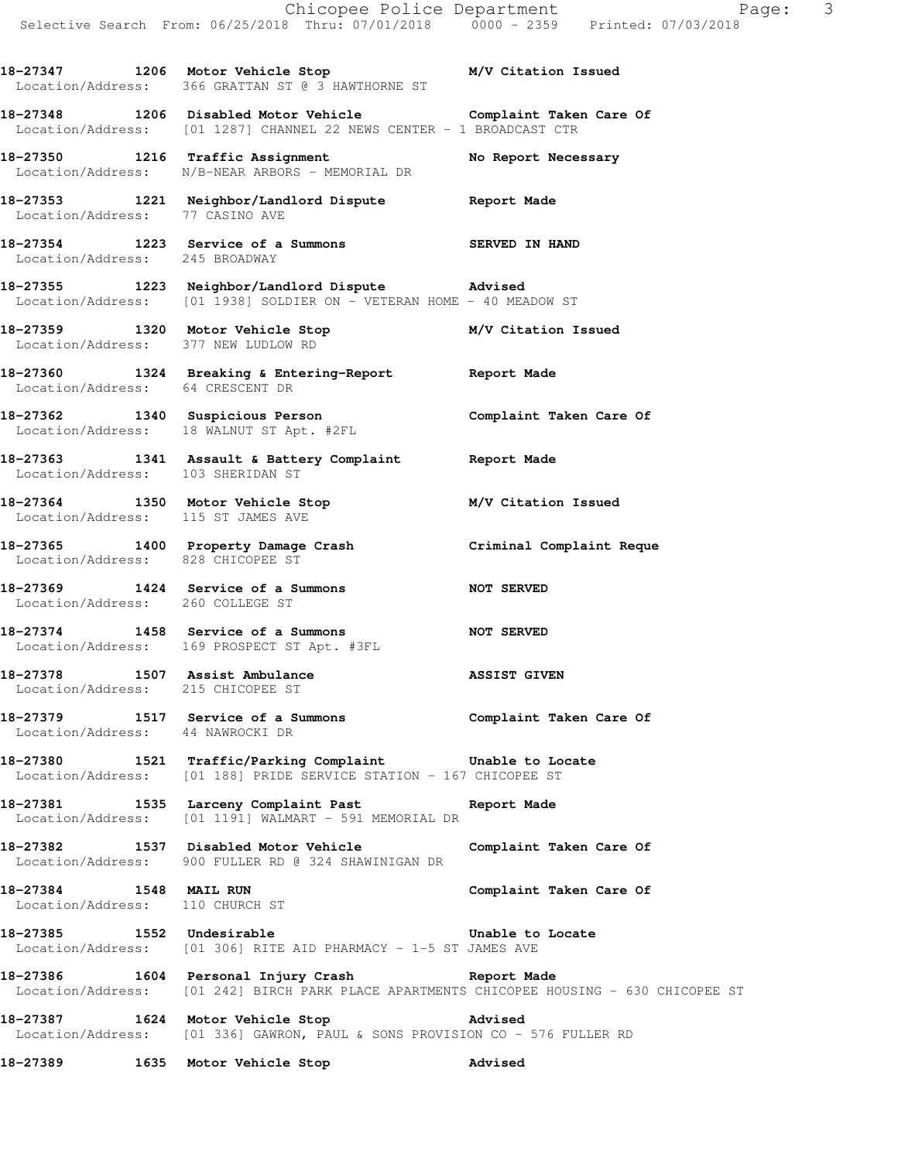**18-27347 1206 Motor Vehicle Stop M/V Citation Issued**  Location/Address: 366 GRATTAN ST @ 3 HAWTHORNE ST

**18-27348 1206 Disabled Motor Vehicle Complaint Taken Care Of**  Location/Address: [01 1287] CHANNEL 22 NEWS CENTER - 1 BROADCAST CTR

**18-27350 1216 Traffic Assignment No Report Necessary**  Location/Address: N/B-NEAR ARBORS - MEMORIAL DR

**18-27353 1221 Neighbor/Landlord Dispute Report Made**  Location/Address: 77 CASINO AVE

**18-27354 1223 Service of a Summons SERVED IN HAND**  Location/Address: 245 BROADWAY

**18-27355 1223 Neighbor/Landlord Dispute Advised**  Location/Address: [01 1938] SOLDIER ON - VETERAN HOME - 40 MEADOW ST

**18-27359 1320 Motor Vehicle Stop M/V Citation Issued**  Location/Address: 377 NEW LUDLOW RD

**18-27360 1324 Breaking & Entering-Report Report Made**  Location/Address: 64 CRESCENT DR

**18-27362 1340 Suspicious Person Complaint Taken Care Of**  Location/Address: 18 WALNUT ST Apt. #2FL

**18-27363 1341 Assault & Battery Complaint Report Made**  Location/Address: 103 SHERIDAN ST

**18-27364 1350 Motor Vehicle Stop M/V Citation Issued**  Location/Address: 115 ST JAMES AVE

**18-27365 1400 Property Damage Crash Criminal Complaint Reque**  Location/Address: 828 CHICOPEE ST

**18-27369 1424 Service of a Summons NOT SERVED**  Location/Address: 260 COLLEGE ST

**18-27374 1458 Service of a Summons NOT SERVED**  Location/Address: 169 PROSPECT ST Apt. #3FL

18-27378 1507 Assist Ambulance **18-27378** ASSIST GIVEN Location/Address: 215 CHICOPEE ST

**18-27379 1517 Service of a Summons Complaint Taken Care Of**  Location/Address: 44 NAWROCKI DR

**18-27380 1521 Traffic/Parking Complaint Unable to Locate**  Location/Address: [01 188] PRIDE SERVICE STATION - 167 CHICOPEE ST

**18-27381 1535 Larceny Complaint Past Report Made**  Location/Address: [01 1191] WALMART - 591 MEMORIAL DR

**18-27382 1537 Disabled Motor Vehicle Complaint Taken Care Of**  Location/Address: 900 FULLER RD @ 324 SHAWINIGAN DR

**18-27384 1548 MAIL RUN Complaint Taken Care Of**  Location/Address: 110 CHURCH ST

**18-27385 1552 Undesirable Unable to Locate**  Location/Address: [01 306] RITE AID PHARMACY - 1-5 ST JAMES AVE

**18-27386 1604 Personal Injury Crash Report Made**  Location/Address: [01 242] BIRCH PARK PLACE APARTMENTS CHICOPEE HOUSING - 630 CHICOPEE ST

**18-27387 1624 Motor Vehicle Stop Advised**  Location/Address: [01 336] GAWRON, PAUL & SONS PROVISION CO - 576 FULLER RD

**18-27389 1635 Motor Vehicle Stop Advised**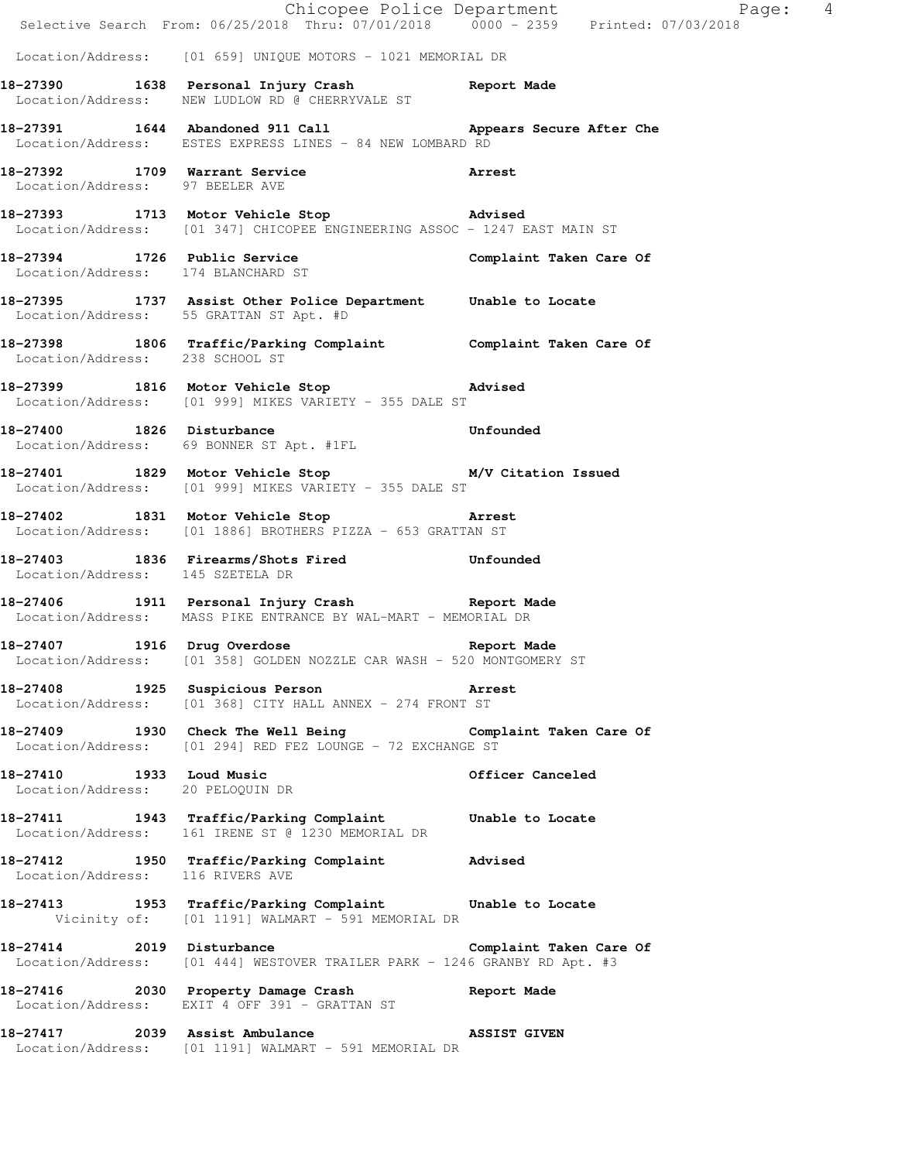|                                                              |                                                                                                                           | Page: 4<br>Selective Search From: 06/25/2018 Thru: 07/01/2018 0000 - 2359 Printed: 07/03/2018 |
|--------------------------------------------------------------|---------------------------------------------------------------------------------------------------------------------------|-----------------------------------------------------------------------------------------------|
|                                                              | Location/Address: [01 659] UNIQUE MOTORS - 1021 MEMORIAL DR                                                               |                                                                                               |
|                                                              | 18-27390 1638 Personal Injury Crash 18-27390<br>Location/Address: NEW LUDLOW RD @ CHERRYVALE ST                           |                                                                                               |
|                                                              | 18-27391 1644 Abandoned 911 Call 31 Appears Secure After Che<br>Location/Address: ESTES EXPRESS LINES - 84 NEW LOMBARD RD |                                                                                               |
| Location/Address: 97 BEELER AVE                              | 18-27392 1709 Warrant Service 2008 Arrest                                                                                 |                                                                                               |
|                                                              | 18-27393 1713 Motor Vehicle Stop Advised<br>Location/Address: [01 347] CHICOPEE ENGINEERING ASSOC - 1247 EAST MAIN ST     |                                                                                               |
| Location/Address: 174 BLANCHARD ST                           | 18-27394 1726 Public Service Complaint Taken Care Of                                                                      |                                                                                               |
|                                                              | 18-27395 1737 Assist Other Police Department Unable to Locate<br>Location/Address: 55 GRATTAN ST Apt. #D                  |                                                                                               |
| Location/Address: 238 SCHOOL ST                              | 18-27398 1806 Traffic/Parking Complaint Complaint Taken Care Of                                                           |                                                                                               |
|                                                              | 18-27399 1816 Motor Vehicle Stop Advised<br>Location/Address: [01 999] MIKES VARIETY - 355 DALE ST                        |                                                                                               |
|                                                              | 18-27400 1826 Disturbance Unfounded<br>Location/Address: 69 BONNER ST Apt. #1FL                                           |                                                                                               |
|                                                              | 18-27401 1829 Motor Vehicle Stop M/V Citation Issued<br>Location/Address: [01 999] MIKES VARIETY - 355 DALE ST            |                                                                                               |
|                                                              | 18-27402 1831 Motor Vehicle Stop Morrest<br>Location/Address: [01 1886] BROTHERS PIZZA - 653 GRATTAN ST                   |                                                                                               |
| Location/Address: 145 SZETELA DR                             | 18-27403 1836 Firearms/Shots Fired Unfounded                                                                              |                                                                                               |
|                                                              | 18-27406 1911 Personal Injury Crash Report Made<br>Location/Address: MASS PIKE ENTRANCE BY WAL-MART - MEMORIAL DR         |                                                                                               |
| 18-27407 1916 Drug Overdose                                  | Report Made<br>Location/Address: [01 358] GOLDEN NOZZLE CAR WASH - 520 MONTGOMERY ST                                      |                                                                                               |
| 18-27408 1925 Suspicious Person                              | <b>Example 2</b> Arrest<br>Location/Address: [01 368] CITY HALL ANNEX - 274 FRONT ST                                      |                                                                                               |
|                                                              | 18-27409 1930 Check The Well Being Complaint Taken Care Of<br>Location/Address: [01 294] RED FEZ LOUNGE - 72 EXCHANGE ST  |                                                                                               |
| 18-27410 1933 Loud Music<br>Location/Address: 20 PELOQUIN DR |                                                                                                                           | Officer Canceled                                                                              |
|                                                              | 18-27411 1943 Traffic/Parking Complaint Unable to Locate<br>Location/Address: 161 IRENE ST @ 1230 MEMORIAL DR             |                                                                                               |
| Location/Address: 116 RIVERS AVE                             | 18-27412 1950 Traffic/Parking Complaint Advised                                                                           |                                                                                               |
|                                                              | 18-27413 1953 Traffic/Parking Complaint Unable to Locate<br>Vicinity of: [01 1191] WALMART - 591 MEMORIAL DR              |                                                                                               |
|                                                              | 18-27414 2019 Disturbance<br>Location/Address: [01 444] WESTOVER TRAILER PARK - 1246 GRANBY RD Apt. #3                    | Complaint Taken Care Of                                                                       |
|                                                              | 18-27416 2030 Property Damage Crash<br>Location/Address: EXIT 4 OFF 391 - GRATTAN ST                                      | Report Made                                                                                   |
|                                                              | 18-27417 2039 Assist Ambulance ASSIST GIVEN<br>Location/Address: [01 1191] WALMART - 591 MEMORIAL DR                      |                                                                                               |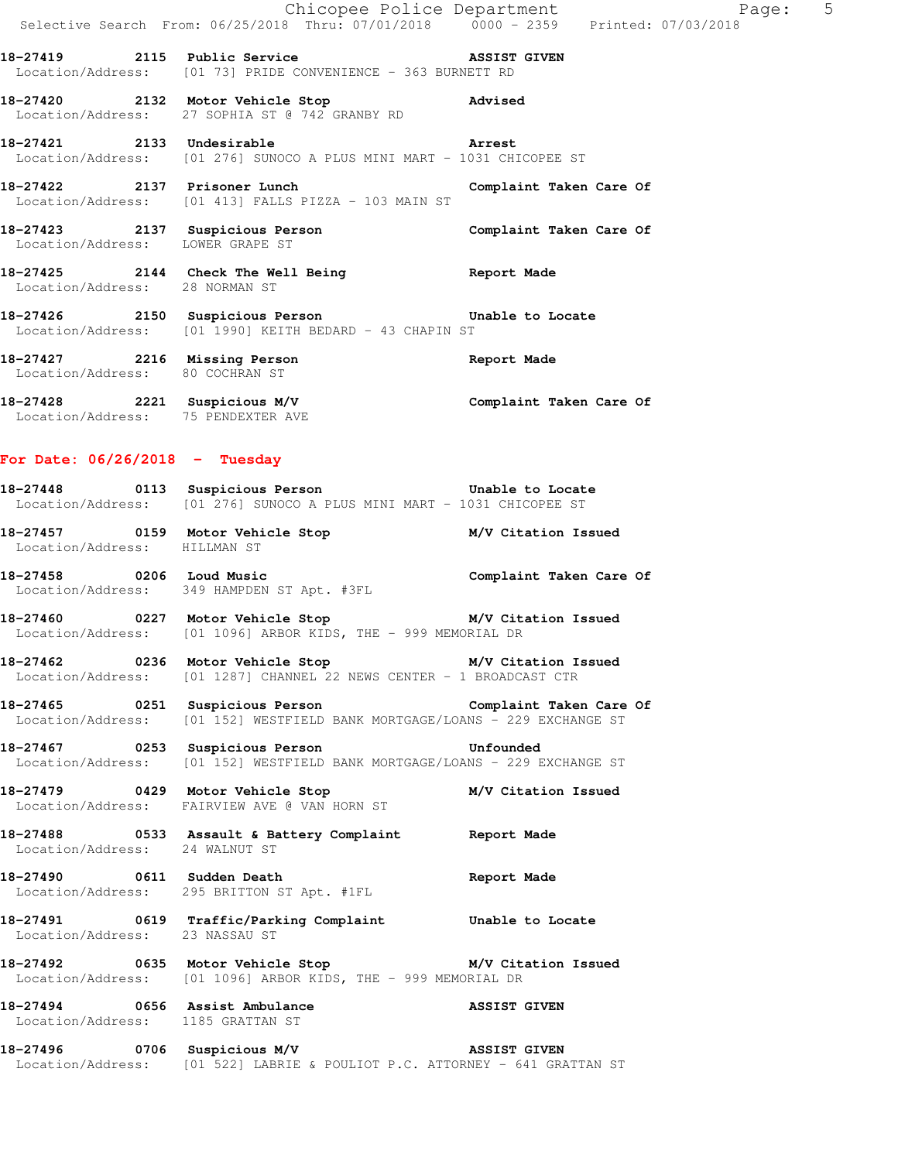|                                  | Chicopee Police Department                                                                                                            |                         |
|----------------------------------|---------------------------------------------------------------------------------------------------------------------------------------|-------------------------|
|                                  | Selective Search From: 06/25/2018 Thru: 07/01/2018 0000 - 2359 Printed: 07/03/2018                                                    |                         |
|                                  | 18-27419 2115 Public Service<br>Location/Address: [01 73] PRIDE CONVENIENCE - 363 BURNETT RD                                          | <b>ASSIST GIVEN</b>     |
|                                  | 18-27420 2132 Motor Vehicle Stop 3132 Advised<br>Location/Address: 27 SOPHIA ST @ 742 GRANBY RD                                       |                         |
| 18-27421 2133 Undesirable        | <b>External Arrest</b><br>Location/Address: [01 276] SUNOCO A PLUS MINI MART - 1031 CHICOPEE ST                                       |                         |
|                                  | 18-27422 2137 Prisoner Lunch<br>Location/Address: [01 413] FALLS PIZZA - 103 MAIN ST                                                  | Complaint Taken Care Of |
| Location/Address: LOWER GRAPE ST | 18-27423 2137 Suspicious Person                                                                                                       | Complaint Taken Care Of |
| Location/Address: 28 NORMAN ST   | 18-27425 2144 Check The Well Being Seport Made                                                                                        |                         |
|                                  | 18-27426 2150 Suspicious Person Unable to Locate<br>Location/Address: [01 1990] KEITH BEDARD - 43 CHAPIN ST                           |                         |
|                                  | 18-27427 2216 Missing Person<br>Location/Address: 80 COCHRAN ST                                                                       |                         |
|                                  | 18-27428 2221 Suspicious M/V<br>Location/Address: 75 PENDEXTER AVE                                                                    |                         |
| For Date: $06/26/2018$ - Tuesday |                                                                                                                                       |                         |
|                                  | 18-27448 0113 Suspicious Person<br>Location/Address: [01 276] SUNOCO A PLUS MINI MART - 1031 CHICOPEE ST                              |                         |
|                                  | 18-27457 0159 Motor Vehicle Stop M/V Citation Issued<br>Location/Address: HILLMAN ST                                                  |                         |
| 18-27458 0206 Loud Music         | Location/Address: 349 HAMPDEN ST Apt. #3FL                                                                                            | Complaint Taken Care Of |
|                                  | 18-27460 0227 Motor Vehicle Stop M/V Citation Issued<br>Location/Address: [01 1096] ARBOR KIDS, THE - 999 MEMORIAL DR                 |                         |
|                                  | 18-27462 0236 Motor Vehicle Stop M/V Citation Issued<br>Location/Address: [01 1287] CHANNEL 22 NEWS CENTER - 1 BROADCAST CTR          |                         |
|                                  | 18-27465 0251 Suspicious Person Complaint Taken Care Of<br>Location/Address: [01 152] WESTFIELD BANK MORTGAGE/LOANS - 229 EXCHANGE ST |                         |
|                                  | 18-27467 0253 Suspicious Person<br>Location/Address: [01 152] WESTFIELD BANK MORTGAGE/LOANS - 229 EXCHANGE ST                         | Unfounded               |
|                                  | 18-27479 0429 Motor Vehicle Stop<br>Location/Address: FAIRVIEW AVE @ VAN HORN ST                                                      | M/V Citation Issued     |
| Location/Address: 24 WALNUT ST   | 18-27488 0533 Assault & Battery Complaint Report Made                                                                                 |                         |
|                                  | 18-27490 0611 Sudden Death<br>Location/Address: 295 BRITTON ST Apt. #1FL                                                              | Report Made             |
|                                  | 18-27491 0619 Traffic/Parking Complaint Unable to Locate<br>Location/Address: 23 NASSAU ST                                            |                         |
|                                  | 18-27492 0635 Motor Vehicle Stop<br>Location/Address: [01 1096] ARBOR KIDS, THE - 999 MEMORIAL DR                                     | M/V Citation Issued     |

**18-27494 0656 Assist Ambulance ASSIST GIVEN**  Location/Address: 1185 GRATTAN ST

**18-27496 0706 Suspicious M/V ASSIST GIVEN**  Location/Address: [01 522] LABRIE & POULIOT P.C. ATTORNEY - 641 GRATTAN ST  $Page: 5$ <br> $(03/2018)$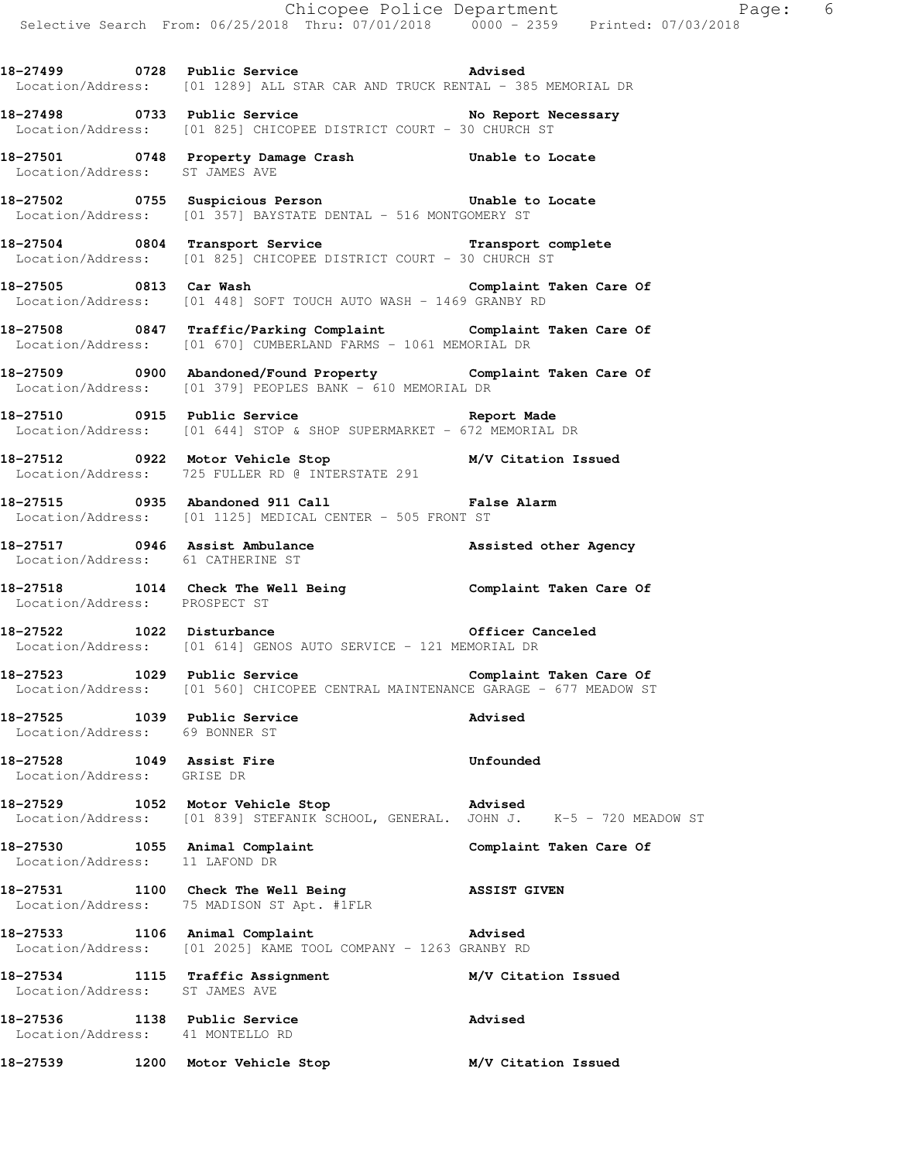**18-27499 0728 Public Service Advised**  Location/Address: [01 1289] ALL STAR CAR AND TRUCK RENTAL - 385 MEMORIAL DR

**18-27498 0733 Public Service No Report Necessary**  Location/Address: [01 825] CHICOPEE DISTRICT COURT - 30 CHURCH ST

**18-27501 0748 Property Damage Crash Unable to Locate**  Location/Address: ST JAMES AVE

**18-27502 0755 Suspicious Person Unable to Locate**  Location/Address: [01 357] BAYSTATE DENTAL - 516 MONTGOMERY ST

**18-27504 0804 Transport Service Transport complete**  Location/Address: [01 825] CHICOPEE DISTRICT COURT - 30 CHURCH ST

**18-27505 0813 Car Wash Complaint Taken Care Of**  Location/Address: [01 448] SOFT TOUCH AUTO WASH - 1469 GRANBY RD

**18-27508 0847 Traffic/Parking Complaint Complaint Taken Care Of**  Location/Address: [01 670] CUMBERLAND FARMS - 1061 MEMORIAL DR

**18-27509 0900 Abandoned/Found Property Complaint Taken Care Of**  Location/Address: [01 379] PEOPLES BANK - 610 MEMORIAL DR

**18-27510 0915 Public Service Report Made**  Location/Address: [01 644] STOP & SHOP SUPERMARKET - 672 MEMORIAL DR

**18-27512 0922 Motor Vehicle Stop M/V Citation Issued**  Location/Address: 725 FULLER RD @ INTERSTATE 291

**18-27515 0935 Abandoned 911 Call False Alarm**  Location/Address: [01 1125] MEDICAL CENTER - 505 FRONT ST

**18-27517 0946 Assist Ambulance Assisted other Agency**  Location/Address: 61 CATHERINE ST

**18-27518 1014 Check The Well Being Complaint Taken Care Of**  Location/Address: PROSPECT ST

18-27522 1022 Disturbance **18-27522** 1022 Disturbance Location/Address: [01 614] GENOS AUTO SERVICE - 121 MEMORIAL DR

**18-27523 1029 Public Service Complaint Taken Care Of**  Location/Address: [01 560] CHICOPEE CENTRAL MAINTENANCE GARAGE - 677 MEADOW ST

**18-27525 1039 Public Service Advised**  Location/Address: 69 BONNER ST

**18-27528 1049 Assist Fire Unfounded**  Location/Address: GRISE DR

**18-27529 1052 Motor Vehicle Stop Advised**  Location/Address: [01 839] STEFANIK SCHOOL, GENERAL. JOHN J. K-5 - 720 MEADOW ST

**18-27530 1055 Animal Complaint Complaint Taken Care Of**  Location/Address: 11 LAFOND DR

**18-27531 1100 Check The Well Being ASSIST GIVEN**  Location/Address: 75 MADISON ST Apt. #1FLR

**18-27533 1106 Animal Complaint Advised**  Location/Address: [01 2025] KAME TOOL COMPANY - 1263 GRANBY RD

**18-27534 1115 Traffic Assignment M/V Citation Issued**  Location/Address: ST JAMES AVE **18-27536 1138 Public Service Advised**  Location/Address: 41 MONTELLO RD **18-27539 1200 Motor Vehicle Stop M/V Citation Issued**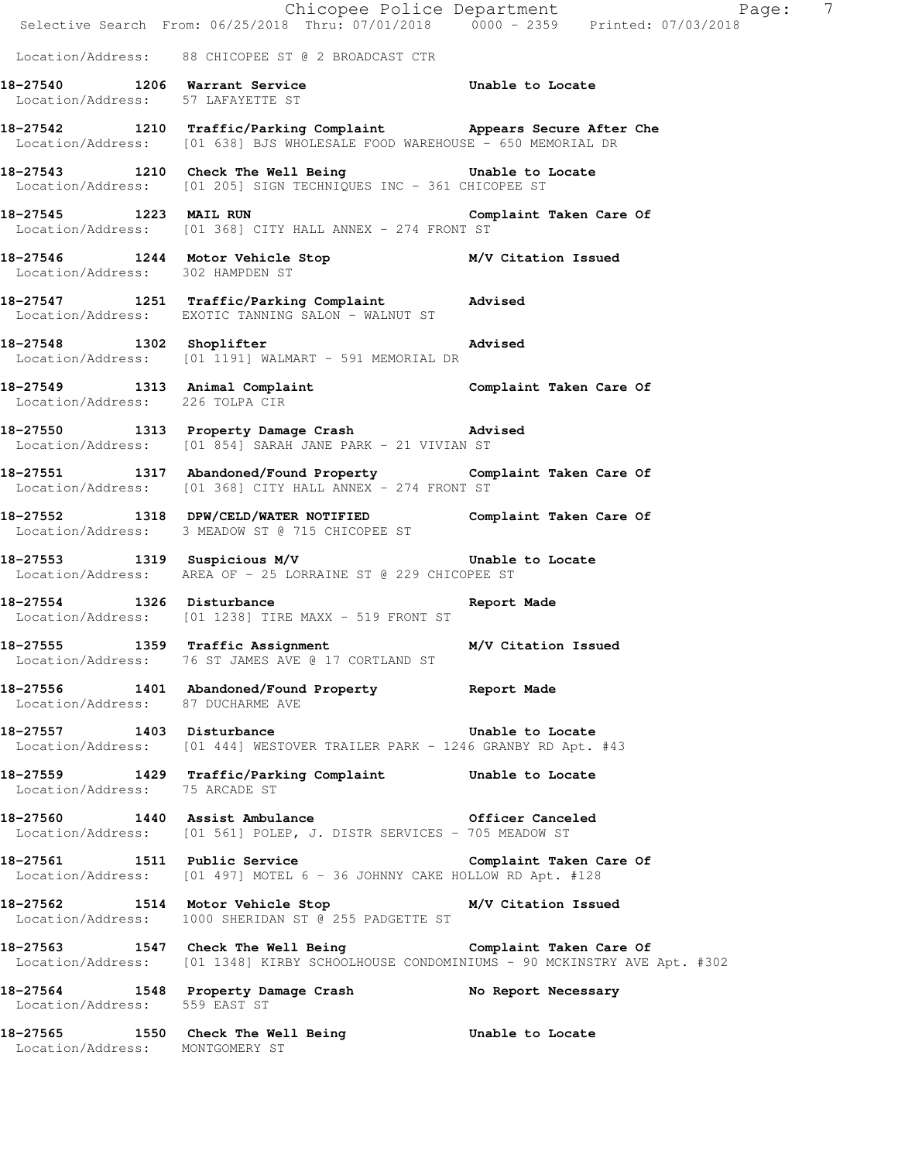|                                   | Chicopee Police Department<br>Selective Search From: 06/25/2018 Thru: 07/01/2018 0000 - 2359 Printed: 07/03/2018                                      | $\overline{7}$<br>Page: |
|-----------------------------------|-------------------------------------------------------------------------------------------------------------------------------------------------------|-------------------------|
|                                   | Location/Address: 88 CHICOPEE ST @ 2 BROADCAST CTR                                                                                                    |                         |
|                                   | 18-27540 1206 Warrant Service Unable to Locate<br>Location/Address: 57 LAFAYETTE ST                                                                   |                         |
|                                   | 18-27542 1210 Traffic/Parking Complaint Appears Secure After Che<br>Location/Address: [01 638] BJS WHOLESALE FOOD WAREHOUSE - 650 MEMORIAL DR         |                         |
|                                   | 18-27543 1210 Check The Well Being 6 Unable to Locate<br>Location/Address: [01 205] SIGN TECHNIQUES INC - 361 CHICOPEE ST                             |                         |
|                                   | 18-27545 1223 MAIL RUN Complaint Taken Care Of<br>Location/Address: [01 368] CITY HALL ANNEX - 274 FRONT ST                                           |                         |
| Location/Address: 302 HAMPDEN ST  | 18-27546 1244 Motor Vehicle Stop M/V Citation Issued                                                                                                  |                         |
|                                   | 18-27547 1251 Traffic/Parking Complaint Advised<br>Location/Address: EXOTIC TANNING SALON - WALNUT ST                                                 |                         |
| $18-27548$ 1302 Shoplifter        | Location/Address: [01 1191] WALMART - 591 MEMORIAL DR                                                                                                 | Advised                 |
|                                   | 18-27549 1313 Animal Complaint Complete Complaint Taken Care Of Location/Address: 226 TOLPA CIR                                                       |                         |
|                                   | 18-27550 1313 Property Damage Crash<br>Location/Address: [01 854] SARAH JANE PARK - 21 VIVIAN ST                                                      | <b>Advised</b>          |
|                                   | 18-27551 1317 Abandoned/Found Property Complaint Taken Care Of<br>Location/Address: [01 368] CITY HALL ANNEX - 274 FRONT ST                           |                         |
|                                   | 18-27552 1318 DPW/CELD/WATER NOTIFIED Complaint Taken Care Of<br>Location/Address: 3 MEADOW ST @ 715 CHICOPEE ST                                      |                         |
|                                   | 18-27553 1319 Suspicious M/V 1997 Unable to Locate<br>Location/Address: AREA OF - 25 LORRAINE ST @ 229 CHICOPEE ST                                    |                         |
| 18-27554 1326 Disturbance         | Location/Address: [01 1238] TIRE MAXX - 519 FRONT ST                                                                                                  | Report Made             |
|                                   | 18-27555 1359 Traffic Assignment<br>Location/Address: 76 ST JAMES AVE @ 17 CORTLAND ST                                                                | M/V Citation Issued     |
| Location/Address: 87 DUCHARME AVE | 18-27556 1401 Abandoned/Found Property Report Made                                                                                                    |                         |
|                                   | 18-27557 1403 Disturbance and Unable to Locate<br>Location/Address: [01 444] WESTOVER TRAILER PARK - 1246 GRANBY RD Apt. #43                          |                         |
| Location/Address: 75 ARCADE ST    | 18-27559 1429 Traffic/Parking Complaint Unable to Locate                                                                                              |                         |
|                                   | 18-27560 1440 Assist Ambulance Officer Canceled<br>Location/Address: [01 561] POLEP, J. DISTR SERVICES - 705 MEADOW ST                                |                         |
|                                   | 18-27561 1511 Public Service 1988 Complaint Taken Care Of<br>Location/Address: [01 497] MOTEL 6 - 36 JOHNNY CAKE HOLLOW RD Apt. #128                  |                         |
|                                   | 18-27562 1514 Motor Vehicle Stop M/V Citation Issued<br>Location/Address: 1000 SHERIDAN ST @ 255 PADGETTE ST                                          |                         |
|                                   | 18-27563 1547 Check The Well Being Complaint Taken Care Of<br>Location/Address: [01 1348] KIRBY SCHOOLHOUSE CONDOMINIUMS - 90 MCKINSTRY AVE Apt. #302 |                         |
| Location/Address: 559 EAST ST     | 18-27564 1548 Property Damage Crash No Report Necessary                                                                                               |                         |
| Location/Address: MONTGOMERY ST   | 18-27565 1550 Check The Well Being The Unable to Locate                                                                                               |                         |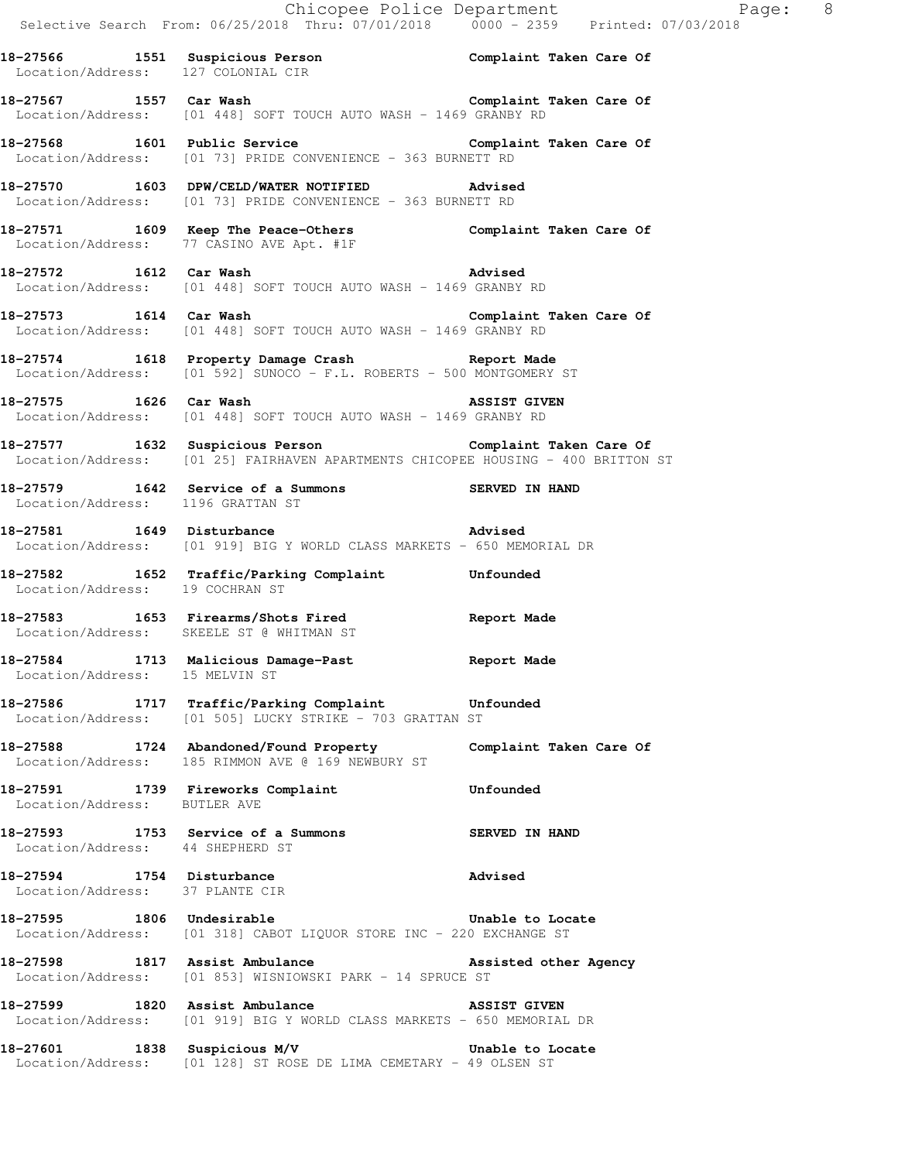Chicopee Police Department The Page: 8 Selective Search From: 06/25/2018 Thru: 07/01/2018 0000 - 2359 Printed: 07/03/2018 **18-27566 1551 Suspicious Person Complaint Taken Care Of**  Location/Address: 127 COLONIAL CIR **18-27567 1557 Car Wash Complaint Taken Care Of**  Location/Address: [01 448] SOFT TOUCH AUTO WASH - 1469 GRANBY RD **18-27568 1601 Public Service Complaint Taken Care Of**  Location/Address: [01 73] PRIDE CONVENIENCE - 363 BURNETT RD **18-27570 1603 DPW/CELD/WATER NOTIFIED Advised**  Location/Address: [01 73] PRIDE CONVENIENCE - 363 BURNETT RD **18-27571 1609 Keep The Peace-Others Complaint Taken Care Of**  Location/Address: 77 CASINO AVE Apt. #1F **18-27572 1612 Car Wash Advised**  Location/Address: [01 448] SOFT TOUCH AUTO WASH - 1469 GRANBY RD **18-27573 1614 Car Wash Complaint Taken Care Of**  Location/Address: [01 448] SOFT TOUCH AUTO WASH - 1469 GRANBY RD **18-27574 1618 Property Damage Crash Report Made**  Location/Address: [01 592] SUNOCO - F.L. ROBERTS - 500 MONTGOMERY ST **18-27575 1626 Car Wash ASSIST GIVEN**  Location/Address: [01 448] SOFT TOUCH AUTO WASH - 1469 GRANBY RD **18-27577 1632 Suspicious Person Complaint Taken Care Of**  Location/Address: [01 25] FAIRHAVEN APARTMENTS CHICOPEE HOUSING - 400 BRITTON ST 18-27579 1642 Service of a Summons SERVED IN HAND Location/Address: 1196 GRATTAN ST **18-27581 1649 Disturbance Advised**  Location/Address: [01 919] BIG Y WORLD CLASS MARKETS - 650 MEMORIAL DR **18-27582 1652 Traffic/Parking Complaint Unfounded**  Location/Address: 19 COCHRAN ST **18-27583 1653 Firearms/Shots Fired Report Made**  Location/Address: SKEELE ST @ WHITMAN ST **18-27584 1713 Malicious Damage-Past Report Made**  Location/Address: 15 MELVIN ST **18-27586 1717 Traffic/Parking Complaint Unfounded**  Location/Address: [01 505] LUCKY STRIKE - 703 GRATTAN ST **18-27588 1724 Abandoned/Found Property Complaint Taken Care Of**  Location/Address: 185 RIMMON AVE @ 169 NEWBURY ST **18-27591 1739 Fireworks Complaint Unfounded**  Location/Address: BUTLER AVE **18-27593 1753 Service of a Summons SERVED IN HAND**  Location/Address: 44 SHEPHERD ST **18-27594 1754 Disturbance Advised**  Location/Address: 37 PLANTE CIR **18-27595 1806 Undesirable Unable to Locate**  Location/Address: [01 318] CABOT LIQUOR STORE INC - 220 EXCHANGE ST 18-27598 1817 Assist Ambulance **1818** Assisted other Agency Location/Address: [01 853] WISNIOWSKI PARK - 14 SPRUCE ST **18-27599 1820 Assist Ambulance ASSIST GIVEN**  Location/Address: [01 919] BIG Y WORLD CLASS MARKETS - 650 MEMORIAL DR **18-27601 1838 Suspicious M/V Unable to Locate** 

Location/Address: [01 128] ST ROSE DE LIMA CEMETARY - 49 OLSEN ST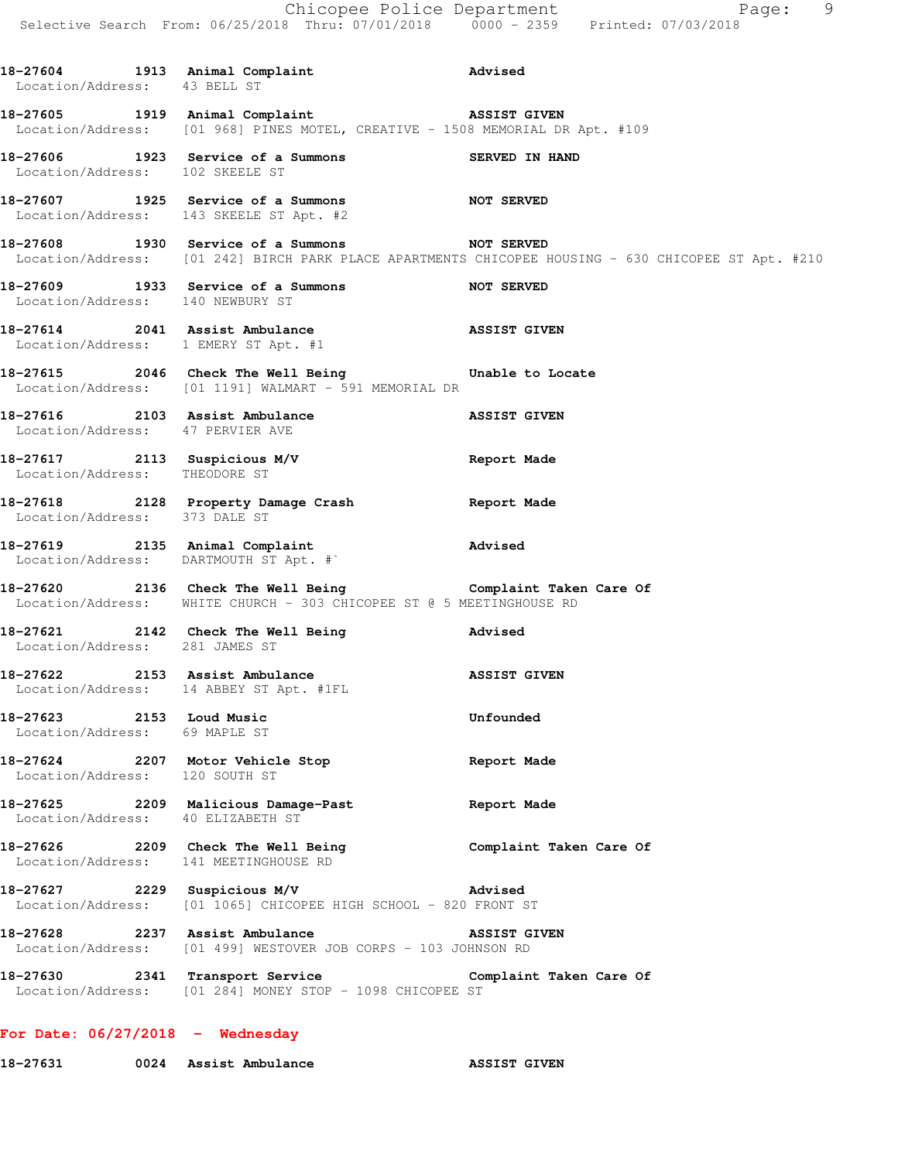**18-27604 1913 Animal Complaint Advised**  Location/Address: 43 BELL ST **18-27605 1919 Animal Complaint ASSIST GIVEN**  Location/Address: [01 968] PINES MOTEL, CREATIVE - 1508 MEMORIAL DR Apt. #109 **18-27606 1923 Service of a Summons SERVED IN HAND**  Location/Address: 102 SKEELE ST **18-27607 1925 Service of a Summons NOT SERVED**  Location/Address: 143 SKEELE ST Apt. #2 **18-27608 1930 Service of a Summons NOT SERVED**  Location/Address: [01 242] BIRCH PARK PLACE APARTMENTS CHICOPEE HOUSING - 630 CHICOPEE ST Apt. #210 **18-27609 1933 Service of a Summons NOT SERVED**  Location/Address: 140 NEWBURY ST **18-27614 2041 Assist Ambulance ASSIST GIVEN**  Location/Address: 1 EMERY ST Apt. #1 **18-27615 2046 Check The Well Being Unable to Locate**  Location/Address: [01 1191] WALMART - 591 MEMORIAL DR **18-27616 2103 Assist Ambulance ASSIST GIVEN**  Location/Address: 47 PERVIER AVE **18-27617 2113 Suspicious M/V Report Made**  Location/Address: THEODORE ST **18-27618 2128 Property Damage Crash Report Made**  Location/Address: 373 DALE ST **18-27619 2135 Animal Complaint Advised**  Location/Address: DARTMOUTH ST Apt. #` **18-27620 2136 Check The Well Being Complaint Taken Care Of**  Location/Address: WHITE CHURCH - 303 CHICOPEE ST @ 5 MEETINGHOUSE RD **18-27621 2142 Check The Well Being Advised**  Location/Address: 281 JAMES ST **18-27622 2153 Assist Ambulance ASSIST GIVEN**  Location/Address: 14 ABBEY ST Apt. #1FL **18-27623 2153 Loud Music Unfounded**  Location/Address: 69 MAPLE ST **18-27624 2207 Motor Vehicle Stop Report Made**  Location/Address: 120 SOUTH ST **18-27625 2209 Malicious Damage-Past Report Made**  Location/Address: 40 ELIZABETH ST **18-27626 2209 Check The Well Being Complaint Taken Care Of**  Location/Address: 141 MEETINGHOUSE RD **18-27627 2229 Suspicious M/V Advised**  Location/Address: [01 1065] CHICOPEE HIGH SCHOOL - 820 FRONT ST **18-27628 2237 Assist Ambulance ASSIST GIVEN**  Location/Address: [01 499] WESTOVER JOB CORPS - 103 JOHNSON RD **18-27630 2341 Transport Service Complaint Taken Care Of**  Location/Address: [01 284] MONEY STOP - 1098 CHICOPEE ST **For Date: 06/27/2018 - Wednesday 18-27631 0024 Assist Ambulance ASSIST GIVEN**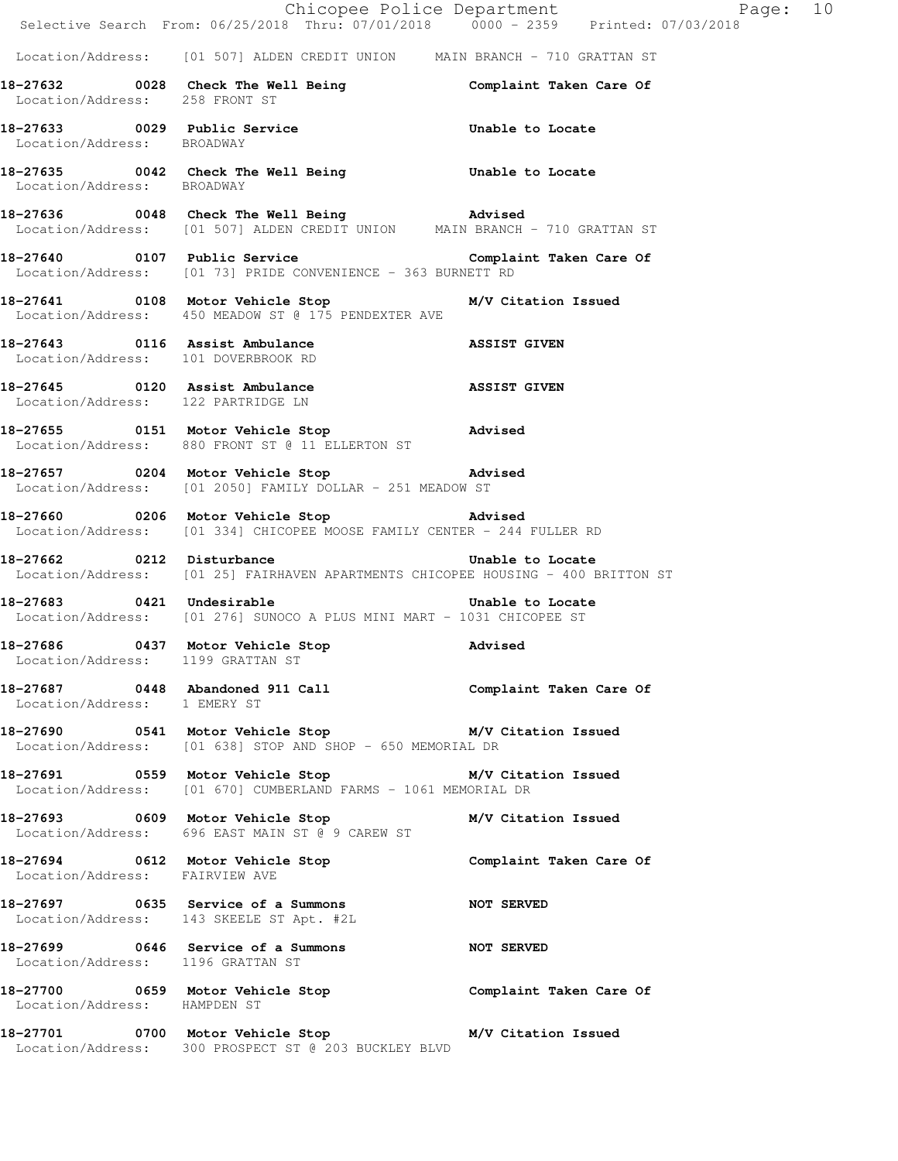|                                                                       |                                                                                                                             | Chicopee Police Department<br>Selective Search From: 06/25/2018 Thru: 07/01/2018 0000 - 2359 Printed: 07/03/2018 |  |
|-----------------------------------------------------------------------|-----------------------------------------------------------------------------------------------------------------------------|------------------------------------------------------------------------------------------------------------------|--|
|                                                                       | Location/Address: [01 507] ALDEN CREDIT UNION MAIN BRANCH - 710 GRATTAN ST                                                  |                                                                                                                  |  |
| Location/Address: 258 FRONT ST                                        | 18-27632 0028 Check The Well Being Complaint Taken Care Of                                                                  |                                                                                                                  |  |
| Location/Address: BROADWAY                                            | 18-27633 0029 Public Service Consumer Unable to Locate                                                                      |                                                                                                                  |  |
| Location/Address: BROADWAY                                            | 18-27635 0042 Check The Well Being The Unable to Locate                                                                     |                                                                                                                  |  |
|                                                                       | 18-27636 0048 Check The Well Being 30 Advised<br>Location/Address: [01 507] ALDEN CREDIT UNION MAIN BRANCH - 710 GRATTAN ST |                                                                                                                  |  |
|                                                                       | 18-27640   0107   Public Service   Complaint Taken Care Of<br>Location/Address: [01 73] PRIDE CONVENIENCE - 363 BURNETT RD  |                                                                                                                  |  |
|                                                                       | 18-27641 0108 Motor Vehicle Stop M/V Citation Issued<br>Location/Address: 450 MEADOW ST @ 175 PENDEXTER AVE                 |                                                                                                                  |  |
| Location/Address: 101 DOVERBROOK RD                                   | 18-27643 0116 Assist Ambulance ASSIST GIVEN                                                                                 |                                                                                                                  |  |
| Location/Address: 122 PARTRIDGE LN                                    | 18-27645 0120 Assist Ambulance ASSIST GIVEN                                                                                 |                                                                                                                  |  |
|                                                                       | 18-27655 0151 Motor Vehicle Stop Modvised<br>Location/Address: 880 FRONT ST @ 11 ELLERTON ST                                |                                                                                                                  |  |
|                                                                       | 18-27657 0204 Motor Vehicle Stop 30 Advised<br>Location/Address: [01 2050] FAMILY DOLLAR - 251 MEADOW ST                    |                                                                                                                  |  |
|                                                                       | 18-27660 0206 Motor Vehicle Stop Modvised<br>Location/Address: [01 334] CHICOPEE MOOSE FAMILY CENTER - 244 FULLER RD        |                                                                                                                  |  |
| 18-27662 0212 Disturbance                                             | Location/Address: [01 25] FAIRHAVEN APARTMENTS CHICOPEE HOUSING - 400 BRITTON ST                                            | Unable to Locate                                                                                                 |  |
| 18-27683 0421 Undesirable                                             | Unable to Locate<br>Location/Address: [01 276] SUNOCO A PLUS MINI MART - 1031 CHICOPEE ST                                   |                                                                                                                  |  |
| 18-27686 0437 Motor Vehicle Stop<br>Location/Address: 1199 GRATTAN ST | <b>Advised</b>                                                                                                              |                                                                                                                  |  |
| Location/Address: 1 EMERY ST                                          | 18-27687   0448   Abandoned 911   Call   Complaint Taken Care Of                                                            |                                                                                                                  |  |
|                                                                       | 18-27690 0541 Motor Vehicle Stop M/V Citation Issued<br>Location/Address: [01 638] STOP AND SHOP - 650 MEMORIAL DR          |                                                                                                                  |  |
|                                                                       | 18-27691 0559 Motor Vehicle Stop M/V Citation Issued<br>Location/Address: [01 670] CUMBERLAND FARMS - 1061 MEMORIAL DR      |                                                                                                                  |  |
|                                                                       | 18-27693 0609 Motor Vehicle Stop<br>Location/Address: 696 EAST MAIN ST @ 9 CAREW ST                                         | M/V Citation Issued                                                                                              |  |
| Location/Address: FAIRVIEW AVE                                        | 18-27694 0612 Motor Vehicle Stop Complaint Taken Care Of                                                                    |                                                                                                                  |  |
|                                                                       | 18-27697 0635 Service of a Summons NOT SERVED<br>Location/Address: 143 SKEELE ST Apt. #2L                                   |                                                                                                                  |  |
| Location/Address: 1196 GRATTAN ST                                     | 18-27699 0646 Service of a Summons NOT SERVED                                                                               |                                                                                                                  |  |
| Location/Address: HAMPDEN ST                                          | 18-27700 0659 Motor Vehicle Stop Complaint Taken Care Of                                                                    |                                                                                                                  |  |
|                                                                       | 18-27701 0700 Motor Vehicle Stop M/V Citation Issued<br>Location/Address: 300 PROSPECT ST @ 203 BUCKLEY BLVD                |                                                                                                                  |  |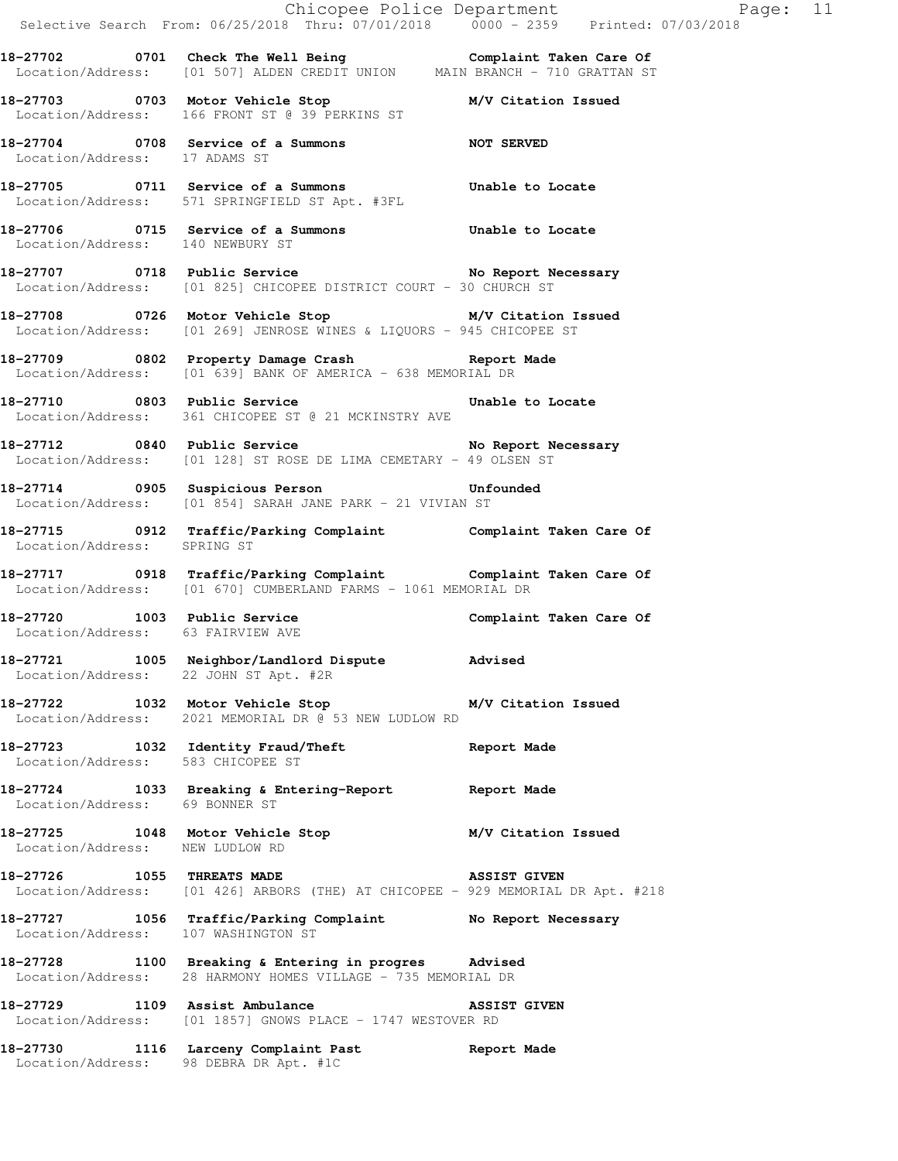Chicopee Police Department Page: 11 Selective Search From: 06/25/2018 Thru: 07/01/2018 0000 - 2359 Printed: 07/03/2018 **18-27702 0701 Check The Well Being Complaint Taken Care Of**  Location/Address: [01 507] ALDEN CREDIT UNION MAIN BRANCH - 710 GRATTAN ST **18-27703 0703 Motor Vehicle Stop M/V Citation Issued**  Location/Address: 166 FRONT ST @ 39 PERKINS ST **18-27704 0708 Service of a Summons NOT SERVED**  Location/Address: 17 ADAMS ST **18-27705 0711 Service of a Summons Unable to Locate**  Location/Address: 571 SPRINGFIELD ST Apt. #3FL **18-27706 0715 Service of a Summons Unable to Locate**  Location/Address: 140 NEWBURY ST **18-27707 0718 Public Service No Report Necessary**  Location/Address: [01 825] CHICOPEE DISTRICT COURT - 30 CHURCH ST **18-27708 0726 Motor Vehicle Stop M/V Citation Issued**  Location/Address: [01 269] JENROSE WINES & LIQUORS - 945 CHICOPEE ST **18-27709 0802 Property Damage Crash Report Made**  Location/Address: [01 639] BANK OF AMERICA - 638 MEMORIAL DR **18-27710 0803 Public Service Unable to Locate**  Location/Address: 361 CHICOPEE ST @ 21 MCKINSTRY AVE 18-27712 0840 Public Service **No Report Necessary** Location/Address: [01 128] ST ROSE DE LIMA CEMETARY - 49 OLSEN ST **18-27714 0905 Suspicious Person Unfounded**  Location/Address: [01 854] SARAH JANE PARK - 21 VIVIAN ST **18-27715 0912 Traffic/Parking Complaint Complaint Taken Care Of**  Location/Address: SPRING ST **18-27717 0918 Traffic/Parking Complaint Complaint Taken Care Of**  Location/Address: [01 670] CUMBERLAND FARMS - 1061 MEMORIAL DR **18-27720 1003 Public Service Complaint Taken Care Of**  Location/Address: 63 FAIRVIEW AVE **18-27721 1005 Neighbor/Landlord Dispute Advised**  Location/Address: 22 JOHN ST Apt. #2R **18-27722 1032 Motor Vehicle Stop M/V Citation Issued**  Location/Address: 2021 MEMORIAL DR @ 53 NEW LUDLOW RD **18-27723 1032 Identity Fraud/Theft Report Made**  Location/Address: 583 CHICOPEE ST **18-27724 1033 Breaking & Entering-Report Report Made**  Location/Address: 69 BONNER ST **18-27725 1048 Motor Vehicle Stop M/V Citation Issued**  Location/Address: NEW LUDLOW RD **18-27726** 1055 THREATS MADE **18-27726 1055** ASSIST GIVEN Location/Address: [01 426] ARBORS (THE) AT CHICOPEE - 929 MEMORIAL DR Apt. #218 **18-27727 1056 Traffic/Parking Complaint No Report Necessary**  Location/Address: 107 WASHINGTON ST **18-27728 1100 Breaking & Entering in progres Advised**  Location/Address: 28 HARMONY HOMES VILLAGE - 735 MEMORIAL DR **18-27729 1109 Assist Ambulance ASSIST GIVEN**  Location/Address: [01 1857] GNOWS PLACE - 1747 WESTOVER RD **18-27730 1116 Larceny Complaint Past Report Made** 

Location/Address: 98 DEBRA DR Apt. #1C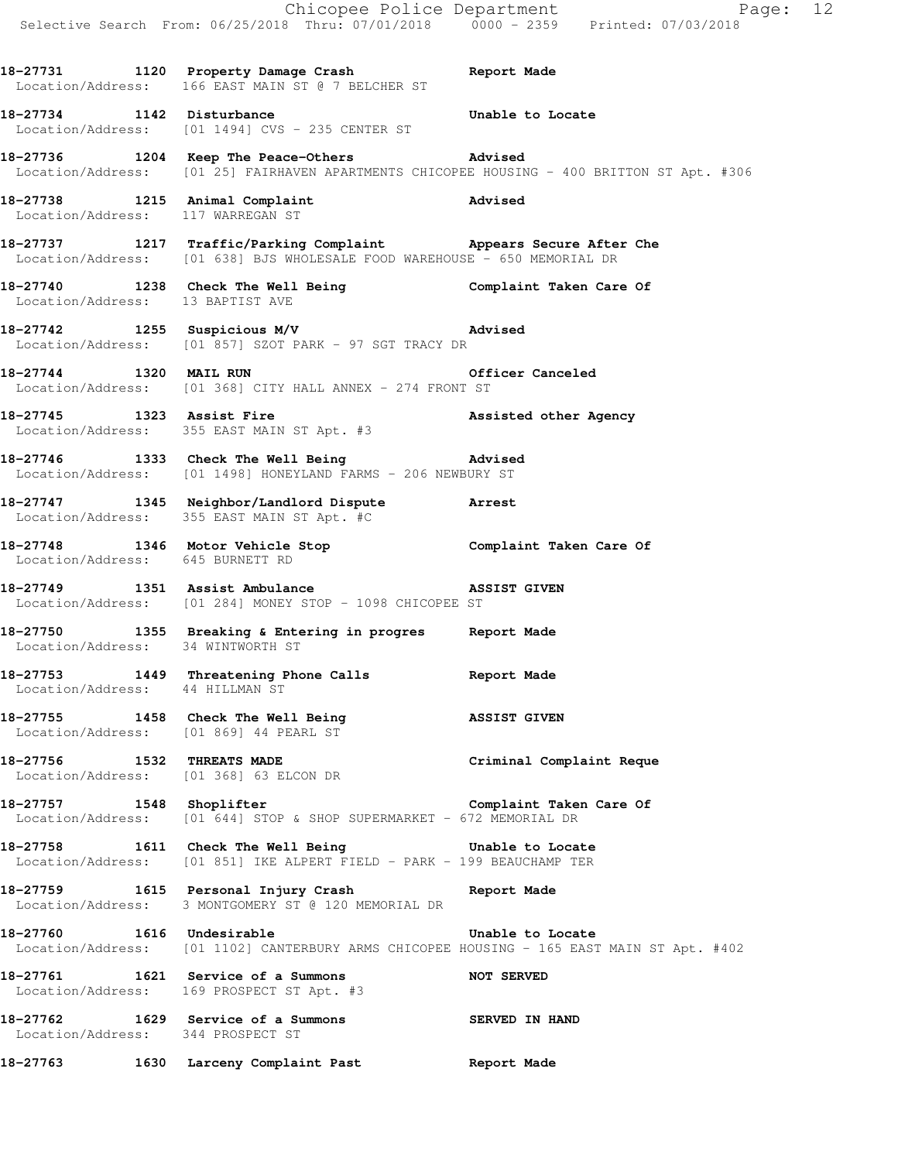- Chicopee Police Department Page: 12 Selective Search From: 06/25/2018 Thru: 07/01/2018 0000 - 2359 Printed: 07/03/2018 **18-27731 1120 Property Damage Crash Report Made**  Location/Address: 166 EAST MAIN ST @ 7 BELCHER ST **18-27734 1142 Disturbance Unable to Locate**  Location/Address: [01 1494] CVS - 235 CENTER ST **18-27736 1204 Keep The Peace-Others Advised**  Location/Address: [01 25] FAIRHAVEN APARTMENTS CHICOPEE HOUSING - 400 BRITTON ST Apt. #306 **18-27738 1215 Animal Complaint Advised**  Location/Address: 117 WARREGAN ST **18-27737 1217 Traffic/Parking Complaint Appears Secure After Che**  Location/Address: [01 638] BJS WHOLESALE FOOD WAREHOUSE - 650 MEMORIAL DR **18-27740 1238 Check The Well Being Complaint Taken Care Of**  Location/Address: 13 BAPTIST AVE **18-27742 1255 Suspicious M/V Advised**  Location/Address: [01 857] SZOT PARK - 97 SGT TRACY DR **18-27744 1320 MAIL RUN Officer Canceled**  Location/Address: [01 368] CITY HALL ANNEX - 274 FRONT ST **18-27745 1323 Assist Fire Assisted other Agency**  Location/Address: 355 EAST MAIN ST Apt. #3 **18-27746 1333 Check The Well Being Advised**  Location/Address: [01 1498] HONEYLAND FARMS - 206 NEWBURY ST **18-27747 1345 Neighbor/Landlord Dispute Arrest**  Location/Address: 355 EAST MAIN ST Apt. #C **18-27748 1346 Motor Vehicle Stop Complaint Taken Care Of**  Location/Address: 645 BURNETT RD **18-27749 1351 Assist Ambulance ASSIST GIVEN**  Location/Address: [01 284] MONEY STOP - 1098 CHICOPEE ST **18-27750 1355 Breaking & Entering in progres Report Made**  Location/Address: 34 WINTWORTH ST **18-27753 1449 Threatening Phone Calls Report Made**  Location/Address: 44 HILLMAN ST **18-27755 1458 Check The Well Being ASSIST GIVEN**  Location/Address: [01 869] 44 PEARL ST **18-27756 1532 THREATS MADE Criminal Complaint Reque**  Location/Address: [01 368] 63 ELCON DR 18-27757 **1548** Shoplifter **Complaint Taken Care Of** Location/Address: [01 644] STOP & SHOP SUPERMARKET - 672 MEMORIAL DR **18-27758 1611 Check The Well Being Unable to Locate**  Location/Address: [01 851] IKE ALPERT FIELD - PARK - 199 BEAUCHAMP TER **18-27759 1615 Personal Injury Crash Report Made**  Location/Address: 3 MONTGOMERY ST @ 120 MEMORIAL DR **18-27760 1616 Undesirable Unable to Locate**  Location/Address: [01 1102] CANTERBURY ARMS CHICOPEE HOUSING - 165 EAST MAIN ST Apt. #402 **18-27761 1621 Service of a Summons NOT SERVED**  Location/Address: 169 PROSPECT ST Apt. #3 18-27762 1629 Service of a Summons **SERVED IN HAND** Location/Address: 344 PROSPECT ST
- **18-27763 1630 Larceny Complaint Past Report Made**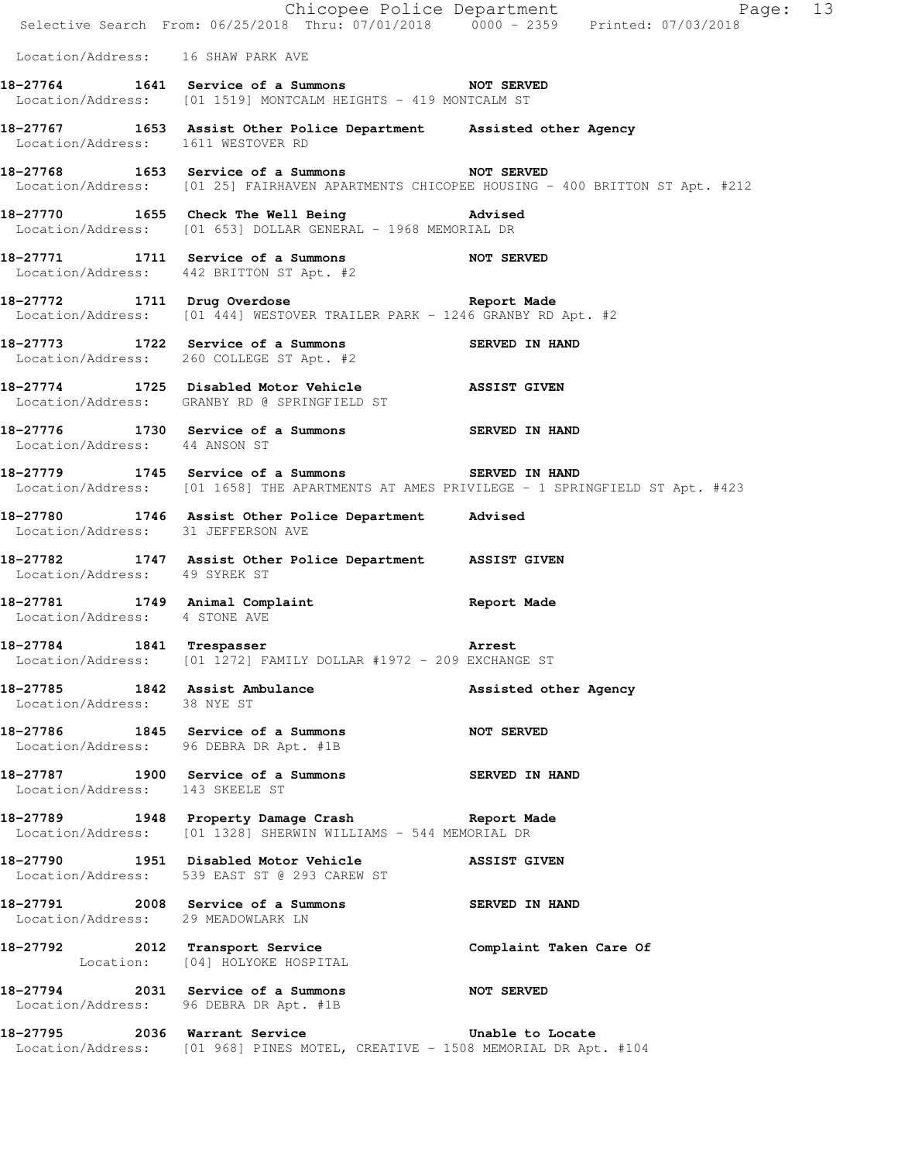|                                    | Chicopee Police Department<br>Selective Search From: 06/25/2018 Thru: 07/01/2018 0000 - 2359 Printed: 07/03/2018                               | Page: 13                |
|------------------------------------|------------------------------------------------------------------------------------------------------------------------------------------------|-------------------------|
| Location/Address: 16 SHAW PARK AVE |                                                                                                                                                |                         |
|                                    | 18-27764 1641 Service of a Summons NOT SERVED<br>Location/Address: [01 1519] MONTCALM HEIGHTS - 419 MONTCALM ST                                |                         |
| Location/Address: 1611 WESTOVER RD | 18-27767 1653 Assist Other Police Department Assisted other Agency                                                                             |                         |
|                                    | 18-27768 1653 Service of a Summons NOT SERVED<br>Location/Address: [01 25] FAIRHAVEN APARTMENTS CHICOPEE HOUSING - 400 BRITTON ST Apt. #212    |                         |
|                                    | 18-27770 1655 Check The Well Being 30 Marised<br>Location/Address: [01 653] DOLLAR GENERAL - 1968 MEMORIAL DR                                  |                         |
|                                    | 18-27771 1711 Service of a Summons NOT SERVED<br>Location/Address: 442 BRITTON ST Apt. #2                                                      |                         |
|                                    | 18-27772 1711 Drug Overdose 1988 1997 Report Made<br>Location/Address: [01 444] WESTOVER TRAILER PARK - 1246 GRANBY RD Apt. #2                 |                         |
|                                    | 18-27773 1722 Service of a Summons SERVED IN HAND<br>Location/Address: 260 COLLEGE ST Apt. #2                                                  |                         |
|                                    | 18-27774 1725 Disabled Motor Vehicle ASSIST GIVEN<br>Location/Address: GRANBY RD @ SPRINGFIELD ST                                              |                         |
| Location/Address: 44 ANSON ST      | 18-27776 1730 Service of a Summons SERVED IN HAND                                                                                              |                         |
|                                    | 18-27779 1745 Service of a Summons SERVED IN HAND<br>Location/Address: [01 1658] THE APARTMENTS AT AMES PRIVILEGE - 1 SPRINGFIELD ST Apt. #423 |                         |
| Location/Address: 31 JEFFERSON AVE | 18-27780 1746 Assist Other Police Department Advised                                                                                           |                         |
| Location/Address: 49 SYREK ST      | 18-27782 1747 Assist Other Police Department ASSIST GIVEN                                                                                      |                         |
| Location/Address: 4 STONE AVE      | 18-27781 1749 Animal Complaint 18-27781                                                                                                        |                         |
|                                    | 18-27784 1841 Trespasser and Arrest<br>Location/Address: [01 1272] FAMILY DOLLAR #1972 - 209 EXCHANGE ST                                       |                         |
| Location/Address: 38 NYE ST        | 18-27785 1842 Assist Ambulance                                                                                                                 | Assisted other Agency   |
|                                    | 18-27786 1845 Service of a Summons<br>Location/Address: 96 DEBRA DR Apt. #1B                                                                   | <b>NOT SERVED</b>       |
| Location/Address: 143 SKEELE ST    | 18-27787 1900 Service of a Summons SERVED IN HAND                                                                                              |                         |
|                                    | 18-27789 1948 Property Damage Crash Report Made<br>Location/Address: [01 1328] SHERWIN WILLIAMS - 544 MEMORIAL DR                              |                         |
|                                    | 18-27790 1951 Disabled Motor Vehicle ASSIST GIVEN<br>Location/Address: 539 EAST ST @ 293 CAREW ST                                              |                         |
| Location/Address: 29 MEADOWLARK LN | 18-27791 2008 Service of a Summons SERVED IN HAND                                                                                              |                         |
|                                    | 18-27792 2012 Transport Service<br>Location: [04] HOLYOKE HOSPITAL                                                                             | Complaint Taken Care Of |
|                                    | 18-27794 2031 Service of a Summons NOT SERVED<br>Location/Address: 96 DEBRA DR Apt. #1B                                                        |                         |
|                                    | 18-27795 2036 Warrant Service<br>Location/Address: [01 968] PINES MOTEL, CREATIVE - 1508 MEMORIAL DR Apt. #104                                 | Unable to Locate        |
|                                    |                                                                                                                                                |                         |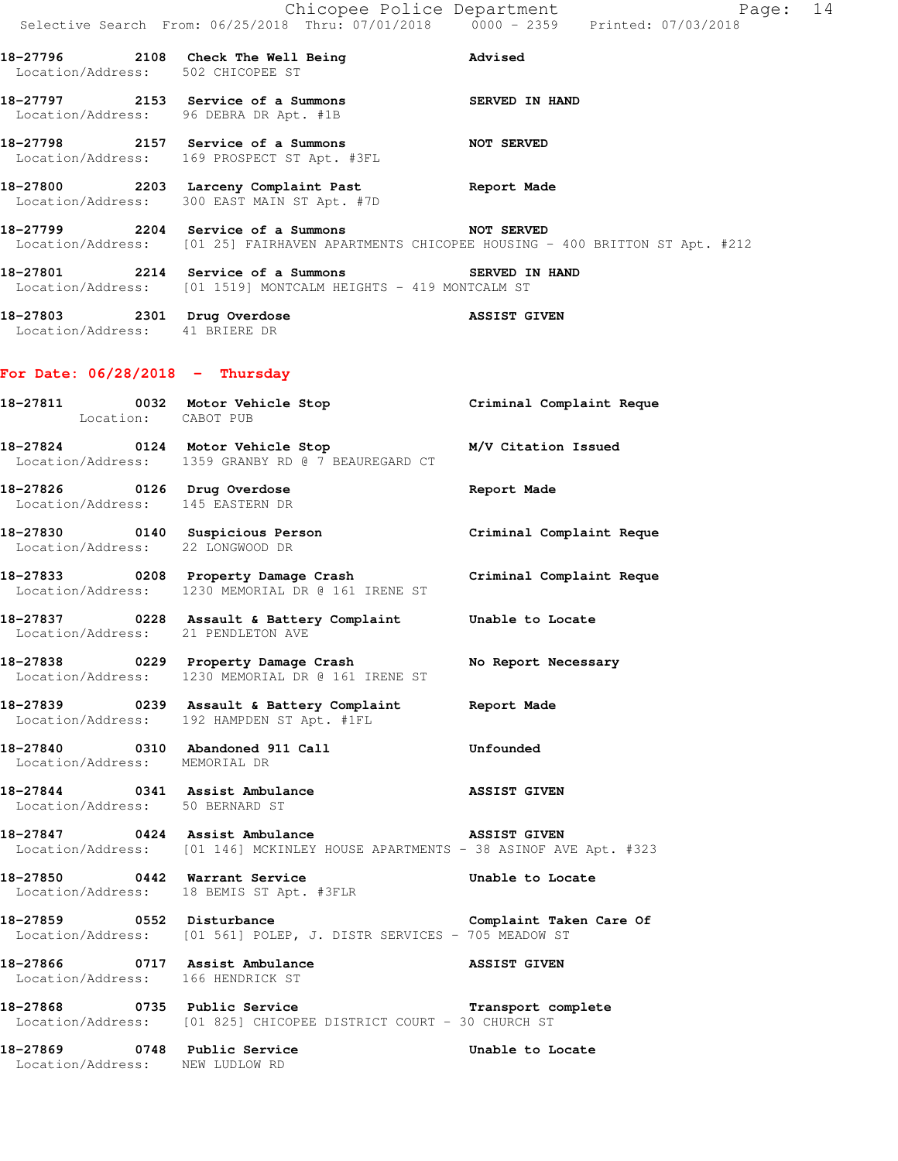|                                                                 | E Chicopee Police Department<br>Selective Search From: 06/25/2018 Thru: 07/01/2018 0000 - 2359 Printed: 07/03/2018                                        | Page: 14                                                                                   |
|-----------------------------------------------------------------|-----------------------------------------------------------------------------------------------------------------------------------------------------------|--------------------------------------------------------------------------------------------|
| Location/Address: 502 CHICOPEE ST                               | 18-27796 2108 Check The Well Being 30 Advised                                                                                                             |                                                                                            |
|                                                                 | 18-27797 2153 Service of a Summons SERVED IN HAND<br>Location/Address: 96 DEBRA DR Apt. #1B                                                               |                                                                                            |
|                                                                 | 18-27798 2157 Service of a Summons<br>Location/Address: 169 PROSPECT ST Apt. #3FL                                                                         | <b>NOT SERVED</b>                                                                          |
|                                                                 | 18-27800 2203 Larceny Complaint Past Report Made<br>Location/Address: 300 EAST MAIN ST Apt. #7D                                                           |                                                                                            |
|                                                                 | 18-27799 2204 Service of a Summons NOT SERVED                                                                                                             | Location/Address: [01 25] FAIRHAVEN APARTMENTS CHICOPEE HOUSING - 400 BRITTON ST Apt. #212 |
|                                                                 | 18-27801 2214 Service of a Summons SERVED IN HAND<br>Location/Address: [01 1519] MONTCALM HEIGHTS - 419 MONTCALM ST                                       |                                                                                            |
| Location/Address: 41 BRIERE DR                                  | 18-27803 2301 Drug Overdose 2001 2003 2010                                                                                                                |                                                                                            |
| For Date: $06/28/2018$ - Thursday                               |                                                                                                                                                           |                                                                                            |
| Location: CABOT PUB                                             | 18-27811 18-27811 0032 Motor Vehicle Stop 1912 Criminal Complaint Reque                                                                                   |                                                                                            |
|                                                                 | 18-27824 0124 Motor Vehicle Stop M/V Citation Issued<br>Location/Address: 1359 GRANBY RD @ 7 BEAUREGARD CT                                                |                                                                                            |
| Location/Address: 145 EASTERN DR                                |                                                                                                                                                           | Report Made                                                                                |
| Location/Address: 22 LONGWOOD DR                                |                                                                                                                                                           |                                                                                            |
|                                                                 | 18-27833 <a>&gt; 0208 Property Damage Crash <a>&gt; <a></a> <a>Criminal Complaint Reque<br/>Location/Address: 1230 MEMORIAL DR @ 161 IRENE ST</a></a></a> |                                                                                            |
| Location/Address: 21 PENDLETON AVE                              | 18-27837 0228 Assault & Battery Complaint Unable to Locate                                                                                                |                                                                                            |
|                                                                 | 18-27838 0229 Property Damage Crash<br>Location/Address: 1230 MEMORIAL DR @ 161 IRENE ST                                                                  | No Report Necessary                                                                        |
|                                                                 | 18-27839 (0239 Assault & Battery Complaint Report Made<br>Location/Address: 192 HAMPDEN ST Apt. #1FL                                                      |                                                                                            |
| Location/Address: MEMORIAL DR                                   |                                                                                                                                                           | Unfounded                                                                                  |
| Location/Address: 50 BERNARD ST                                 | 18-27844 0341 Assist Ambulance Nassist SIVEN                                                                                                              |                                                                                            |
|                                                                 | 18-27847 0424 Assist Ambulance<br>Location/Address: [01 146] MCKINLEY HOUSE APARTMENTS - 38 ASINOF AVE Apt. #323                                          | <b>ASSIST GIVEN</b>                                                                        |
|                                                                 | 18-27850 0442 Warrant Service<br>Location/Address: 18 BEMIS ST Apt. #3FLR                                                                                 | Unable to Locate                                                                           |
| 18-27859 0552 Disturbance                                       | Location/Address: [01 561] POLEP, J. DISTR SERVICES - 705 MEADOW ST                                                                                       | Complaint Taken Care Of                                                                    |
| Location/Address: 166 HENDRICK ST                               | 18-27866 0717 Assist Ambulance                                                                                                                            | <b>ASSIST GIVEN</b>                                                                        |
|                                                                 | 18-27868 0735 Public Service <b>18-18 Present Complete</b><br>Location/Address: [01 825] CHICOPEE DISTRICT COURT - 30 CHURCH ST                           |                                                                                            |
| 18-27869 0748 Public Service<br>Location/Address: NEW LUDLOW RD |                                                                                                                                                           | Unable to Locate                                                                           |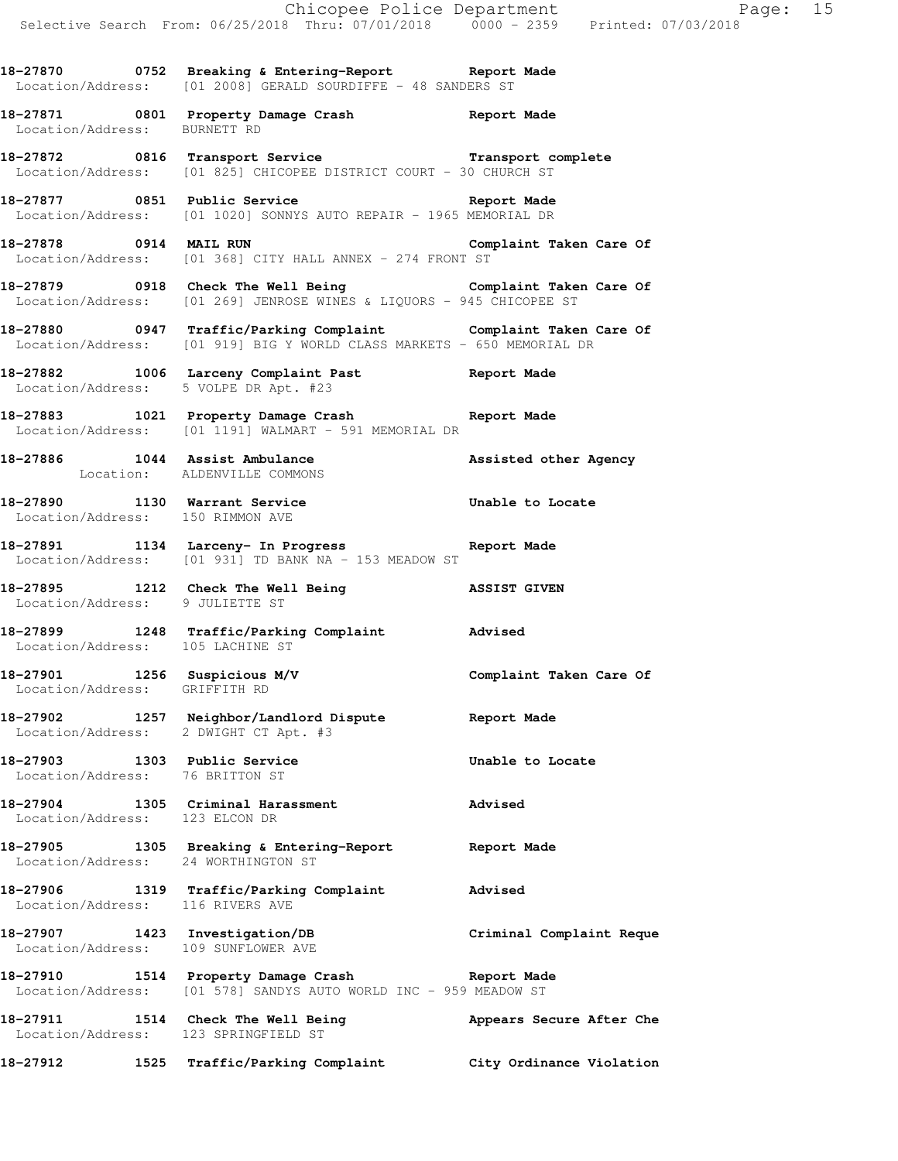**18-27870 0752 Breaking & Entering-Report Report Made**  Location/Address: [01 2008] GERALD SOURDIFFE - 48 SANDERS ST

**18-27871 0801 Property Damage Crash Report Made**  Location/Address: BURNETT RD

**18-27872 0816 Transport Service Transport complete**  Location/Address: [01 825] CHICOPEE DISTRICT COURT - 30 CHURCH ST

**18-27877 0851 Public Service Report Made**  Location/Address: [01 1020] SONNYS AUTO REPAIR - 1965 MEMORIAL DR

**18-27878 0914 MAIL RUN Complaint Taken Care Of**  Location/Address: [01 368] CITY HALL ANNEX - 274 FRONT ST

**18-27879 0918 Check The Well Being Complaint Taken Care Of**  Location/Address: [01 269] JENROSE WINES & LIQUORS - 945 CHICOPEE ST

**18-27880 0947 Traffic/Parking Complaint Complaint Taken Care Of**  Location/Address: [01 919] BIG Y WORLD CLASS MARKETS - 650 MEMORIAL DR

**18-27882 1006 Larceny Complaint Past Report Made**  Location/Address: 5 VOLPE DR Apt. #23

**18-27883 1021 Property Damage Crash Report Made**  Location/Address: [01 1191] WALMART - 591 MEMORIAL DR

18-27886 1044 Assist Ambulance **18-27886** 1044 Assisted other Agency Location: ALDENVILLE COMMONS

**18-27890 1130 Warrant Service Unable to Locate**  Location/Address: 150 RIMMON AVE

**18-27891 1134 Larceny- In Progress Report Made**  Location/Address: [01 931] TD BANK NA - 153 MEADOW ST

**18-27895 1212 Check The Well Being ASSIST GIVEN**  Location/Address: 9 JULIETTE ST

**18-27899 1248 Traffic/Parking Complaint Advised**  Location/Address: 105 LACHINE ST

**18-27901 1256 Suspicious M/V Complaint Taken Care Of**  Location/Address: GRIFFITH RD

**18-27902 1257 Neighbor/Landlord Dispute Report Made**  Location/Address: 2 DWIGHT CT Apt. #3

**18-27903 1303 Public Service Unable to Locate**  Location/Address: 76 BRITTON ST

**18-27904 1305 Criminal Harassment Advised**  Location/Address: 123 ELCON DR

**18-27905 1305 Breaking & Entering-Report Report Made**  Location/Address: 24 WORTHINGTON ST

**18-27906 1319 Traffic/Parking Complaint Advised**  Location/Address: 116 RIVERS AVE

**18-27907 1423 Investigation/DB Criminal Complaint Reque**  Location/Address: 109 SUNFLOWER AVE

**18-27910 1514 Property Damage Crash Report Made**  Location/Address: [01 578] SANDYS AUTO WORLD INC - 959 MEADOW ST

18-27911 1514 Check The Well Being **Appears Secure After Che** Location/Address: 123 SPRINGFIELD ST

**18-27912 1525 Traffic/Parking Complaint City Ordinance Violation**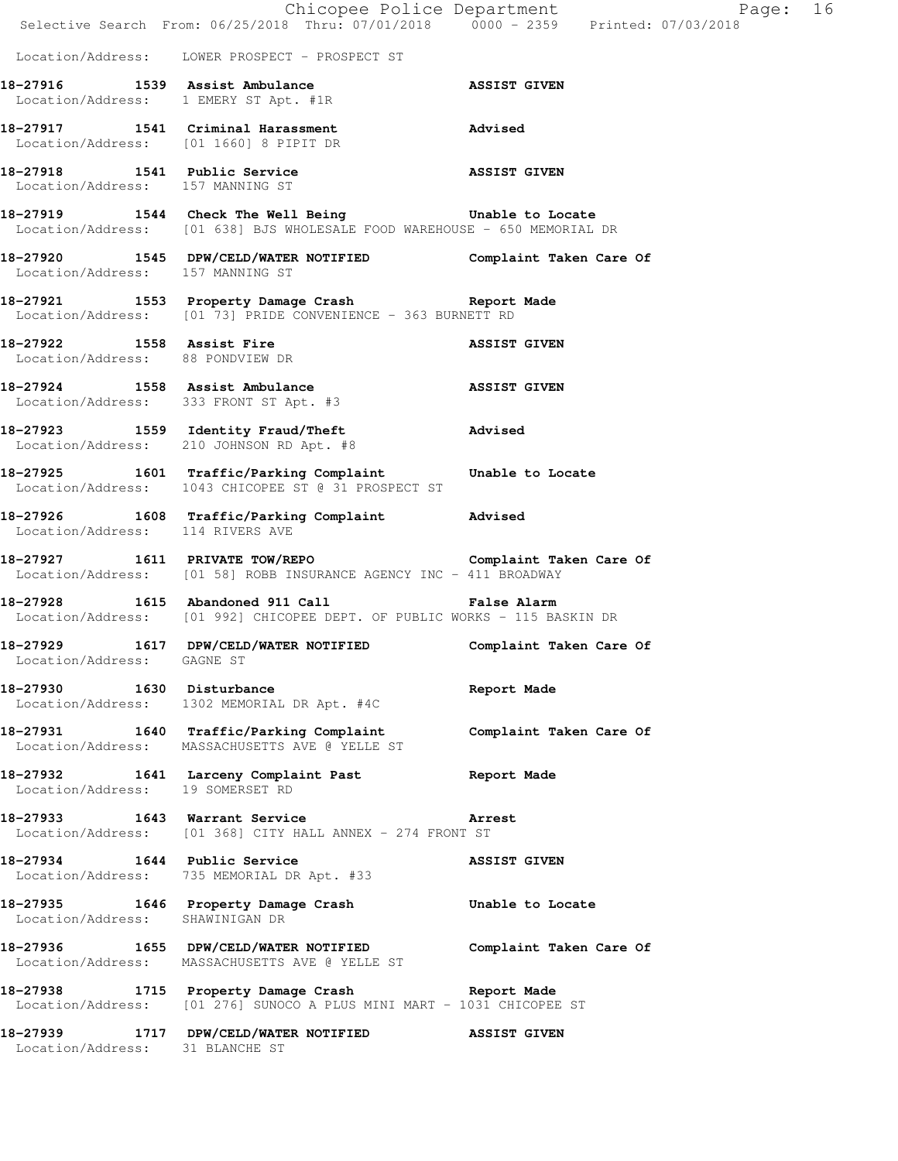|                                  | Selective Search From: 06/25/2018 Thru: 07/01/2018 0000 - 2359 Printed: 07/03/2018                                                  | Chicopee Police Department<br>Page: 16 |
|----------------------------------|-------------------------------------------------------------------------------------------------------------------------------------|----------------------------------------|
|                                  | Location/Address: LOWER PROSPECT - PROSPECT ST                                                                                      |                                        |
|                                  | 18-27916 1539 Assist Ambulance<br>Location/Address: 1 EMERY ST Apt. #1R                                                             | <b>ASSIST GIVEN</b>                    |
|                                  | 18-27917 1541 Criminal Harassment<br>Location/Address: [01 1660] 8 PIPIT DR                                                         | Advised                                |
| Location/Address: 157 MANNING ST | 18-27918 1541 Public Service 2015 18531ST GIVEN                                                                                     |                                        |
|                                  | 18-27919 1544 Check The Well Being 30 Unable to Locate<br>Location/Address: [01 638] BJS WHOLESALE FOOD WAREHOUSE - 650 MEMORIAL DR |                                        |
| Location/Address: 157 MANNING ST | 18-27920 1545 DPW/CELD/WATER NOTIFIED Complaint Taken Care Of                                                                       |                                        |
|                                  | 18-27921 1553 Property Damage Crash Report Made<br>Location/Address: [01 73] PRIDE CONVENIENCE - 363 BURNETT RD                     |                                        |
| Location/Address: 88 PONDVIEW DR | 18-27922 1558 Assist Fire                                                                                                           | <b>ASSIST GIVEN</b>                    |
|                                  | 18-27924 1558 Assist Ambulance<br>Location/Address: 333 FRONT ST Apt. #3                                                            | <b>ASSIST GIVEN</b>                    |
|                                  | 18-27923 1559 Identity Fraud/Theft Advised<br>Location/Address: 210 JOHNSON RD Apt. #8                                              |                                        |
|                                  | 18-27925 1601 Traffic/Parking Complaint Unable to Locate<br>Location/Address: 1043 CHICOPEE ST @ 31 PROSPECT ST                     |                                        |
| Location/Address: 114 RIVERS AVE | 18-27926 1608 Traffic/Parking Complaint Advised                                                                                     |                                        |
|                                  | 18-27927 1611 PRIVATE TOW/REPO Complaint Taken Care Of<br>Location/Address: [01 58] ROBB INSURANCE AGENCY INC - 411 BROADWAY        |                                        |
|                                  | 18-27928 1615 Abandoned 911 Call Call False Alarm<br>Location/Address: [01 992] CHICOPEE DEPT. OF PUBLIC WORKS - 115 BASKIN DR      |                                        |
| Location/Address: GAGNE ST       | 18-27929 1617 DPW/CELD/WATER NOTIFIED Complaint Taken Care Of                                                                       |                                        |
| 18-27930 1630 Disturbance        | Location/Address: 1302 MEMORIAL DR Apt. #4C                                                                                         | Report Made                            |
|                                  | 18-27931 1640 Traffic/Parking Complaint<br>Location/Address: MASSACHUSETTS AVE @ YELLE ST                                           | Complaint Taken Care Of                |
| Location/Address: 19 SOMERSET RD | 18-27932 1641 Larceny Complaint Past Report Made                                                                                    |                                        |
| 18-27933 1643 Warrant Service    | Location/Address: [01 368] CITY HALL ANNEX - 274 FRONT ST                                                                           | <b>Arrest</b>                          |
| 18-27934 1644 Public Service     | Location/Address: 735 MEMORIAL DR Apt. #33                                                                                          | <b>ASSIST GIVEN</b>                    |
| Location/Address: SHAWINIGAN DR  | 18-27935 1646 Property Damage Crash                                                                                                 | Unable to Locate                       |
|                                  | 18-27936 1655 DPW/CELD/WATER NOTIFIED Complaint Taken Care Of<br>Location/Address: MASSACHUSETTS AVE @ YELLE ST                     |                                        |
|                                  | 18-27938 1715 Property Damage Crash Report Made<br>Location/Address: [01 276] SUNOCO A PLUS MINI MART - 1031 CHICOPEE ST            |                                        |
| Location/Address:                | 18-27939 1717 DPW/CELD/WATER NOTIFIED ASSIST GIVEN<br>31 BLANCHE ST                                                                 |                                        |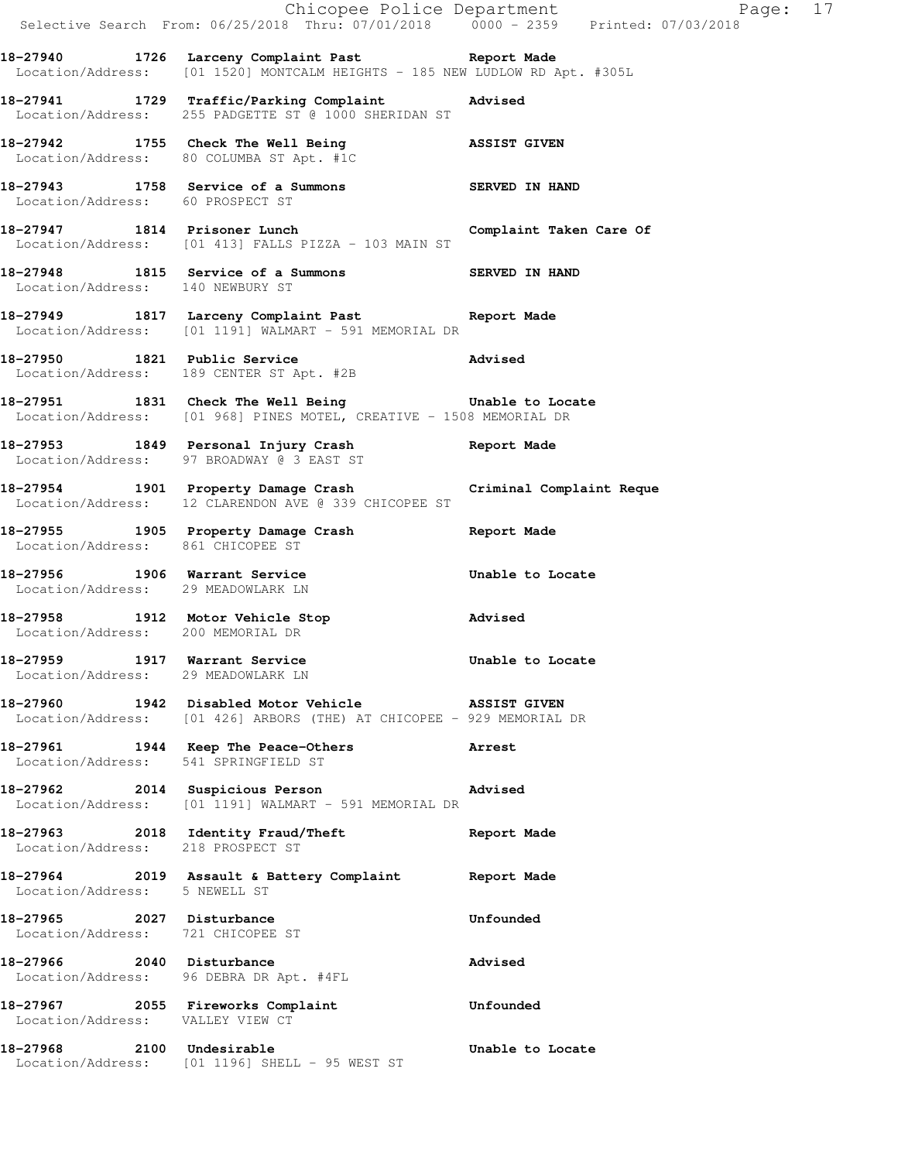|                                                                     |                                                                                                                                 | Page: 17<br>Selective Search From: 06/25/2018 Thru: 07/01/2018 0000 - 2359 Printed: 07/03/2018 |
|---------------------------------------------------------------------|---------------------------------------------------------------------------------------------------------------------------------|------------------------------------------------------------------------------------------------|
|                                                                     | 18-27940 1726 Larceny Complaint Past Report Made<br>Location/Address: [01 1520] MONTCALM HEIGHTS - 185 NEW LUDLOW RD Apt. #305L |                                                                                                |
|                                                                     | 18-27941 1729 Traffic/Parking Complaint<br>Location/Address: 255 PADGETTE ST @ 1000 SHERIDAN ST                                 | <b>Advised</b>                                                                                 |
|                                                                     | 18-27942 1755 Check The Well Being 38SIST GIVEN<br>Location/Address: 80 COLUMBA ST Apt. #1C                                     |                                                                                                |
| Location/Address: 60 PROSPECT ST                                    | 18-27943 1758 Service of a Summons SERVED IN HAND                                                                               |                                                                                                |
|                                                                     | 18-27947 1814 Prisoner Lunch Complaint Taken Care Of<br>Location/Address: [01 413] FALLS PIZZA - 103 MAIN ST                    |                                                                                                |
| Location/Address: 140 NEWBURY ST                                    | 18-27948 1815 Service of a Summons                                                                                              | SERVED IN HAND                                                                                 |
|                                                                     | 18-27949 1817 Larceny Complaint Past Report Made<br>Location/Address: [01 1191] WALMART - 591 MEMORIAL DR                       |                                                                                                |
| 18-27950 1821 Public Service                                        | 18-27950 1821 Public Service<br>Location/Address: 189 CENTER ST Apt. #2B                                                        | Advised                                                                                        |
|                                                                     | 18-27951 1831 Check The Well Being 6 Unable to Locate<br>Location/Address: [01 968] PINES MOTEL, CREATIVE - 1508 MEMORIAL DR    |                                                                                                |
|                                                                     | 18-27953 1849 Personal Injury Crash 18-27953<br>Location/Address: 97 BROADWAY @ 3 EAST ST                                       |                                                                                                |
|                                                                     | 18-27954 1901 Property Damage Crash<br>Location/Address: 12 CLARENDON AVE @ 339 CHICOPEE ST                                     | Criminal Complaint Reque                                                                       |
| Location/Address: 861 CHICOPEE ST                                   | 18-27955 1905 Property Damage Crash Report Made                                                                                 |                                                                                                |
| Location/Address: 29 MEADOWLARK LN                                  | 18-27956 1906 Warrant Service                                                                                                   | Unable to Locate                                                                               |
| Location/Address: 200 MEMORIAL DR                                   | 18-27958 1912 Motor Vehicle Stop 30 Advised                                                                                     |                                                                                                |
| 18-27959 1917 Warrant Service<br>Location/Address: 29 MEADOWLARK LN |                                                                                                                                 | Unable to Locate                                                                               |
|                                                                     | 18-27960 1942 Disabled Motor Vehicle ASSIST GIVEN<br>Location/Address: [01 426] ARBORS (THE) AT CHICOPEE - 929 MEMORIAL DR      |                                                                                                |
| Location/Address: 541 SPRINGFIELD ST                                | 18-27961 1944 Keep The Peace-Others 2011 Arrest                                                                                 |                                                                                                |
|                                                                     | 18-27962 2014 Suspicious Person advised<br>Location/Address: [01 1191] WALMART - 591 MEMORIAL DR                                |                                                                                                |
|                                                                     | 18-27963 2018 Identity Fraud/Theft<br>Location/Address: 218 PROSPECT ST                                                         | Report Made                                                                                    |
| Location/Address: 5 NEWELL ST                                       | 18-27964 2019 Assault & Battery Complaint Report Made                                                                           |                                                                                                |
| 18-27965 2027 Disturbance<br>Location/Address: 721 CHICOPEE ST      |                                                                                                                                 | Unfounded                                                                                      |
| 18-27966 2040 Disturbance                                           | Location/Address: 96 DEBRA DR Apt. #4FL                                                                                         | Advised                                                                                        |
| Location/Address: VALLEY VIEW CT                                    | 18-27967 2055 Fireworks Complaint                                                                                               | Unfounded                                                                                      |
| 18-27968 2100 Undesirable                                           | Location/Address: [01 1196] SHELL - 95 WEST ST                                                                                  | Unable to Locate                                                                               |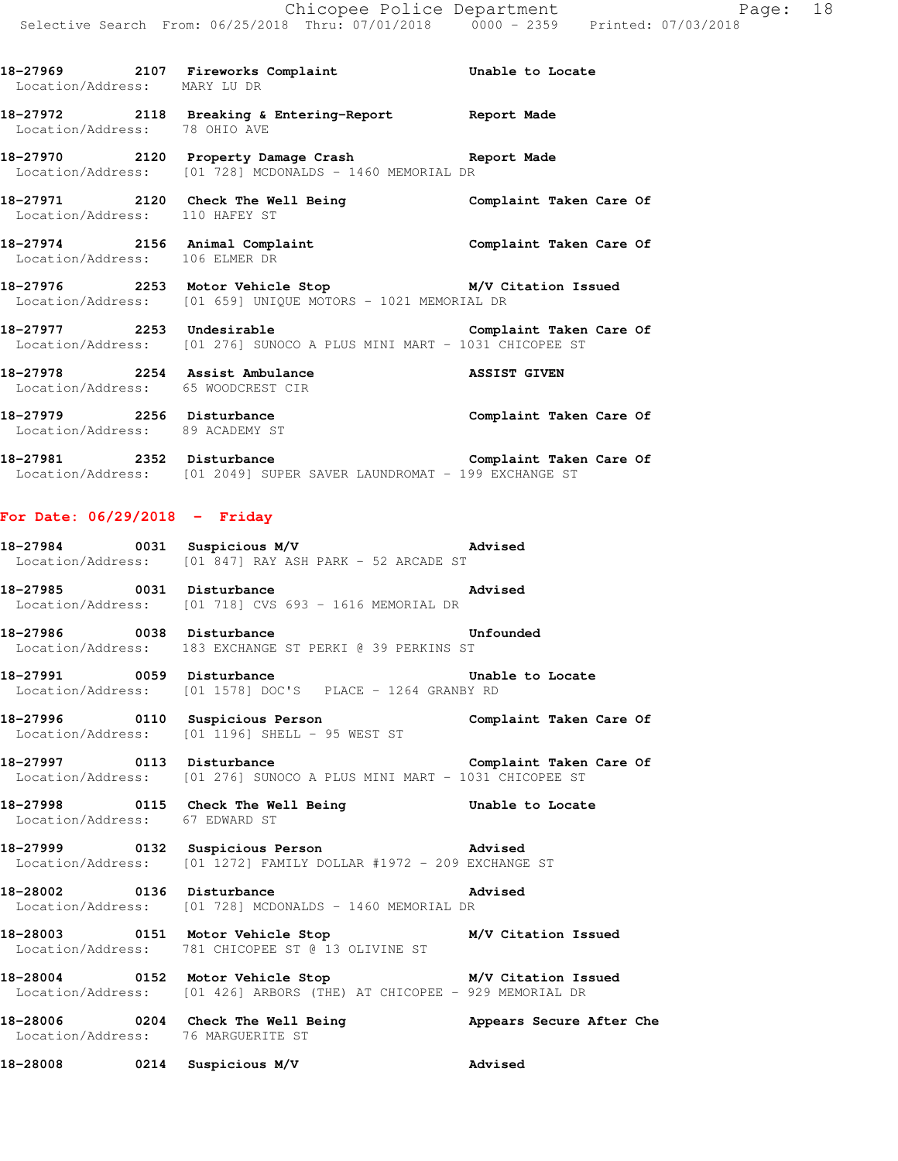**18-27969 2107 Fireworks Complaint Unable to Locate** 

Location/Address: MARY LU DR

**18-27972 2118 Breaking & Entering-Report Report Made**  Location/Address: 78 OHIO AVE **18-27970 2120 Property Damage Crash Report Made**  Location/Address: [01 728] MCDONALDS - 1460 MEMORIAL DR **18-27971 2120 Check The Well Being Complaint Taken Care Of**  Location/Address: 110 HAFEY ST **18-27974 2156 Animal Complaint Complaint Taken Care Of**  Location/Address: 106 ELMER DR **18-27976 2253 Motor Vehicle Stop M/V Citation Issued**  Location/Address: [01 659] UNIQUE MOTORS - 1021 MEMORIAL DR **18-27977 2253 Undesirable Complaint Taken Care Of**  Location/Address: [01 276] SUNOCO A PLUS MINI MART - 1031 CHICOPEE ST **18-27978 2254 Assist Ambulance ASSIST GIVEN**  Location/Address: 65 WOODCREST CIR 18-27979 2256 Disturbance **Complaint Taken Care Of**  Location/Address: 89 ACADEMY ST **18-27981 2352 Disturbance Complaint Taken Care Of**  Location/Address: [01 2049] SUPER SAVER LAUNDROMAT - 199 EXCHANGE ST **For Date: 06/29/2018 - Friday 18-27984 0031 Suspicious M/V Advised**  Location/Address: [01 847] RAY ASH PARK - 52 ARCADE ST **18-27985 0031 Disturbance Advised**  Location/Address: [01 718] CVS 693 - 1616 MEMORIAL DR **18-27986 0038 Disturbance Unfounded**  Location/Address: 183 EXCHANGE ST PERKI @ 39 PERKINS ST **18-27991 0059 Disturbance Unable to Locate**  Location/Address: [01 1578] DOC'S PLACE - 1264 GRANBY RD **18-27996 0110 Suspicious Person Complaint Taken Care Of**  Location/Address: [01 1196] SHELL - 95 WEST ST **18-27997 0113 Disturbance Complaint Taken Care Of**  Location/Address: [01 276] SUNOCO A PLUS MINI MART - 1031 CHICOPEE ST **18-27998 0115 Check The Well Being Unable to Locate**  Location/Address: 67 EDWARD ST **18-27999 0132 Suspicious Person Advised**  Location/Address: [01 1272] FAMILY DOLLAR #1972 - 209 EXCHANGE ST **18-28002 0136 Disturbance Advised**  Location/Address: [01 728] MCDONALDS - 1460 MEMORIAL DR **18-28003 0151 Motor Vehicle Stop M/V Citation Issued**  Location/Address: 781 CHICOPEE ST @ 13 OLIVINE ST **18-28004 0152 Motor Vehicle Stop M/V Citation Issued**  Location/Address: [01 426] ARBORS (THE) AT CHICOPEE - 929 MEMORIAL DR

**18-28006 0204 Check The Well Being Appears Secure After Che**  Location/Address: 76 MARGUERITE ST

**18-28008 0214 Suspicious M/V Advised**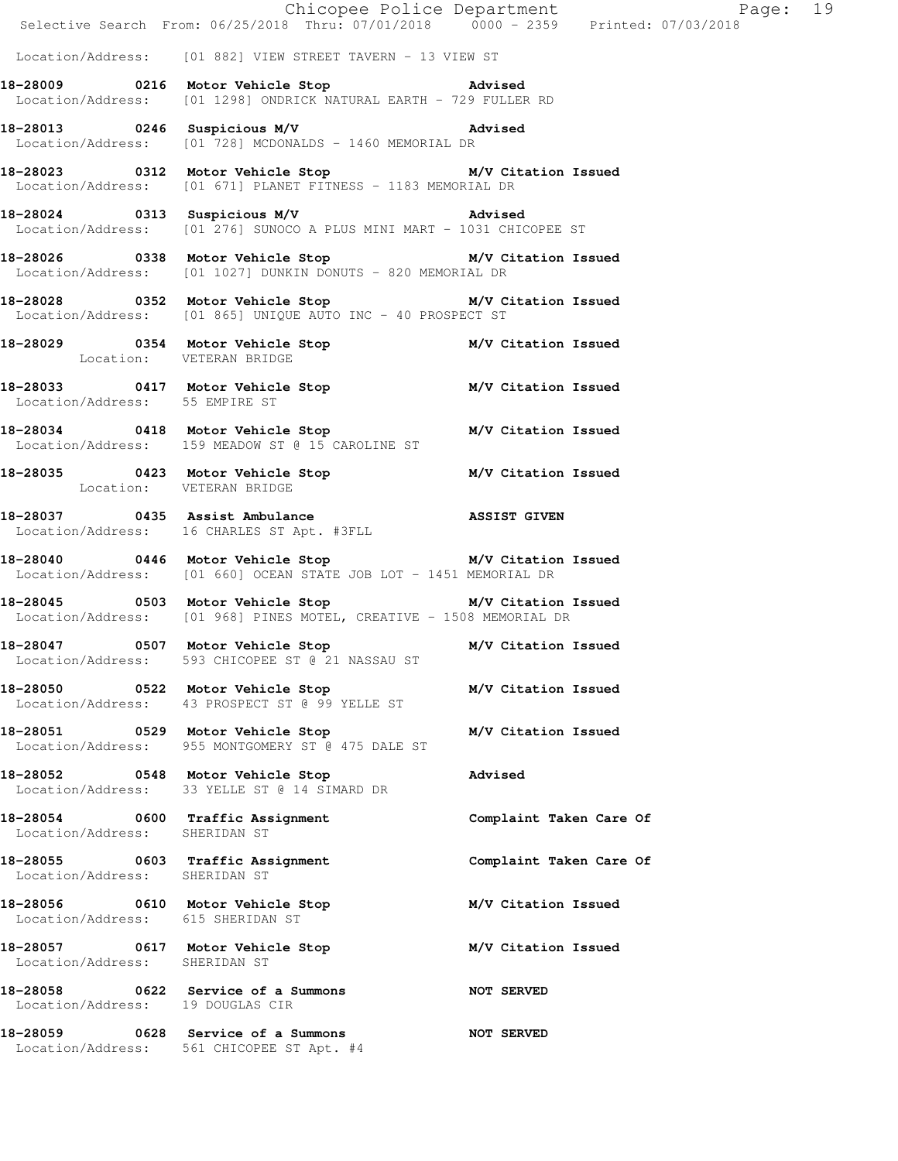|                                   |                                                                                                                             | Chicopee Police Department<br>Selective Search From: 06/25/2018 Thru: 07/01/2018 0000 - 2359 Printed: 07/03/2018<br>Page: 19 |  |
|-----------------------------------|-----------------------------------------------------------------------------------------------------------------------------|------------------------------------------------------------------------------------------------------------------------------|--|
|                                   | Location/Address: [01 882] VIEW STREET TAVERN - 13 VIEW ST                                                                  |                                                                                                                              |  |
|                                   | 18-28009 0216 Motor Vehicle Stop 30 Advised<br>Location/Address: [01 1298] ONDRICK NATURAL EARTH - 729 FULLER RD            |                                                                                                                              |  |
|                                   | 18-28013 0246 Suspicious M/V Advised<br>Location/Address: [01 728] MCDONALDS - 1460 MEMORIAL DR                             |                                                                                                                              |  |
|                                   | 18-28023 0312 Motor Vehicle Stop M/V Citation Issued<br>Location/Address: [01 671] PLANET FITNESS - 1183 MEMORIAL DR        |                                                                                                                              |  |
|                                   | 18-28024 0313 Suspicious M/V advised<br>Location/Address: [01 276] SUNOCO A PLUS MINI MART - 1031 CHICOPEE ST               |                                                                                                                              |  |
|                                   | 18-28026 0338 Motor Vehicle Stop M/V Citation Issued<br>Location/Address: [01 1027] DUNKIN DONUTS - 820 MEMORIAL DR         |                                                                                                                              |  |
|                                   | 18-28028 		 0352 Motor Vehicle Stop 		 M/V Citation Issued<br>Location/Address: [01 865] UNIQUE AUTO INC - 40 PROSPECT ST   |                                                                                                                              |  |
| Location: VETERAN BRIDGE          | 18-28029 0354 Motor Vehicle Stop M/V Citation Issued                                                                        |                                                                                                                              |  |
| Location/Address: 55 EMPIRE ST    | 18-28033 0417 Motor Vehicle Stop M/V Citation Issued                                                                        |                                                                                                                              |  |
|                                   | 18-28034 0418 Motor Vehicle Stop M/V Citation Issued<br>Location/Address: 159 MEADOW ST @ 15 CAROLINE ST                    |                                                                                                                              |  |
| Location: VETERAN BRIDGE          | 18-28035 0423 Motor Vehicle Stop M/V Citation Issued                                                                        |                                                                                                                              |  |
|                                   | 18-28037 0435 Assist Ambulance 18-28037 ASSIST GIVEN<br>Location/Address: 16 CHARLES ST Apt. #3FLL                          |                                                                                                                              |  |
|                                   | 18-28040 0446 Motor Vehicle Stop M/V Citation Issued<br>Location/Address: [01 660] OCEAN STATE JOB LOT - 1451 MEMORIAL DR   |                                                                                                                              |  |
|                                   | 18-28045 0503 Motor Vehicle Stop M/V Citation Issued<br>Location/Address: [01 968] PINES MOTEL, CREATIVE - 1508 MEMORIAL DR |                                                                                                                              |  |
|                                   | 18-28047 0507 Motor Vehicle Stop M/V Citation Issued<br>Location/Address: 593 CHICOPEE ST @ 21 NASSAU ST                    |                                                                                                                              |  |
|                                   | 18-28050 0522 Motor Vehicle Stop<br>Location/Address: 43 PROSPECT ST @ 99 YELLE ST                                          | M/V Citation Issued                                                                                                          |  |
|                                   | 18-28051 0529 Motor Vehicle Stop<br>Location/Address: 955 MONTGOMERY ST @ 475 DALE ST                                       | M/V Citation Issued                                                                                                          |  |
|                                   | 18-28052 0548 Motor Vehicle Stop<br>Location/Address: 33 YELLE ST @ 14 SIMARD DR                                            | Advised                                                                                                                      |  |
| Location/Address: SHERIDAN ST     | 18-28054 0600 Traffic Assignment                                                                                            | Complaint Taken Care Of                                                                                                      |  |
| Location/Address: SHERIDAN ST     | 18-28055 0603 Traffic Assignment                                                                                            | Complaint Taken Care Of                                                                                                      |  |
| Location/Address: 615 SHERIDAN ST | 18-28056 0610 Motor Vehicle Stop                                                                                            | M/V Citation Issued                                                                                                          |  |
| Location/Address: SHERIDAN ST     | 18-28057 0617 Motor Vehicle Stop                                                                                            | M/V Citation Issued                                                                                                          |  |
| Location/Address: 19 DOUGLAS CIR  | 18-28058 0622 Service of a Summons                                                                                          | NOT SERVED                                                                                                                   |  |
|                                   | 18-28059 0628 Service of a Summons<br>Location/Address: 561 CHICOPEE ST Apt. #4                                             | NOT SERVED                                                                                                                   |  |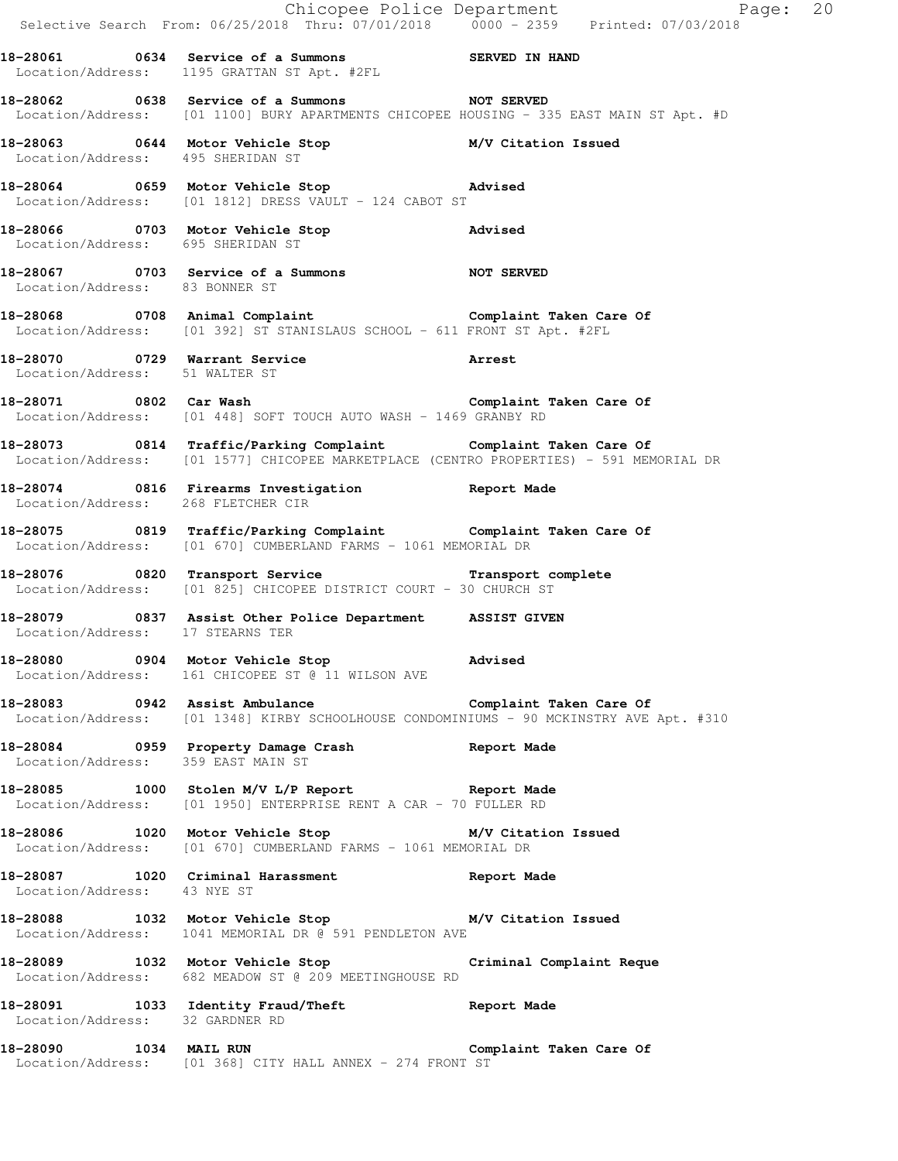|                                    |                                                                                                                                                           | Chicopee Police Department<br>Selective Search From: 06/25/2018 Thru: 07/01/2018 0000 - 2359 Printed: 07/03/2018 |  |
|------------------------------------|-----------------------------------------------------------------------------------------------------------------------------------------------------------|------------------------------------------------------------------------------------------------------------------|--|
|                                    | 18-28061 0634 Service of a Summons SERVED IN HAND<br>Location/Address: 1195 GRATTAN ST Apt. #2FL                                                          |                                                                                                                  |  |
|                                    | 18-28062 0638 Service of a Summons NOT SERVED<br>Location/Address: [01 1100] BURY APARTMENTS CHICOPEE HOUSING - 335 EAST MAIN ST Apt. #D                  |                                                                                                                  |  |
|                                    | 18-28063 0644 Motor Vehicle Stop M/V Citation Issued<br>Location/Address: 495 SHERIDAN ST                                                                 |                                                                                                                  |  |
|                                    | 18-28064 0659 Motor Vehicle Stop Advised<br>Location/Address: [01 1812] DRESS VAULT - 124 CABOT ST                                                        |                                                                                                                  |  |
|                                    | 18-28066 0703 Motor Vehicle Stop Movised<br>Location/Address: 695 SHERIDAN ST                                                                             |                                                                                                                  |  |
| Location/Address: 83 BONNER ST     | 18-28067 0703 Service of a Summons NOT SERVED                                                                                                             |                                                                                                                  |  |
|                                    | 18-28068 0708 Animal Complaint 18-28068 0708 Complaint Taken Care Of<br>Location/Address: [01 392] ST STANISLAUS SCHOOL - 611 FRONT ST Apt. #2FL          |                                                                                                                  |  |
| Location/Address: 51 WALTER ST     | 18-28070 0729 Warrant Service 2008 Arrest                                                                                                                 |                                                                                                                  |  |
|                                    | 18-28071 0802 Car Wash Complaint Taken Care Of<br>Location/Address: [01 448] SOFT TOUCH AUTO WASH - 1469 GRANBY RD                                        |                                                                                                                  |  |
|                                    | 18-28073 0814 Traffic/Parking Complaint Complaint Taken Care Of<br>Location/Address: [01 1577] CHICOPEE MARKETPLACE (CENTRO PROPERTIES) - 591 MEMORIAL DR |                                                                                                                  |  |
| Location/Address: 268 FLETCHER CIR | 18-28074 0816 Firearms Investigation Report Made                                                                                                          |                                                                                                                  |  |
|                                    | 18-28075 0819 Traffic/Parking Complaint Complaint Taken Care Of<br>Location/Address: [01 670] CUMBERLAND FARMS - 1061 MEMORIAL DR                         |                                                                                                                  |  |
|                                    | 18-28076 0820 Transport Service <b>18-28076</b> Transport complete<br>Location/Address: [01 825] CHICOPEE DISTRICT COURT - 30 CHURCH ST                   |                                                                                                                  |  |
|                                    | 18-28079 0837 Assist Other Police Department ASSIST GIVEN<br>Location/Address: 17 STEARNS TER                                                             |                                                                                                                  |  |
|                                    | 18-28080 0904 Motor Vehicle Stop Contracts and Motor Vehicle Stop<br>Location/Address: 161 CHICOPEE ST @ 11 WILSON AVE                                    |                                                                                                                  |  |
|                                    | 18-28083 0942 Assist Ambulance Complaint Taken Care Of<br>Location/Address: [01 1348] KIRBY SCHOOLHOUSE CONDOMINIUMS - 90 MCKINSTRY AVE Apt. #310         |                                                                                                                  |  |
| Location/Address: 359 EAST MAIN ST | 18-28084 0959 Property Damage Crash Report Made                                                                                                           |                                                                                                                  |  |
|                                    | 18-28085 1000 Stolen M/V L/P Report 1000 Stolen M<br>Location/Address: [01 1950] ENTERPRISE RENT A CAR - 70 FULLER RD                                     |                                                                                                                  |  |
|                                    | 18-28086 1020 Motor Vehicle Stop M/V Citation Issued<br>Location/Address: [01 670] CUMBERLAND FARMS - 1061 MEMORIAL DR                                    |                                                                                                                  |  |
| Location/Address: 43 NYE ST        | 18-28087 1020 Criminal Harassment Report Made                                                                                                             |                                                                                                                  |  |
|                                    | 18-28088 1032 Motor Vehicle Stop M/V Citation Issued<br>Location/Address: 1041 MEMORIAL DR @ 591 PENDLETON AVE                                            |                                                                                                                  |  |
|                                    | 18-28089 1032 Motor Vehicle Stop Criminal Complaint Reque<br>Location/Address: 682 MEADOW ST @ 209 MEETINGHOUSE RD                                        |                                                                                                                  |  |
| Location/Address: 32 GARDNER RD    | 18-28091 1033 Identity Fraud/Theft 18-28091                                                                                                               |                                                                                                                  |  |
|                                    | 18-28090 1034 MAIL RUN<br>Location/Address: [01 368] CITY HALL ANNEX - 274 FRONT ST                                                                       | Complaint Taken Care Of                                                                                          |  |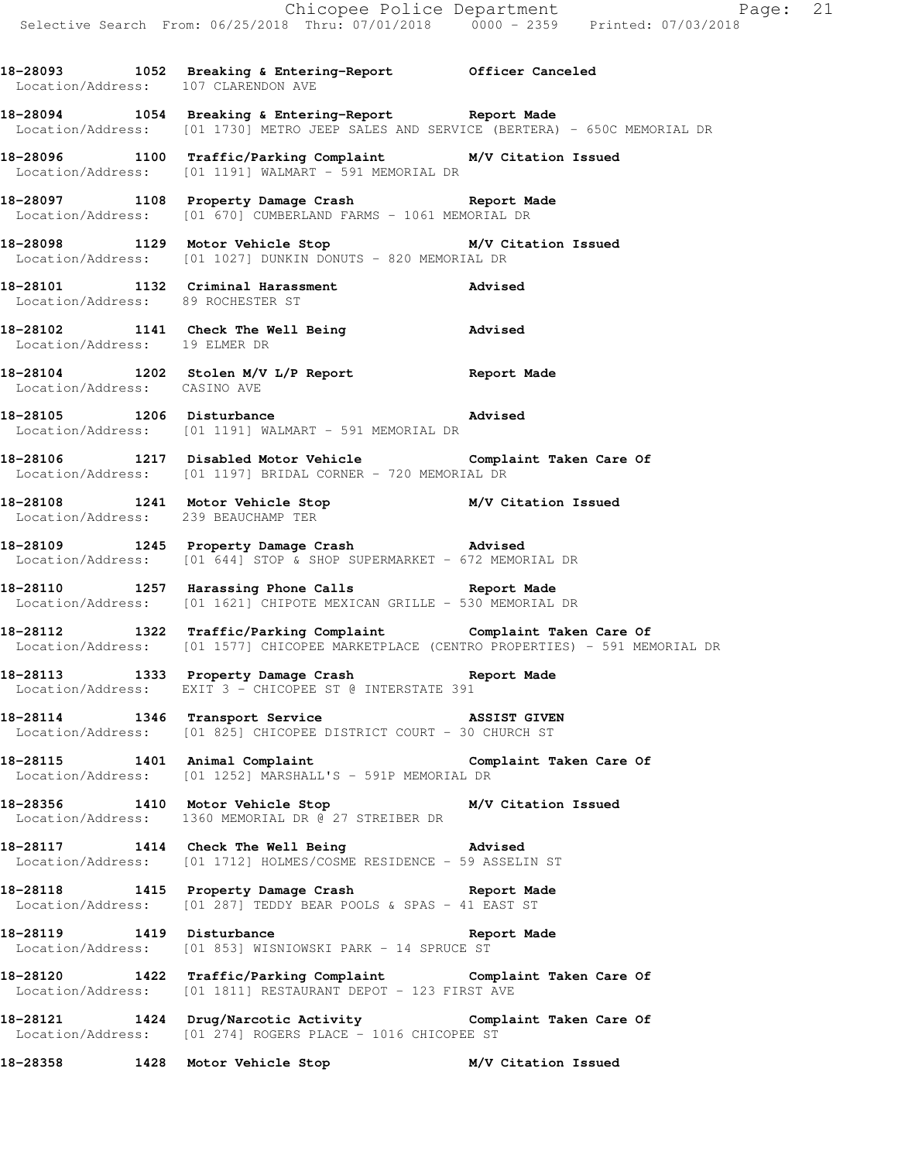**18-28093 1052 Breaking & Entering-Report Officer Canceled** 

 Location/Address: 107 CLARENDON AVE **18-28094 1054 Breaking & Entering-Report Report Made**  Location/Address: [01 1730] METRO JEEP SALES AND SERVICE (BERTERA) - 650C MEMORIAL DR **18-28096 1100 Traffic/Parking Complaint M/V Citation Issued**  Location/Address: [01 1191] WALMART - 591 MEMORIAL DR **18-28097 1108 Property Damage Crash Report Made**  Location/Address: [01 670] CUMBERLAND FARMS - 1061 MEMORIAL DR **18-28098 1129 Motor Vehicle Stop M/V Citation Issued**  Location/Address: [01 1027] DUNKIN DONUTS - 820 MEMORIAL DR **18-28101 1132 Criminal Harassment Advised**  Location/Address: 89 ROCHESTER ST **18-28102 1141 Check The Well Being Advised**  Location/Address: 19 ELMER DR **18-28104 1202 Stolen M/V L/P Report Report Made**  Location/Address: CASINO AVE **18-28105 1206 Disturbance Advised**  Location/Address: [01 1191] WALMART - 591 MEMORIAL DR **18-28106 1217 Disabled Motor Vehicle Complaint Taken Care Of**  Location/Address: [01 1197] BRIDAL CORNER - 720 MEMORIAL DR **18-28108 1241 Motor Vehicle Stop M/V Citation Issued**  Location/Address: 239 BEAUCHAMP TER **18-28109 1245 Property Damage Crash Advised**  Location/Address: [01 644] STOP & SHOP SUPERMARKET - 672 MEMORIAL DR **18-28110 1257 Harassing Phone Calls Report Made**  Location/Address: [01 1621] CHIPOTE MEXICAN GRILLE - 530 MEMORIAL DR **18-28112 1322 Traffic/Parking Complaint Complaint Taken Care Of**  Location/Address: [01 1577] CHICOPEE MARKETPLACE (CENTRO PROPERTIES) - 591 MEMORIAL DR **18-28113 1333 Property Damage Crash Report Made**  Location/Address: EXIT 3 - CHICOPEE ST @ INTERSTATE 391 **18-28114 1346 Transport Service ASSIST GIVEN**  Location/Address: [01 825] CHICOPEE DISTRICT COURT - 30 CHURCH ST **18-28115 1401 Animal Complaint Complaint Taken Care Of**  Location/Address: [01 1252] MARSHALL'S - 591P MEMORIAL DR **18-28356 1410 Motor Vehicle Stop M/V Citation Issued**  Location/Address: 1360 MEMORIAL DR @ 27 STREIBER DR **18-28117 1414 Check The Well Being Advised**  Location/Address: [01 1712] HOLMES/COSME RESIDENCE - 59 ASSELIN ST **18-28118 1415 Property Damage Crash Report Made**  Location/Address: [01 287] TEDDY BEAR POOLS & SPAS - 41 EAST ST **18-28119 1419 Disturbance Report Made**  Location/Address: [01 853] WISNIOWSKI PARK - 14 SPRUCE ST **18-28120 1422 Traffic/Parking Complaint Complaint Taken Care Of**  Location/Address: [01 1811] RESTAURANT DEPOT - 123 FIRST AVE **18-28121 1424 Drug/Narcotic Activity Complaint Taken Care Of** 

Location/Address: [01 274] ROGERS PLACE - 1016 CHICOPEE ST

**18-28358 1428 Motor Vehicle Stop M/V Citation Issued**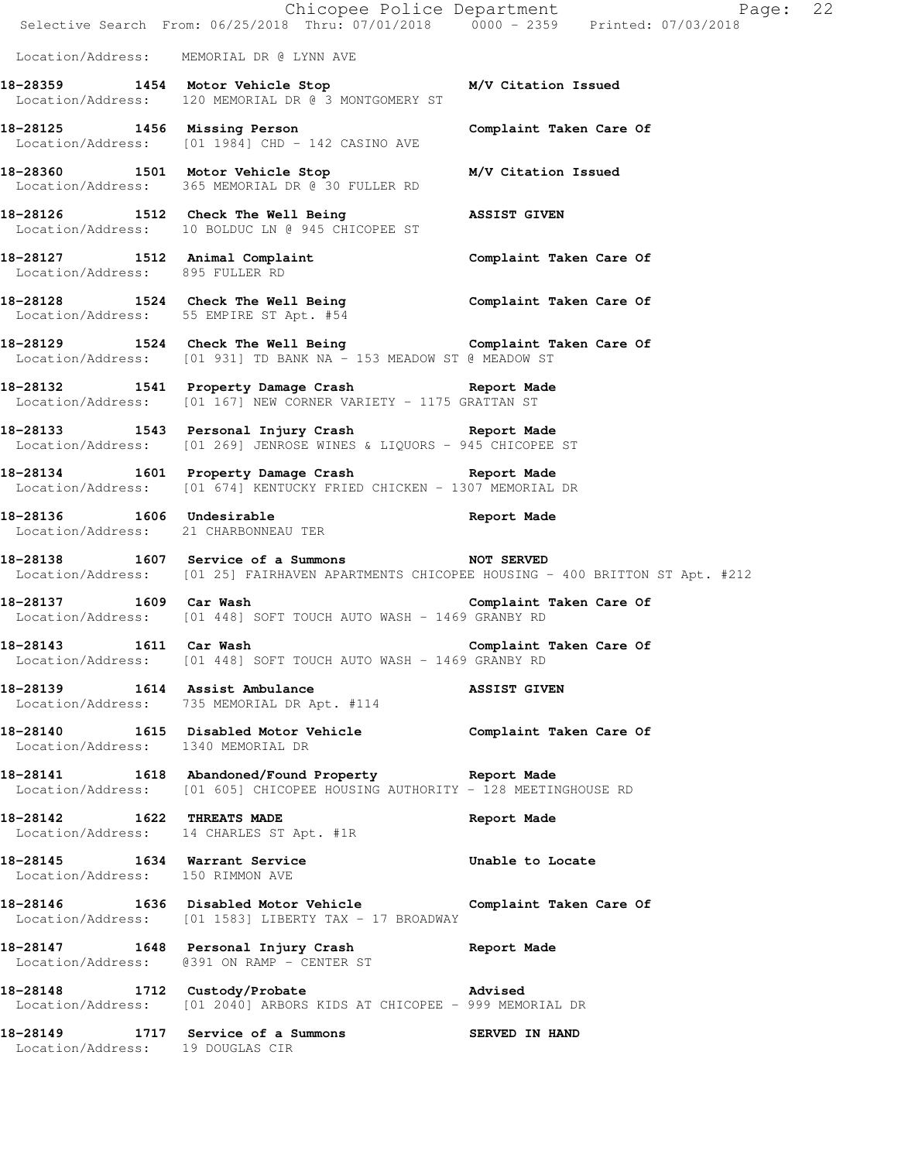|                                                                   | E Chicopee Police Department<br>Selective Search From: 06/25/2018 Thru: 07/01/2018 0000 - 2359 Printed: 07/03/2018                          | Page: 22                |
|-------------------------------------------------------------------|---------------------------------------------------------------------------------------------------------------------------------------------|-------------------------|
|                                                                   | Location/Address: MEMORIAL DR @ LYNN AVE                                                                                                    |                         |
|                                                                   | 18-28359 1454 Motor Vehicle Stop M/V Citation Issued<br>Location/Address: 120 MEMORIAL DR @ 3 MONTGOMERY ST                                 |                         |
|                                                                   | 18-28125 1456 Missing Person <b>18-28125</b> Complaint Taken Care Of<br>Location/Address: [01 1984] CHD - 142 CASINO AVE                    |                         |
|                                                                   | 18-28360 1501 Motor Vehicle Stop 18-28360 M/V Citation Issued<br>Location/Address: 365 MEMORIAL DR @ 30 FULLER RD                           |                         |
|                                                                   | 18-28126 1512 Check The Well Being 38SIST GIVEN<br>Location/Address: 10 BOLDUC LN @ 945 CHICOPEE ST                                         |                         |
| Location/Address: 895 FULLER RD                                   | 18-28127 1512 Animal Complaint 18-28127 1512 1512                                                                                           |                         |
|                                                                   | 18-28128 1524 Check The Well Being Complaint Taken Care Of Location/Address: 55 EMPIRE ST Apt. #54                                          |                         |
|                                                                   | 18-28129 1524 Check The Well Being Complaint Taken Care Of<br>Location/Address: [01 931] TD BANK NA - 153 MEADOW ST @ MEADOW ST             |                         |
|                                                                   | 18-28132 1541 Property Damage Crash Report Made<br>Location/Address: $[01 \t167]$ NEW CORNER VARIETY - 1175 GRATTAN ST                      |                         |
|                                                                   | 18-28133 1543 Personal Injury Crash 18-28133<br>Location/Address: [01 269] JENROSE WINES & LIQUORS - 945 CHICOPEE ST                        |                         |
|                                                                   | 18-28134 1601 Property Damage Crash Neport Made<br>Location/Address: [01 674] KENTUCKY FRIED CHICKEN - 1307 MEMORIAL DR                     |                         |
| Location/Address: 21 CHARBONNEAU TER                              | 18-28136 1606 Undesirable 18-28136 Report Made                                                                                              |                         |
|                                                                   | 18-28138 1607 Service of a Summons NOT SERVED<br>Location/Address: [01 25] FAIRHAVEN APARTMENTS CHICOPEE HOUSING - 400 BRITTON ST Apt. #212 |                         |
|                                                                   | -<br>18-28137 1609 Car Wash 18, 2008 Complaint Taken Care Of<br>Location/Address: [01 448] SOFT TOUCH AUTO WASH - 1469 GRANBY RD            |                         |
| 1611 Car Wash<br>18-28143                                         | Location/Address: [01 448] SOFT TOUCH AUTO WASH - 1469 GRANBY RD                                                                            | Complaint Taken Care Of |
| 18-28139 1614 Assist Ambulance                                    | Location/Address: 735 MEMORIAL DR Apt. #114                                                                                                 | <b>ASSIST GIVEN</b>     |
|                                                                   |                                                                                                                                             |                         |
|                                                                   | 18-28141 1618 Abandoned/Found Property Report Made<br>Location/Address: [01 605] CHICOPEE HOUSING AUTHORITY - 128 MEETINGHOUSE RD           |                         |
| 18-28142 1622 THREATS MADE                                        | Location/Address: 14 CHARLES ST Apt. #1R                                                                                                    | Report Made             |
| 18-28145 1634 Warrant Service<br>Location/Address: 150 RIMMON AVE |                                                                                                                                             | Unable to Locate        |
|                                                                   | 18-28146 1636 Disabled Motor Vehicle Complaint Taken Care Of<br>Location/Address: [01 1583] LIBERTY TAX - 17 BROADWAY                       |                         |
|                                                                   | 18-28147 1648 Personal Injury Crash 18-28147<br>Location/Address: 0391 ON RAMP - CENTER ST                                                  |                         |
|                                                                   | 18-28148 1712 Custody/Probate 2011 2013ed<br>Location/Address: [01 2040] ARBORS KIDS AT CHICOPEE - 999 MEMORIAL DR                          |                         |
| Location/Address: 19 DOUGLAS CIR                                  | 18-28149 1717 Service of a Summons SERVED IN HAND                                                                                           |                         |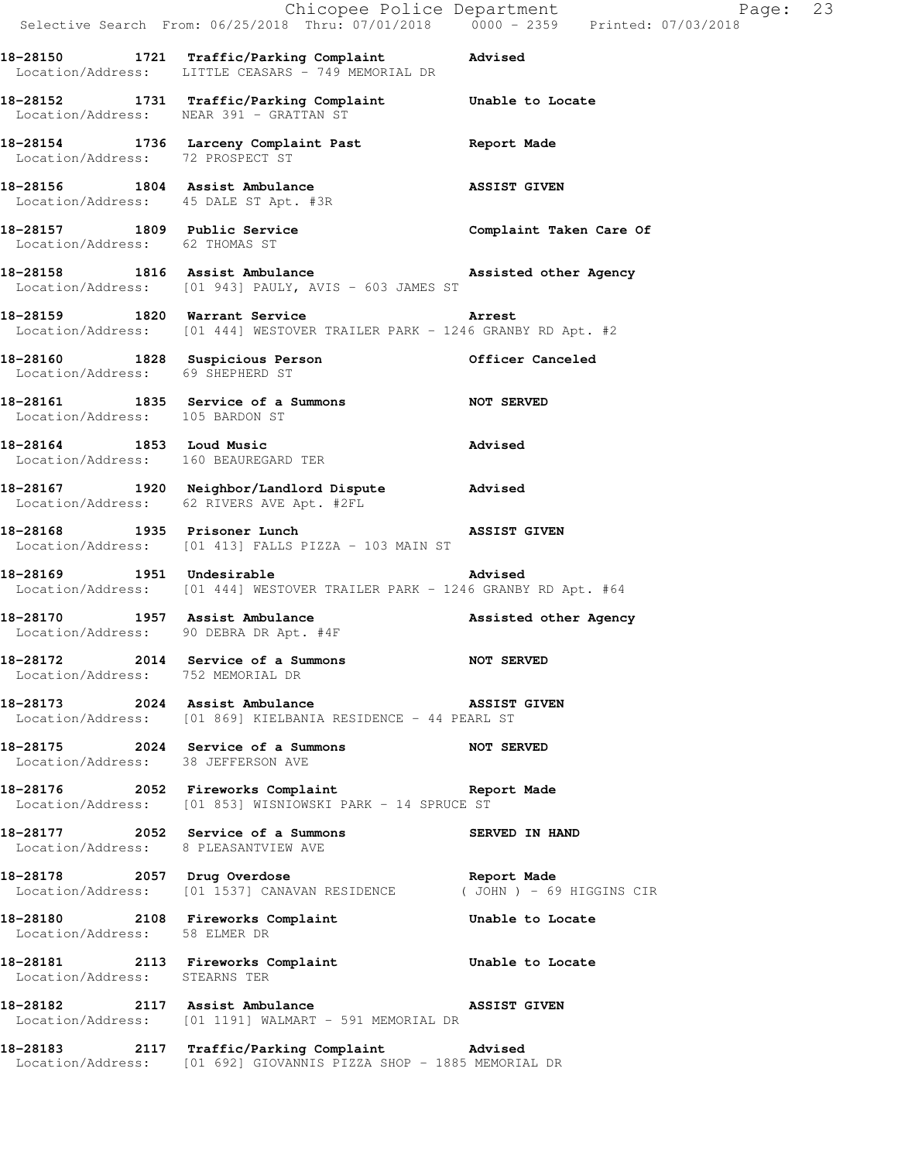|                                      | Chicopee Police Department<br>Selective Search From: 06/25/2018 Thru: 07/01/2018   0000 - 2359   Printed: 07/03/2018       | Page: 23                |  |
|--------------------------------------|----------------------------------------------------------------------------------------------------------------------------|-------------------------|--|
|                                      | 18-28150 1721 Traffic/Parking Complaint Advised<br>Location/Address: LITTLE CEASARS - 749 MEMORIAL DR                      |                         |  |
|                                      | 18-28152 1731 Traffic/Parking Complaint Unable to Locate<br>Location/Address: NEAR 391 - GRATTAN ST                        |                         |  |
|                                      | 18-28154 1736 Larceny Complaint Past Report Made Location/Address: 72 PROSPECT ST                                          |                         |  |
|                                      | 18-28156 1804 Assist Ambulance ASSIST GIVEN<br>Location/Address: 45 DALE ST Apt. #3R                                       |                         |  |
| Location/Address: 62 THOMAS ST       | 18-28157 1809 Public Service                                                                                               | Complaint Taken Care Of |  |
|                                      | 18-28158 1816 Assist Ambulance<br>Location/Address: [01 943] PAULY, AVIS - 603 JAMES ST                                    | Assisted other Agency   |  |
|                                      | 18-28159 1820 Warrant Service 2011 18-28159<br>Location/Address: [01 444] WESTOVER TRAILER PARK - 1246 GRANBY RD Apt. #2   |                         |  |
| Location/Address: 69 SHEPHERD ST     | 18-28160 1828 Suspicious Person 60fficer Canceled                                                                          |                         |  |
| Location/Address: 105 BARDON ST      | 18-28161 1835 Service of a Summons NOT SERVED                                                                              |                         |  |
|                                      | 18-28164 1853 Loud Music<br>Location/Address: 160 BEAUREGARD TER                                                           | Advised                 |  |
|                                      | 18-28167 1920 Neighbor/Landlord Dispute Advised<br>Location/Address: 62 RIVERS AVE Apt. #2FL                               |                         |  |
|                                      | 18-28168 1935 Prisoner Lunch NSSIST GIVEN<br>Location/Address: [01 413] FALLS PIZZA - 103 MAIN ST                          |                         |  |
| 18-28169 1951 Undesirable            | Location/Address: [01 444] WESTOVER TRAILER PARK - 1246 GRANBY RD Apt. #64                                                 | Advised                 |  |
|                                      | 18-28170 1957 Assist Ambulance<br>Location/Address: 90 DEBRA DR Apt. #4F                                                   | Assisted other Agency   |  |
| Location/Address: 752 MEMORIAL DR    | 18-28172 2014 Service of a Summons                                                                                         | NOT SERVED              |  |
|                                      | 18-28173 2024 Assist Ambulance ASSIST GIVEN<br>Location/Address: [01 869] KIELBANIA RESIDENCE - 44 PEARL ST                |                         |  |
| Location/Address: 38 JEFFERSON AVE   | 18-28175 2024 Service of a Summons NOT SERVED                                                                              |                         |  |
|                                      | 18-28176 2052 Fireworks Complaint 18-28176 Report Made<br>Location/Address: [01 853] WISNIOWSKI PARK - 14 SPRUCE ST        |                         |  |
| Location/Address: 8 PLEASANTVIEW AVE | 18-28177 2052 Service of a Summons SERVED IN HAND                                                                          |                         |  |
|                                      | 18-28178 18-28178 2057 Drug Overdose Report Made<br>Location/Address: [01 1537] CANAVAN RESIDENCE (JOHN ) - 69 HIGGINS CIR |                         |  |
| Location/Address: 58 ELMER DR        | 18-28180 2108 Fireworks Complaint Communication of the Locate                                                              |                         |  |
| Location/Address: STEARNS TER        | 18-28181 2113 Fireworks Complaint Unable to Locate                                                                         |                         |  |
|                                      | 18-28182 2117 Assist Ambulance ASSIST GIVEN<br>Location/Address: [01 1191] WALMART - 591 MEMORIAL DR                       |                         |  |
|                                      | 18-28183 2117 Traffic/Parking Complaint Advised                                                                            |                         |  |

Location/Address: [01 692] GIOVANNIS PIZZA SHOP - 1885 MEMORIAL DR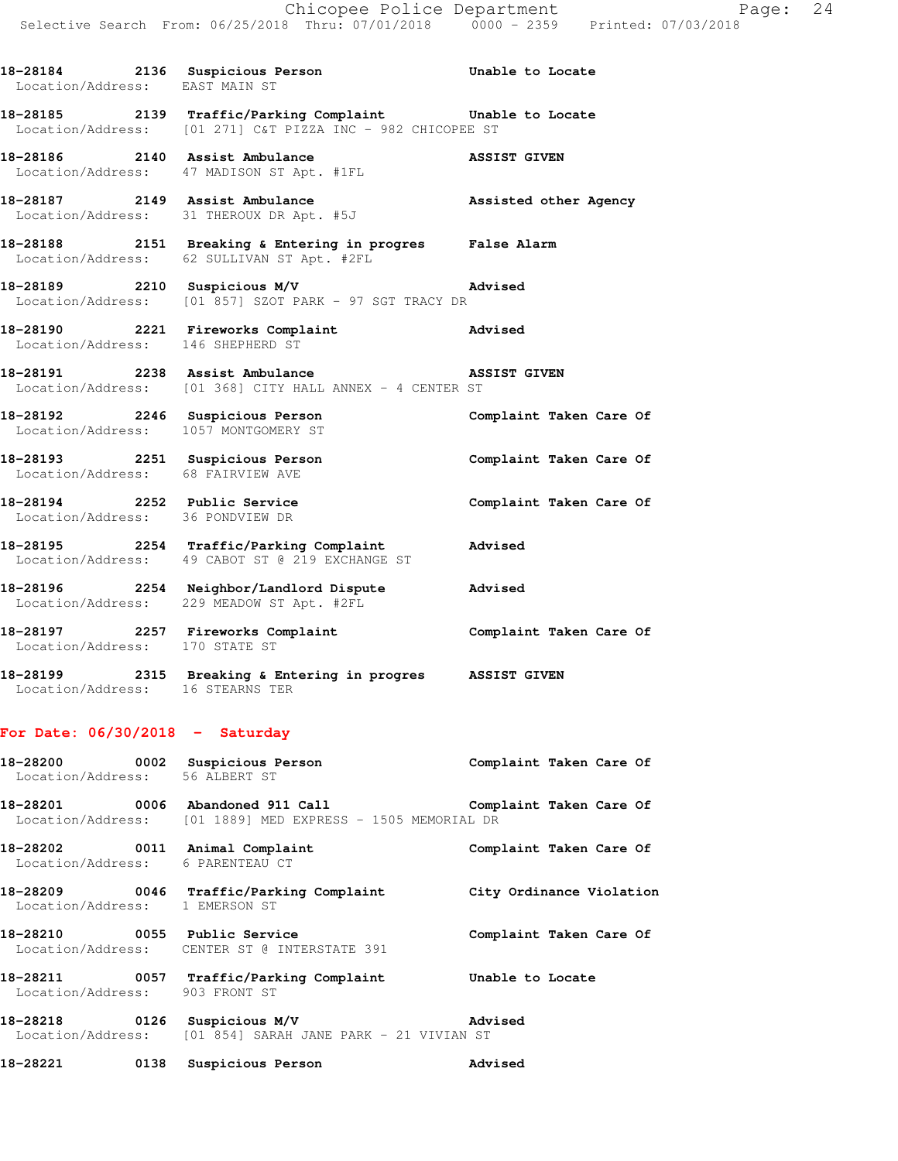**18-28184 2136 Suspicious Person Unable to Locate**  Location/Address: EAST MAIN ST **18-28185 2139 Traffic/Parking Complaint Unable to Locate**  Location/Address: [01 271] C&T PIZZA INC - 982 CHICOPEE ST **18-28186 2140 Assist Ambulance ASSIST GIVEN**  Location/Address: 47 MADISON ST Apt. #1FL 18-28187 2149 Assist Ambulance **Assisted other Agency**  Location/Address: 31 THEROUX DR Apt. #5J **18-28188 2151 Breaking & Entering in progres False Alarm**  Location/Address: 62 SULLIVAN ST Apt. #2FL **18-28189 2210 Suspicious M/V Advised**  Location/Address: [01 857] SZOT PARK - 97 SGT TRACY DR **18-28190 2221 Fireworks Complaint Advised**  Location/Address: 146 SHEPHERD ST **18-28191 2238 Assist Ambulance ASSIST GIVEN**  Location/Address: [01 368] CITY HALL ANNEX - 4 CENTER ST **18-28192 2246 Suspicious Person Complaint Taken Care Of**  Location/Address: 1057 MONTGOMERY ST **18-28193 2251 Suspicious Person Complaint Taken Care Of**  Location/Address: 68 FAIRVIEW AVE **18-28194 2252 Public Service Complaint Taken Care Of**  Location/Address: 36 PONDVIEW DR **18-28195 2254 Traffic/Parking Complaint Advised**  Location/Address: 49 CABOT ST @ 219 EXCHANGE ST **18-28196 2254 Neighbor/Landlord Dispute Advised**  Location/Address: 229 MEADOW ST Apt. #2FL **18-28197 2257 Fireworks Complaint Complaint Taken Care Of**  Location/Address: 170 STATE ST

**18-28199 2315 Breaking & Entering in progres ASSIST GIVEN**  Location/Address: 16 STEARNS TER

## **For Date: 06/30/2018 - Saturday**

| Location/Address: 56 ALBERT ST                                     |      | 18-28200 0002 Suspicious Person                            |                  | Complaint Taken Care Of  |
|--------------------------------------------------------------------|------|------------------------------------------------------------|------------------|--------------------------|
|                                                                    |      | Location/Address: [01 1889] MED EXPRESS - 1505 MEMORIAL DR |                  |                          |
| 18-28202 0011 Animal Complaint<br>Location/Address: 6 PARENTEAU CT |      |                                                            |                  | Complaint Taken Care Of  |
| Location/Address: 1 EMERSON ST                                     |      | 18-28209 0046 Traffic/Parking Complaint                    |                  | City Ordinance Violation |
| 18-28210 0055 Public Service                                       |      | Location/Address: CENTER ST @ INTERSTATE 391               |                  | Complaint Taken Care Of  |
| Location/Address: 903 FRONT ST                                     |      | 18-28211 0057 Traffic/Parking Complaint                    | Unable to Locate |                          |
|                                                                    |      | Location/Address: [01 854] SARAH JANE PARK - 21 VIVIAN ST  |                  |                          |
| 18-28221                                                           | 0138 | Suspicious Person                                          | Advised          |                          |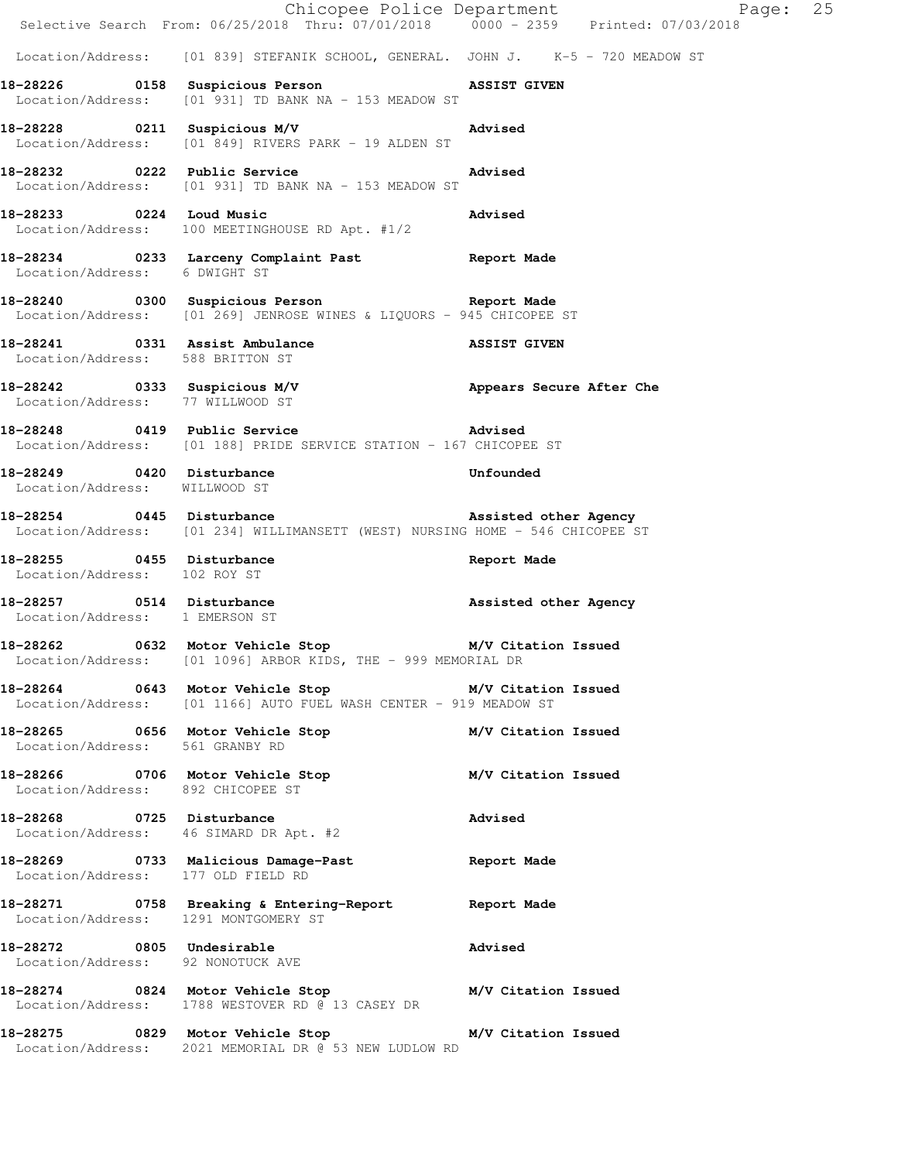|                                                                    | Chicopee Police Department<br>Selective Search From: 06/25/2018 Thru: 07/01/2018 0000 - 2359 Printed: 07/03/2018           | Page: 25            |
|--------------------------------------------------------------------|----------------------------------------------------------------------------------------------------------------------------|---------------------|
|                                                                    | Location/Address: [01 839] STEFANIK SCHOOL, GENERAL. JOHN J. K-5 - 720 MEADOW ST                                           |                     |
|                                                                    | Location/Address: [01 931] TD BANK NA - 153 MEADOW ST                                                                      |                     |
|                                                                    | 18-28228 0211 Suspicious M/V<br>Location/Address: [01 849] RIVERS PARK - 19 ALDEN ST                                       | Advised             |
| 18-28232 0222 Public Service                                       | Location/Address: [01 931] TD BANK NA - 153 MEADOW ST                                                                      | Advised             |
| 18-28233 0224 Loud Music                                           | Location/Address: 100 MEETINGHOUSE RD Apt. #1/2                                                                            | Advised             |
| Location/Address: 6 DWIGHT ST                                      | 18-28234 0233 Larceny Complaint Past Report Made                                                                           |                     |
|                                                                    | 18-28240 0300 Suspicious Person Report Made<br>Location/Address: [01 269] JENROSE WINES & LIQUORS - 945 CHICOPEE ST        |                     |
| 18-28241 0331 Assist Ambulance<br>Location/Address: 588 BRITTON ST | ASSIST GIVEN                                                                                                               |                     |
| Location/Address: 77 WILLWOOD ST                                   | 18-28242 		 0333 Suspicious M/V 		 Appears Secure After Che                                                                |                     |
|                                                                    | 18-28248 0419 Public Service <b>18-28248</b> Advised<br>Location/Address: [01 188] PRIDE SERVICE STATION - 167 CHICOPEE ST |                     |
| Location/Address: WILLWOOD ST                                      | 18-28249 0420 Disturbance 1997 Unfounded                                                                                   |                     |
|                                                                    | Location/Address: [01 234] WILLIMANSETT (WEST) NURSING HOME - 546 CHICOPEE ST                                              |                     |
| Location/Address: 102 ROY ST                                       | 18-28255 0455 Disturbance                                                                                                  | Report Made         |
| Location/Address: 1 EMERSON ST                                     | 18-28257 0514 Disturbance and Assisted other Agency                                                                        |                     |
|                                                                    | 18-28262 0632 Motor Vehicle Stop M/V Citation Issued<br>Location/Address: [01 1096] ARBOR KIDS, THE - 999 MEMORIAL DR      |                     |
|                                                                    | 18-28264 0643 Motor Vehicle Stop M/V Citation Issued<br>Location/Address: [01 1166] AUTO FUEL WASH CENTER - 919 MEADOW ST  |                     |
| Location/Address: 561 GRANBY RD                                    | 18-28265 0656 Motor Vehicle Stop                                                                                           | M/V Citation Issued |
| Location/Address: 892 CHICOPEE ST                                  | 18-28266 0706 Motor Vehicle Stop                                                                                           | M/V Citation Issued |
| 18-28268 0725 Disturbance                                          | Location/Address: 46 SIMARD DR Apt. #2                                                                                     | Advised             |
| Location/Address: 177 OLD FIELD RD                                 | 18-28269 		 0733 Malicious Damage-Past 		 Report Made                                                                      |                     |
| Location/Address: 1291 MONTGOMERY ST                               | 18-28271 0758 Breaking & Entering-Report 18 Report Made                                                                    |                     |
| 18-28272 0805 Undesirable<br>Location/Address: 92 NONOTUCK AVE     |                                                                                                                            | Advised             |
|                                                                    | 18-28274 0824 Motor Vehicle Stop M/V Citation Issued<br>Location/Address: 1788 WESTOVER RD @ 13 CASEY DR                   |                     |
|                                                                    | 18-28275 0829 Motor Vehicle Stop M/V Citation Issued<br>Location/Address: 2021 MEMORIAL DR @ 53 NEW LUDLOW RD              |                     |
|                                                                    |                                                                                                                            |                     |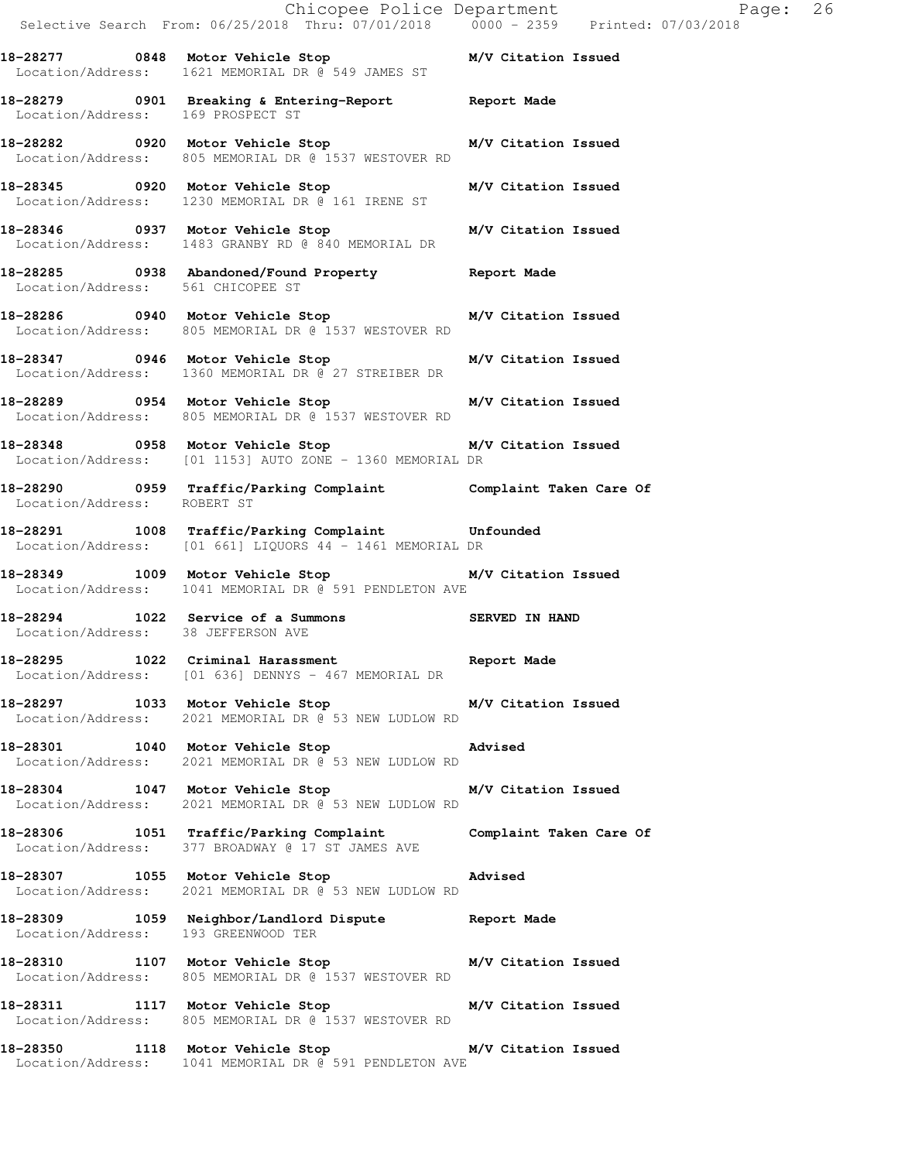|                                     |                                                                                                                     | Chicopee Police Department<br>Selective Search From: 06/25/2018 Thru: 07/01/2018 0000 - 2359 Printed: 07/03/2018 |
|-------------------------------------|---------------------------------------------------------------------------------------------------------------------|------------------------------------------------------------------------------------------------------------------|
|                                     | 18-28277 0848 Motor Vehicle Stop M/V Citation Issued<br>Location/Address: 1621 MEMORIAL DR @ 549 JAMES ST           |                                                                                                                  |
| Location/Address: 169 PROSPECT ST   | 18-28279 0901 Breaking & Entering-Report 18-28279                                                                   |                                                                                                                  |
|                                     | 18-28282 		 0920 Motor Vehicle Stop 		 M/V Citation Issued<br>Location/Address: 805 MEMORIAL DR @ 1537 WESTOVER RD  |                                                                                                                  |
|                                     | 18-28345 0920 Motor Vehicle Stop M/V Citation Issued<br>Location/Address: 1230 MEMORIAL DR @ 161 IRENE ST           |                                                                                                                  |
|                                     | 18-28346 0937 Motor Vehicle Stop M/V Citation Issued<br>Location/Address: 1483 GRANBY RD @ 840 MEMORIAL DR          |                                                                                                                  |
| Location/Address: 561 CHICOPEE ST   | 18-28285 0938 Abandoned/Found Property Report Made                                                                  |                                                                                                                  |
|                                     | 18-28286   0940   Motor Vehicle Stop   M/V Citation Issued<br>Location/Address: 805 MEMORIAL DR @ 1537 WESTOVER RD  |                                                                                                                  |
|                                     | 18-28347 0946 Motor Vehicle Stop M/V Citation Issued<br>Location/Address: 1360 MEMORIAL DR @ 27 STREIBER DR         |                                                                                                                  |
|                                     | 18-28289 0954 Motor Vehicle Stop<br>Location/Address: 805 MEMORIAL DR @ 1537 WESTOVER RD                            | M/V Citation Issued                                                                                              |
|                                     | 18-28348 0958 Motor Vehicle Stop M/V Citation Issued<br>Location/Address: [01 1153] AUTO ZONE - 1360 MEMORIAL DR    |                                                                                                                  |
| Location/Address: ROBERT ST         | 18-28290 0959 Traffic/Parking Complaint Complaint Taken Care Of                                                     |                                                                                                                  |
|                                     | 18-28291 1008 Traffic/Parking Complaint Unfounded<br>Location/Address: [01 661] LIQUORS 44 - 1461 MEMORIAL DR       |                                                                                                                  |
|                                     | 18-28349 1009 Motor Vehicle Stop M/V Citation Issued<br>Location/Address: 1041 MEMORIAL DR @ 591 PENDLETON AVE      |                                                                                                                  |
|                                     | 18-28294 1022 Service of a Summons SERVED IN HAND<br>Location/Address: 38 JEFFERSON AVE                             |                                                                                                                  |
|                                     | 18-28295 1022 Criminal Harassment 18-28295<br>Location/Address: [01 636] DENNYS - 467 MEMORIAL DR                   |                                                                                                                  |
|                                     | 18-28297 1033 Motor Vehicle Stop M/V Citation Issued<br>Location/Address: 2021 MEMORIAL DR @ 53 NEW LUDLOW RD       |                                                                                                                  |
|                                     | 18-28301 1040 Motor Vehicle Stop<br>Location/Address: 2021 MEMORIAL DR @ 53 NEW LUDLOW RD                           | Advised                                                                                                          |
|                                     | 18-28304 1047 Motor Vehicle Stop M/V Citation Issued<br>Location/Address: 2021 MEMORIAL DR @ 53 NEW LUDLOW RD       |                                                                                                                  |
|                                     | 18-28306 1051 Traffic/Parking Complaint Complaint Taken Care Of<br>Location/Address: 377 BROADWAY @ 17 ST JAMES AVE |                                                                                                                  |
|                                     | 18-28307 1055 Motor Vehicle Stop 30 Advised<br>Location/Address: 2021 MEMORIAL DR @ 53 NEW LUDLOW RD                |                                                                                                                  |
| Location/Address: 193 GREENWOOD TER | 18-28309 1059 Neighbor/Landlord Dispute Report Made                                                                 |                                                                                                                  |
|                                     | 18-28310 1107 Motor Vehicle Stop M/V Citation Issued<br>Location/Address: 805 MEMORIAL DR @ 1537 WESTOVER RD        |                                                                                                                  |
| 18-28311 1117 Motor Vehicle Stop    | Location/Address: 805 MEMORIAL DR @ 1537 WESTOVER RD                                                                | M/V Citation Issued                                                                                              |
|                                     | 18-28350 1118 Motor Vehicle Stop M/V Citation Issued<br>Location/Address: 1041 MEMORIAL DR @ 591 PENDLETON AVE      |                                                                                                                  |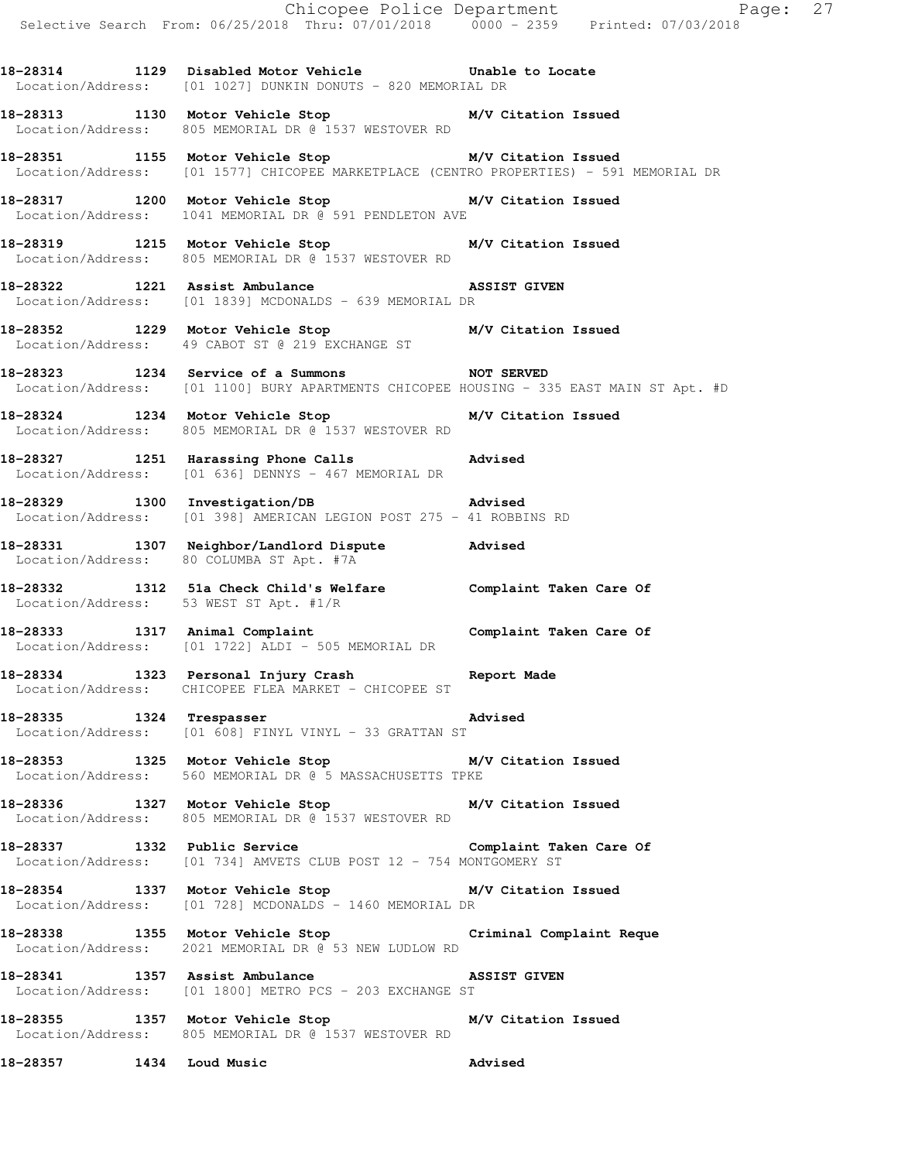**18-28314 1129 Disabled Motor Vehicle Unable to Locate**  Location/Address: [01 1027] DUNKIN DONUTS - 820 MEMORIAL DR

**18-28313 1130 Motor Vehicle Stop M/V Citation Issued**  Location/Address: 805 MEMORIAL DR @ 1537 WESTOVER RD

**18-28351 1155 Motor Vehicle Stop M/V Citation Issued**  Location/Address: [01 1577] CHICOPEE MARKETPLACE (CENTRO PROPERTIES) - 591 MEMORIAL DR

**18-28317 1200 Motor Vehicle Stop M/V Citation Issued**  Location/Address: 1041 MEMORIAL DR @ 591 PENDLETON AVE

**18-28319 1215 Motor Vehicle Stop M/V Citation Issued**  Location/Address: 805 MEMORIAL DR @ 1537 WESTOVER RD

**18-28322 1221 Assist Ambulance ASSIST GIVEN**  Location/Address: [01 1839] MCDONALDS - 639 MEMORIAL DR

**18-28352 1229 Motor Vehicle Stop M/V Citation Issued**  Location/Address: 49 CABOT ST @ 219 EXCHANGE ST

**18-28323 1234 Service of a Summons NOT SERVED**  Location/Address: [01 1100] BURY APARTMENTS CHICOPEE HOUSING - 335 EAST MAIN ST Apt. #D

**18-28324 1234 Motor Vehicle Stop M/V Citation Issued**  Location/Address: 805 MEMORIAL DR @ 1537 WESTOVER RD

**18-28327 1251 Harassing Phone Calls Advised**  Location/Address: [01 636] DENNYS - 467 MEMORIAL DR

**18-28329 1300 Investigation/DB Advised**  Location/Address: [01 398] AMERICAN LEGION POST 275 - 41 ROBBINS RD

**18-28331 1307 Neighbor/Landlord Dispute Advised**  Location/Address: 80 COLUMBA ST Apt. #7A

**18-28332 1312 51a Check Child's Welfare Complaint Taken Care Of**  Location/Address: 53 WEST ST Apt. #1/R

**18-28333 1317 Animal Complaint Complaint Taken Care Of**  Location/Address: [01 1722] ALDI - 505 MEMORIAL DR

**18-28334 1323 Personal Injury Crash Report Made**  Location/Address: CHICOPEE FLEA MARKET - CHICOPEE ST

**18-28335 1324 Trespasser Advised**  Location/Address: [01 608] FINYL VINYL - 33 GRATTAN ST

**18-28353 1325 Motor Vehicle Stop M/V Citation Issued**  Location/Address: 560 MEMORIAL DR @ 5 MASSACHUSETTS TPKE

**18-28336 1327 Motor Vehicle Stop M/V Citation Issued**  Location/Address: 805 MEMORIAL DR @ 1537 WESTOVER RD

**18-28337 1332 Public Service Complaint Taken Care Of**  Location/Address: [01 734] AMVETS CLUB POST 12 - 754 MONTGOMERY ST

**18-28354 1337 Motor Vehicle Stop M/V Citation Issued**  Location/Address: [01 728] MCDONALDS - 1460 MEMORIAL DR

**18-28338 1355 Motor Vehicle Stop Criminal Complaint Reque**  Location/Address: 2021 MEMORIAL DR @ 53 NEW LUDLOW RD

**18-28341 1357 Assist Ambulance ASSIST GIVEN**  Location/Address: [01 1800] METRO PCS - 203 EXCHANGE ST

**18-28355 1357 Motor Vehicle Stop M/V Citation Issued**  Location/Address: 805 MEMORIAL DR @ 1537 WESTOVER RD

**18-28357 1434 Loud Music Advised**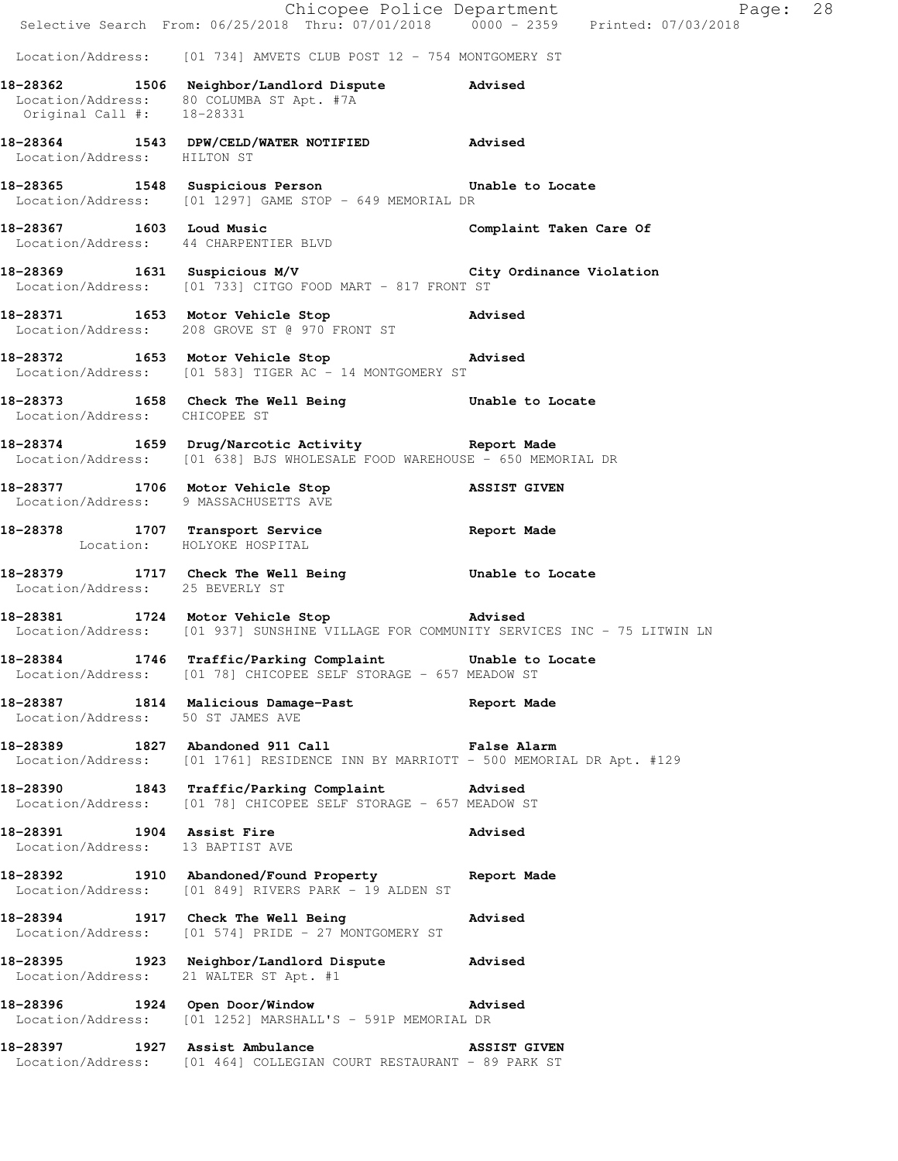|                                                               | E Chicopee Police Department<br>Selective Search From: 06/25/2018 Thru: 07/01/2018 0000 - 2359 Printed: 07/03/2018                       | Page: 28                |  |
|---------------------------------------------------------------|------------------------------------------------------------------------------------------------------------------------------------------|-------------------------|--|
|                                                               |                                                                                                                                          |                         |  |
|                                                               | Location/Address: [01 734] AMVETS CLUB POST 12 - 754 MONTGOMERY ST                                                                       |                         |  |
|                                                               | 18-28362 1506 Neighbor/Landlord Dispute Advised<br>Location/Address: 80 COLUMBA ST Apt. #7A<br>Original Call #: 18-28331                 |                         |  |
| Location/Address: HILTON ST                                   | 18-28364 1543 DPW/CELD/WATER NOTIFIED Advised                                                                                            |                         |  |
|                                                               | 18-28365 1548 Suspicious Person 6 Unable to Locate<br>Location/Address: [01 1297] GAME STOP - 649 MEMORIAL DR                            |                         |  |
|                                                               | 18-28367 1603 Loud Music<br>Location/Address: 44 CHARPENTIER BLVD                                                                        | Complaint Taken Care Of |  |
|                                                               | 18-28369 1631 Suspicious M/V City Ordinance Violation<br>Location/Address: [01 733] CITGO FOOD MART - 817 FRONT ST                       |                         |  |
|                                                               | 18-28371 1653 Motor Vehicle Stop Advised<br>Location/Address: 208 GROVE ST @ 970 FRONT ST                                                |                         |  |
|                                                               | 18-28372 1653 Motor Vehicle Stop 30 Movised<br>Location/Address: [01 583] TIGER AC - 14 MONTGOMERY ST                                    |                         |  |
| Location/Address: CHICOPEE ST                                 | 18-28373 1658 Check The Well Being The Unable to Locate                                                                                  |                         |  |
|                                                               | 18-28374 1659 Drug/Narcotic Activity Report Made<br>Location/Address: [01 638] BJS WHOLESALE FOOD WAREHOUSE - 650 MEMORIAL DR            |                         |  |
|                                                               | 18-28377 1706 Motor Vehicle Stop ASSIST GIVEN<br>Location/Address: 9 MASSACHUSETTS AVE                                                   |                         |  |
| Location: HOLYOKE HOSPITAL                                    | 18-28378 1707 Transport Service 18-28378 Report Made                                                                                     |                         |  |
| Location/Address: 25 BEVERLY ST                               | 18-28379 1717 Check The Well Being 18-28379                                                                                              |                         |  |
|                                                               | 18-28381 1724 Motor Vehicle Stop 18-28381<br>Location/Address: [01 937] SUNSHINE VILLAGE FOR COMMUNITY SERVICES INC - 75 LITWIN LN       |                         |  |
|                                                               | 18-28384 1746 Traffic/Parking Complaint Unable to Locate<br>Location/Address: [01 78] CHICOPEE SELF STORAGE - 657 MEADOW ST              |                         |  |
| Location/Address: 50 ST JAMES AVE                             | 18-28387 1814 Malicious Damage-Past 18-28387                                                                                             |                         |  |
|                                                               | 18-28389 1827 Abandoned 911 Call <b>False Alarm</b><br>Location/Address: [01 1761] RESIDENCE INN BY MARRIOTT - 500 MEMORIAL DR Apt. #129 |                         |  |
|                                                               | 18-28390 1843 Traffic/Parking Complaint Advised<br>Location/Address: [01 78] CHICOPEE SELF STORAGE - 657 MEADOW ST                       |                         |  |
| 18-28391 1904 Assist Fire<br>Location/Address: 13 BAPTIST AVE |                                                                                                                                          | Advised                 |  |
|                                                               | 18-28392 1910 Abandoned/Found Property Report Made<br>Location/Address: [01 849] RIVERS PARK - 19 ALDEN ST                               |                         |  |
|                                                               | 18-28394 1917 Check The Well Being<br>Location/Address: [01 574] PRIDE - 27 MONTGOMERY ST                                                | Advised                 |  |
| Location/Address: 21 WALTER ST Apt. #1                        | 18-28395 1923 Neighbor/Landlord Dispute                                                                                                  | Advised                 |  |
| 18-28396 1924 Open Door/Window                                | <b>Example 2</b> Advised<br>Location/Address: [01 1252] MARSHALL'S - 591P MEMORIAL DR                                                    |                         |  |
|                                                               | 18-28397 1927 Assist Ambulance Nassist Assist Ambulance<br>Location/Address: [01 464] COLLEGIAN COURT RESTAURANT - 89 PARK ST            |                         |  |
|                                                               |                                                                                                                                          |                         |  |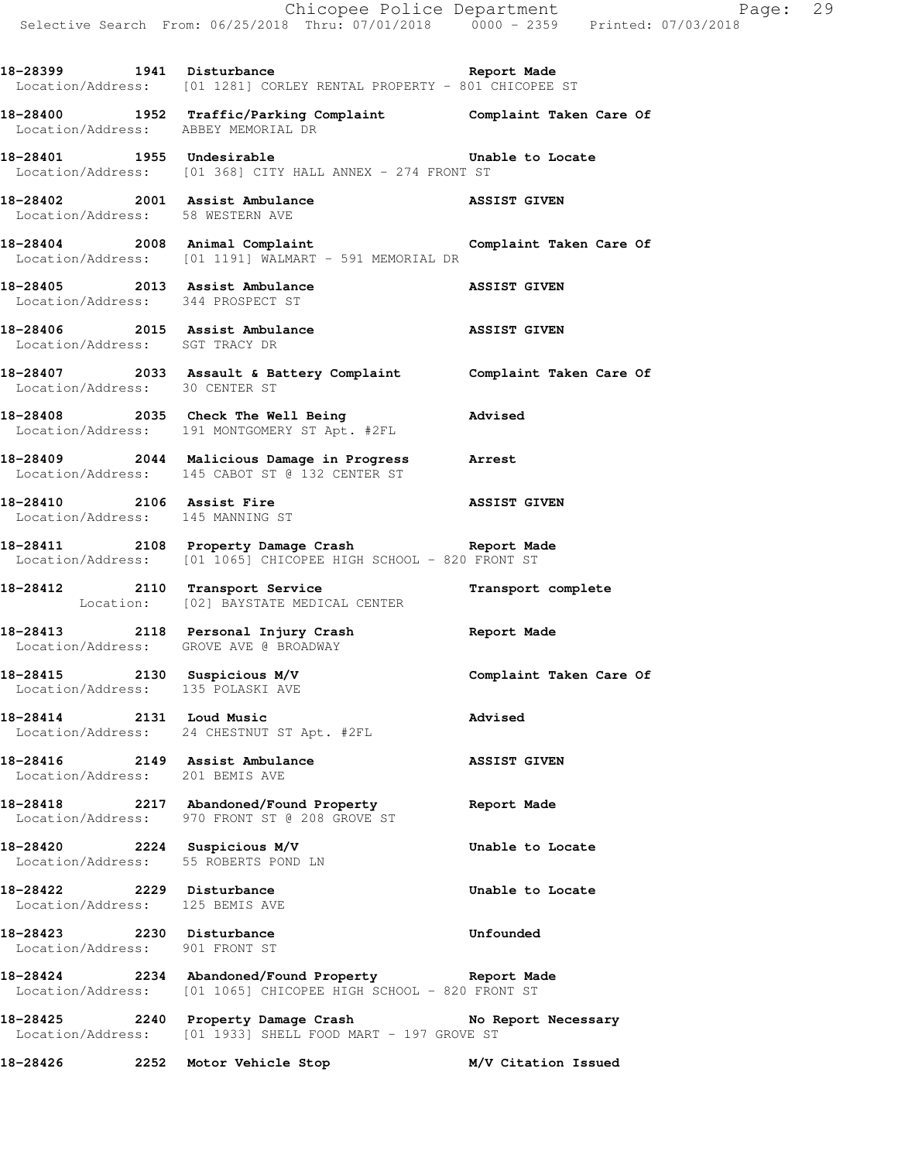Chicopee Police Department Fage: 29 Selective Search From: 06/25/2018 Thru: 07/01/2018 0000 - 2359 Printed: 07/03/2018

**18-28399 1941 Disturbance Report Made**  Location/Address: [01 1281] CORLEY RENTAL PROPERTY - 801 CHICOPEE ST

**18-28400 1952 Traffic/Parking Complaint Complaint Taken Care Of**  Location/Address: ABBEY MEMORIAL DR

**18-28401 1955 Undesirable Unable to Locate**  Location/Address: [01 368] CITY HALL ANNEX - 274 FRONT ST

**18-28402 2001 Assist Ambulance ASSIST GIVEN**  Location/Address: 58 WESTERN AVE

**18-28404 2008 Animal Complaint Complaint Taken Care Of**  Location/Address: [01 1191] WALMART - 591 MEMORIAL DR

**18-28405 2013 Assist Ambulance ASSIST GIVEN**  Location/Address: 344 PROSPECT ST

**18-28406 2015 Assist Ambulance ASSIST GIVEN**  Location/Address: SGT TRACY DR

**18-28407 2033 Assault & Battery Complaint Complaint Taken Care Of**  Location/Address: 30 CENTER ST

**18-28408 2035 Check The Well Being Advised**  Location/Address: 191 MONTGOMERY ST Apt. #2FL

**18-28409 2044 Malicious Damage in Progress Arrest**  Location/Address: 145 CABOT ST @ 132 CENTER ST

**18-28410 2106 Assist Fire ASSIST GIVEN**  Location/Address: 145 MANNING ST

**18-28411 2108 Property Damage Crash Report Made**  Location/Address: [01 1065] CHICOPEE HIGH SCHOOL - 820 FRONT ST

**18-28412 2110 Transport Service Transport complete**  Location: [02] BAYSTATE MEDICAL CENTER

**18-28413 2118 Personal Injury Crash Report Made**  Location/Address: GROVE AVE @ BROADWAY

**18-28415 2130 Suspicious M/V Complaint Taken Care Of**  Location/Address: 135 POLASKI AVE

**18-28414 2131 Loud Music Advised**  Location/Address: 24 CHESTNUT ST Apt. #2FL

**18-28416 2149 Assist Ambulance ASSIST GIVEN**  Location/Address: 201 BEMIS AVE

**18-28418 2217 Abandoned/Found Property Report Made**  Location/Address: 970 FRONT ST @ 208 GROVE ST

**18-28420 2224 Suspicious M/V Unable to Locate**  Location/Address: 55 ROBERTS POND LN

**18-28422 2229 Disturbance Unable to Locate**  Location/Address: 125 BEMIS AVE

**18-28423 2230 Disturbance Unfounded**  Location/Address: 901 FRONT ST

**18-28424 2234 Abandoned/Found Property Report Made**  Location/Address: [01 1065] CHICOPEE HIGH SCHOOL - 820 FRONT ST

18-28425 2240 Property Damage Crash No Report Necessary Location/Address: [01 1933] SHELL FOOD MART - 197 GROVE ST

**18-28426 2252 Motor Vehicle Stop M/V Citation Issued**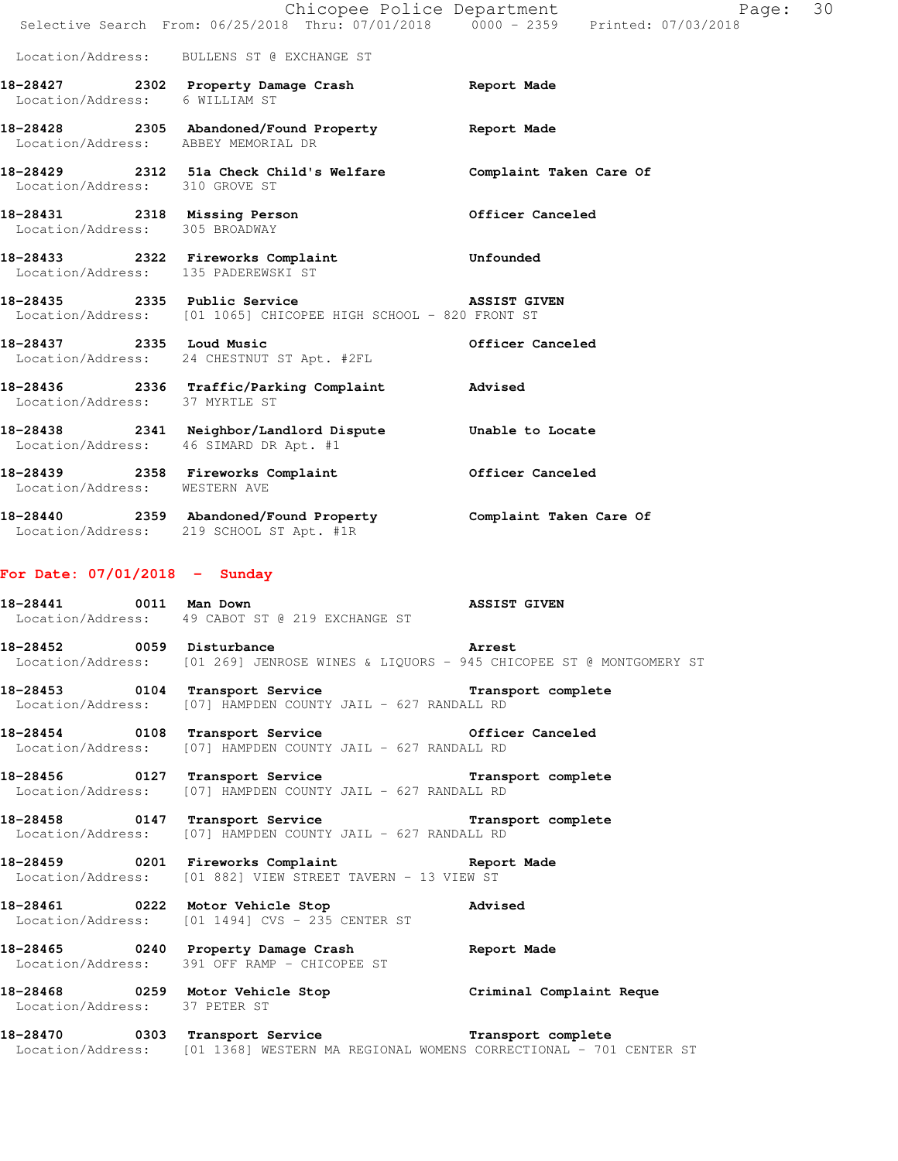|                                 | Chicopee Police Department<br>Selective Search From: 06/25/2018 Thru: 07/01/2018 0000 - 2359 Printed: 07/03/2018                          | 30<br>Page:         |  |
|---------------------------------|-------------------------------------------------------------------------------------------------------------------------------------------|---------------------|--|
|                                 | Location/Address: BULLENS ST @ EXCHANGE ST                                                                                                |                     |  |
| Location/Address: 6 WILLIAM ST  | 18-28427 2302 Property Damage Crash Report Made                                                                                           |                     |  |
|                                 | 18-28428 2305 Abandoned/Found Property Report Made<br>Location/Address: ABBEY MEMORIAL DR                                                 |                     |  |
| Location/Address: 310 GROVE ST  | 18-28429 2312 51a Check Child's Welfare Complaint Taken Care Of                                                                           |                     |  |
| Location/Address: 305 BROADWAY  | 18-28431 2318 Missing Person                                                                                                              | Officer Canceled    |  |
|                                 | 18-28433 2322 Fireworks Complaint Communications Unfounded<br>Location/Address: 135 PADEREWSKI ST                                         |                     |  |
|                                 | Location/Address: [01 1065] CHICOPEE HIGH SCHOOL - 820 FRONT ST                                                                           |                     |  |
| 18-28437 2335 Loud Music        | Location/Address: 24 CHESTNUT ST Apt. #2FL                                                                                                | Officer Canceled    |  |
|                                 | 18-28436 2336 Traffic/Parking Complaint<br>Location/Address: 37 MYRTLE ST                                                                 | <b>Advised</b>      |  |
|                                 | 18-28438 2341 Neighbor/Landlord Dispute Unable to Locate<br>Location/Address: 46 SIMARD DR Apt. #1                                        |                     |  |
| Location/Address: WESTERN AVE   | 18-28439 2358 Fireworks Complaint                                                                                                         | Officer Canceled    |  |
|                                 | 18-28440 2359 Abandoned/Found Property Complaint Taken Care Of<br>Location/Address: 219 SCHOOL ST Apt. #1R                                |                     |  |
| For Date: $07/01/2018$ - Sunday |                                                                                                                                           |                     |  |
| 18-28441                        | 0011 Man Down<br>Location/Address: 49 CABOT ST @ 219 EXCHANGE ST                                                                          | <b>ASSIST GIVEN</b> |  |
| 18-28452 0059 Disturbance       | Location/Address: [01 269] JENROSE WINES & LIQUORS - 945 CHICOPEE ST @ MONTGOMERY ST                                                      | Arrest              |  |
|                                 | 18-28453 0104 Transport Service <b>18-28453</b> Transport complete<br>Location/Address: [07] HAMPDEN COUNTY JAIL - 627 RANDALL RD         |                     |  |
|                                 | 18-28454    0108    Transport Service    Contract    Conceled<br>Location/Address: [07] HAMPDEN COUNTY JAIL - 627 RANDALL RD              |                     |  |
|                                 | 18-28456 0127 Transport Service Transport complete<br>Location/Address: [07] HAMPDEN COUNTY JAIL - 627 RANDALL RD                         |                     |  |
|                                 | 18-28458 0147 Transport Service <b>18-28458</b> Transport complete<br>Location/Address: [07] HAMPDEN COUNTY JAIL - 627 RANDALL RD         |                     |  |
|                                 | 18-28459 0201 Fireworks Complaint 18-28459 Report Made<br>Location/Address: [01 882] VIEW STREET TAVERN - 13 VIEW ST                      |                     |  |
|                                 | 18-28461 0222 Motor Vehicle Stop<br>Location/Address: [01 1494] CVS - 235 CENTER ST                                                       | Advised             |  |
|                                 | 18-28465 0240 Property Damage Crash Report Made<br>Location/Address: 391 OFF RAMP - CHICOPEE ST                                           |                     |  |
| Location/Address: 37 PETER ST   | 18-28468 0259 Motor Vehicle Stop Criminal Complaint Reque                                                                                 |                     |  |
|                                 | 18-28470 0303 Transport Service Transport complete<br>Location/Address: [01 1368] WESTERN MA REGIONAL WOMENS CORRECTIONAL - 701 CENTER ST |                     |  |
|                                 |                                                                                                                                           |                     |  |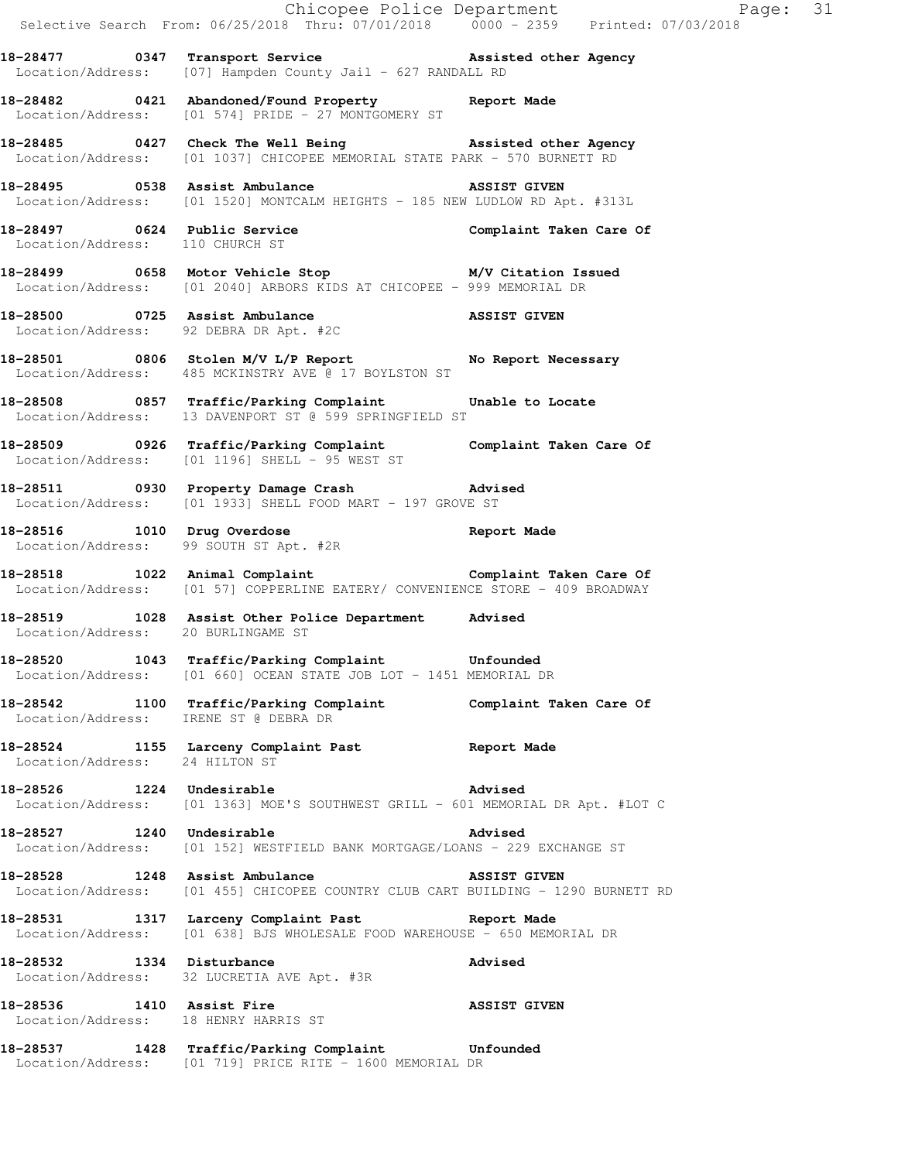|                                                                   | Chicopee Police Department<br>Selective Search From: 06/25/2018 Thru: 07/01/2018 0000 - 2359 Printed: 07/03/2018                                 |                     |
|-------------------------------------------------------------------|--------------------------------------------------------------------------------------------------------------------------------------------------|---------------------|
|                                                                   | 18-28477 0347 Transport Service <b>18 Assisted</b> other Agency<br>Location/Address: [07] Hampden County Jail - 627 RANDALL RD                   |                     |
|                                                                   | 18-28482 0421 Abandoned/Found Property Report Made<br>Location/Address: [01 574] PRIDE - 27 MONTGOMERY ST                                        |                     |
|                                                                   | 18-28485 0427 Check The Well Being <b>18</b> assisted other Agency<br>Location/Address: [01 1037] CHICOPEE MEMORIAL STATE PARK - 570 BURNETT RD  |                     |
|                                                                   | Location/Address: [01 1520] MONTCALM HEIGHTS - 185 NEW LUDLOW RD Apt. #313L                                                                      |                     |
| Location/Address: 110 CHURCH ST                                   | 18-28497 18-28497 0624 Public Service 19 10 10 Complaint Taken Care Of                                                                           |                     |
|                                                                   | 18-28499 		 0658 Motor Vehicle Stop 		 M/V Citation Issued<br>Location/Address: [01 2040] ARBORS KIDS AT CHICOPEE - 999 MEMORIAL DR              |                     |
|                                                                   | 18-28500 0725 Assist Ambulance ASSIST GIVEN<br>Location/Address: 92 DEREA DR Ant #2C<br>Location/Address: 92 DEBRA DR Apt. #2C                   |                     |
|                                                                   | 18-28501 0806 Stolen M/V L/P Report No Report Necessary<br>Location/Address: 485 MCKINSTRY AVE @ 17 BOYLSTON ST                                  |                     |
|                                                                   | 18-28508 0857 Traffic/Parking Complaint Unable to Locate<br>Location/Address: 13 DAVENPORT ST @ 599 SPRINGFIELD ST                               |                     |
|                                                                   | 18-28509 0926 Traffic/Parking Complaint Complaint Taken Care Of<br>Location/Address: [01 1196] SHELL - 95 WEST ST                                |                     |
|                                                                   | 18-28511 0930 Property Damage Crash Marised<br>Location/Address: [01 1933] SHELL FOOD MART - 197 GROVE ST                                        |                     |
|                                                                   | 18-28516 1010 Drug Overdose 1997 Manuel Report Made<br>Location/Address: 99 SOUTH ST Apt. #2R                                                    |                     |
|                                                                   | 18-28518 1022 Animal Complaint 18-28518 Complaint Taken Care Of<br>Location/Address: [01 57] COPPERLINE EATERY/ CONVENIENCE STORE - 409 BROADWAY |                     |
| Location/Address: 20 BURLINGAME ST                                | 18-28519 1028 Assist Other Police Department Advised                                                                                             |                     |
|                                                                   | 18-28520 1043 Traffic/Parking Complaint Unfounded<br>Location/Address: [01 660] OCEAN STATE JOB LOT - 1451 MEMORIAL DR                           |                     |
| Location/Address: IRENE ST @ DEBRA DR                             | 18-28542 1100 Traffic/Parking Complaint Complaint Taken Care Of                                                                                  |                     |
| Location/Address: 24 HILTON ST                                    | 18-28524 1155 Larceny Complaint Past 18-28524                                                                                                    |                     |
| 18-28526 1224 Undesirable                                         | Location/Address: [01 1363] MOE'S SOUTHWEST GRILL - 601 MEMORIAL DR Apt. #LOT C                                                                  | <b>Advised</b>      |
| 18-28527 1240 Undesirable                                         | Location/Address: [01 152] WESTFIELD BANK MORTGAGE/LOANS - 229 EXCHANGE ST                                                                       | Advised             |
| 18-28528 1248 Assist Ambulance                                    | ASSIST GIVEN<br>Location/Address: [01 455] CHICOPEE COUNTRY CLUB CART BUILDING - 1290 BURNETT RD                                                 |                     |
|                                                                   | 18-28531 1317 Larceny Complaint Past Neport Made<br>Location/Address: [01 638] BJS WHOLESALE FOOD WAREHOUSE - 650 MEMORIAL DR                    |                     |
| 18-28532 1334 Disturbance                                         | Location/Address: 32 LUCRETIA AVE Apt. #3R                                                                                                       | Advised             |
| 18-28536 1410 Assist Fire<br>Location/Address: 18 HENRY HARRIS ST |                                                                                                                                                  | <b>ASSIST GIVEN</b> |
|                                                                   |                                                                                                                                                  |                     |

**18-28537 1428 Traffic/Parking Complaint Unfounded**  Location/Address: [01 719] PRICE RITE - 1600 MEMORIAL DR

Page:  $31$ <br> $(2018)$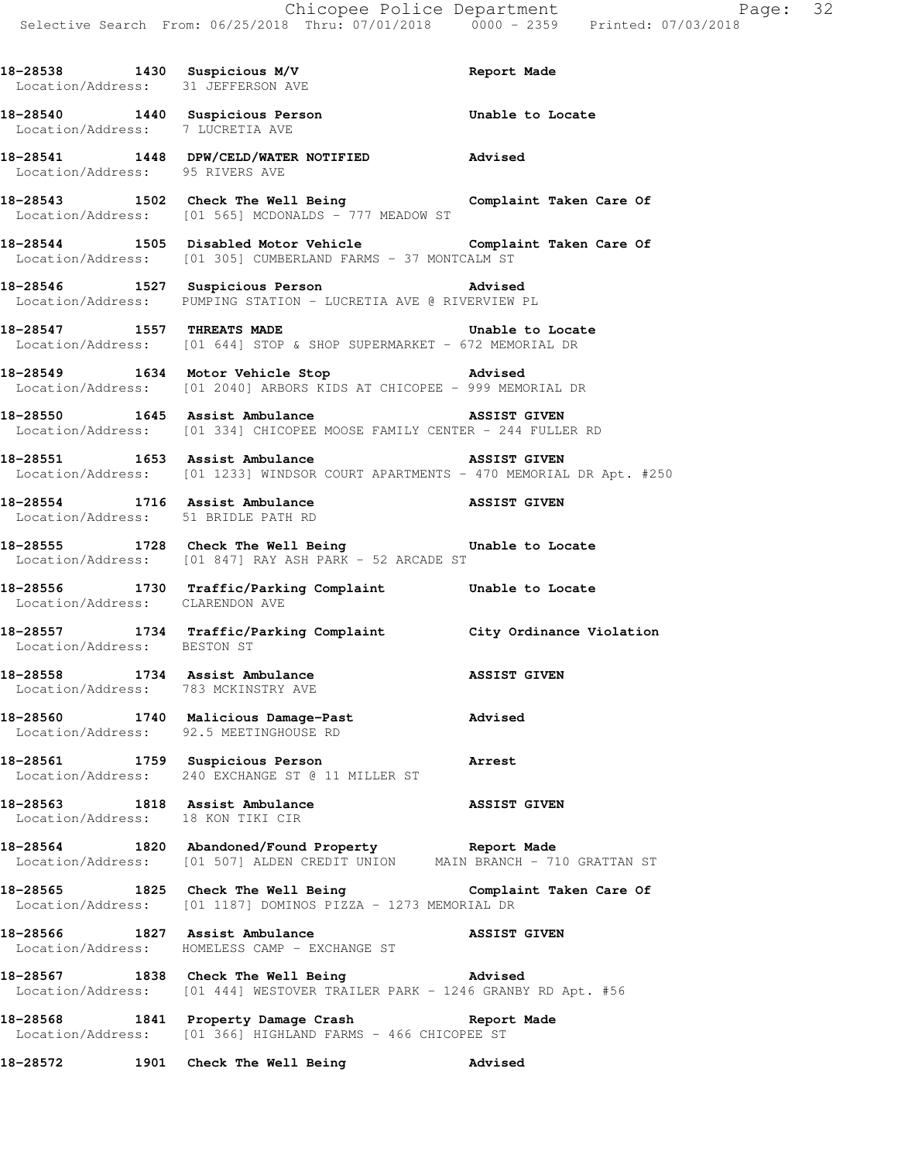**18-28538 1430 Suspicious M/V Report Made**  Location/Address: 31 JEFFERSON AVE **18-28540 1440 Suspicious Person Unable to Locate**  Location/Address: 7 LUCRETIA AVE **18-28541 1448 DPW/CELD/WATER NOTIFIED Advised**  Location/Address: 95 RIVERS AVE **18-28543 1502 Check The Well Being Complaint Taken Care Of**  Location/Address: [01 565] MCDONALDS - 777 MEADOW ST **18-28544 1505 Disabled Motor Vehicle Complaint Taken Care Of**  Location/Address: [01 305] CUMBERLAND FARMS - 37 MONTCALM ST **18-28546 1527 Suspicious Person Advised**  Location/Address: PUMPING STATION - LUCRETIA AVE @ RIVERVIEW PL **18-28547 1557 THREATS MADE Unable to Locate**  Location/Address: [01 644] STOP & SHOP SUPERMARKET - 672 MEMORIAL DR **18-28549 1634 Motor Vehicle Stop Advised**  Location/Address: [01 2040] ARBORS KIDS AT CHICOPEE - 999 MEMORIAL DR **18-28550 1645 Assist Ambulance ASSIST GIVEN**  Location/Address: [01 334] CHICOPEE MOOSE FAMILY CENTER - 244 FULLER RD **18-28551 1653 Assist Ambulance ASSIST GIVEN**  Location/Address: [01 1233] WINDSOR COURT APARTMENTS - 470 MEMORIAL DR Apt. #250 **18-28554 1716 Assist Ambulance ASSIST GIVEN**  Location/Address: 51 BRIDLE PATH RD **18-28555 1728 Check The Well Being Unable to Locate**  Location/Address: [01 847] RAY ASH PARK - 52 ARCADE ST **18-28556 1730 Traffic/Parking Complaint Unable to Locate**  Location/Address: CLARENDON AVE **18-28557 1734 Traffic/Parking Complaint City Ordinance Violation**  Location/Address: BESTON ST **18-28558 1734 Assist Ambulance ASSIST GIVEN**  Location/Address: 783 MCKINSTRY AVE **18-28560 1740 Malicious Damage-Past Advised**  Location/Address: 92.5 MEETINGHOUSE RD **18-28561 1759 Suspicious Person Arrest**  Location/Address: 240 EXCHANGE ST @ 11 MILLER ST **18-28563 1818 Assist Ambulance ASSIST GIVEN**  Location/Address: 18 KON TIKI CIR **18-28564 1820 Abandoned/Found Property Report Made**  Location/Address: [01 507] ALDEN CREDIT UNION MAIN BRANCH - 710 GRATTAN ST **18-28565 1825 Check The Well Being Complaint Taken Care Of**  Location/Address: [01 1187] DOMINOS PIZZA - 1273 MEMORIAL DR **18-28566 1827 Assist Ambulance ASSIST GIVEN**  Location/Address: HOMELESS CAMP - EXCHANGE ST **18-28567 1838 Check The Well Being Advised**  Location/Address: [01 444] WESTOVER TRAILER PARK - 1246 GRANBY RD Apt. #56 **18-28568 1841 Property Damage Crash Report Made**  Location/Address: [01 366] HIGHLAND FARMS - 466 CHICOPEE ST

**18-28572 1901 Check The Well Being Advised**